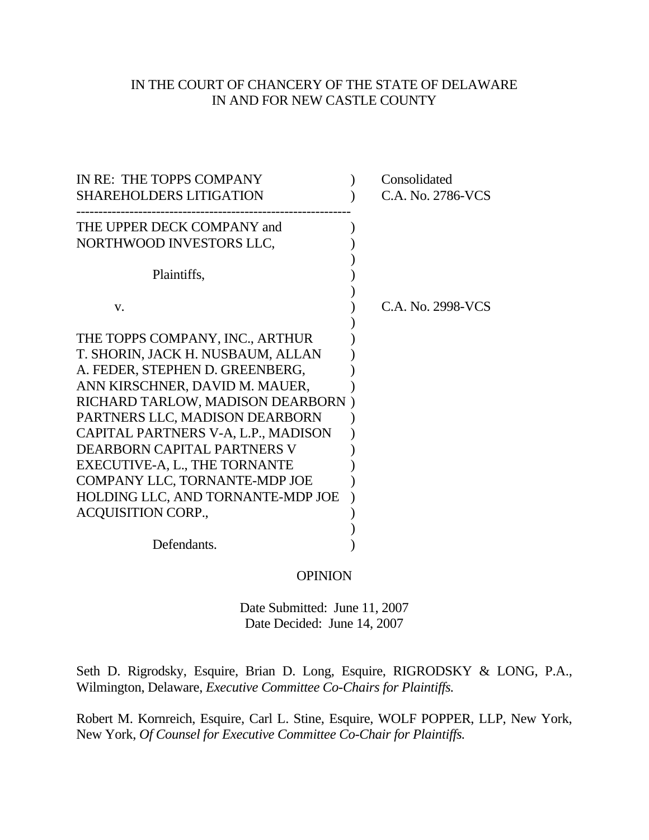# IN THE COURT OF CHANCERY OF THE STATE OF DELAWARE IN AND FOR NEW CASTLE COUNTY

| IN RE: THE TOPPS COMPANY            | Consolidated      |
|-------------------------------------|-------------------|
| <b>SHAREHOLDERS LITIGATION</b>      | C.A. No. 2786-VCS |
| THE UPPER DECK COMPANY and          |                   |
| NORTHWOOD INVESTORS LLC,            |                   |
|                                     |                   |
| Plaintiffs,                         |                   |
| V.                                  | C.A. No. 2998-VCS |
|                                     |                   |
| THE TOPPS COMPANY, INC., ARTHUR     |                   |
| T. SHORIN, JACK H. NUSBAUM, ALLAN   |                   |
| A. FEDER, STEPHEN D. GREENBERG,     |                   |
| ANN KIRSCHNER, DAVID M. MAUER,      |                   |
| RICHARD TARLOW, MADISON DEARBORN)   |                   |
| PARTNERS LLC, MADISON DEARBORN      |                   |
| CAPITAL PARTNERS V-A, L.P., MADISON |                   |
| DEARBORN CAPITAL PARTNERS V         |                   |
| EXECUTIVE-A, L., THE TORNANTE       |                   |
| COMPANY LLC, TORNANTE-MDP JOE       |                   |
| HOLDING LLC, AND TORNANTE-MDP JOE   |                   |
| <b>ACQUISITION CORP.,</b>           |                   |
|                                     |                   |
| Defendants.                         |                   |
|                                     |                   |

### **OPINION**

 Date Submitted: June 11, 2007 Date Decided: June 14, 2007

Seth D. Rigrodsky, Esquire, Brian D. Long, Esquire, RIGRODSKY & LONG, P.A., Wilmington, Delaware, *Executive Committee Co-Chairs for Plaintiffs.* 

Robert M. Kornreich, Esquire, Carl L. Stine, Esquire, WOLF POPPER, LLP, New York, New York, *Of Counsel for Executive Committee Co-Chair for Plaintiffs.*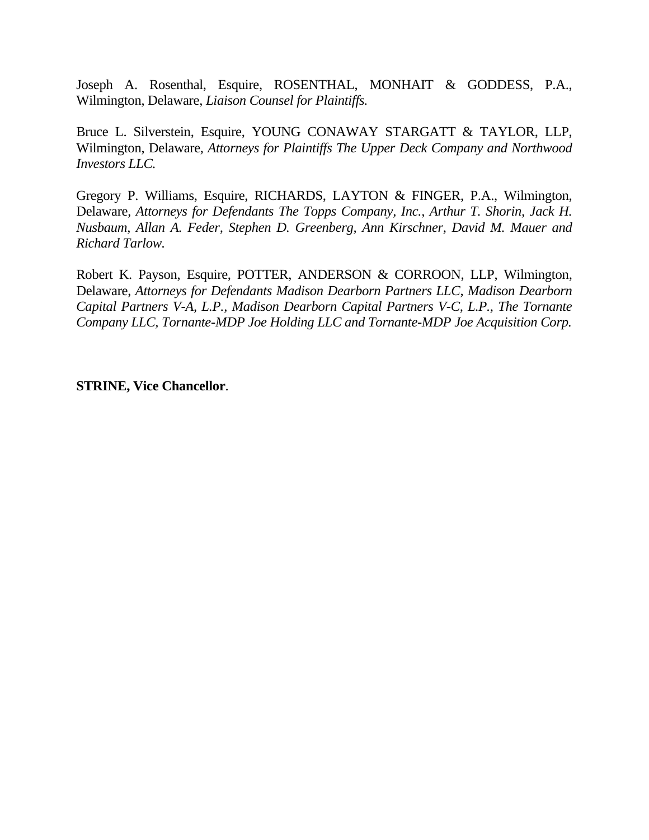Joseph A. Rosenthal, Esquire, ROSENTHAL, MONHAIT & GODDESS, P.A., Wilmington, Delaware, *Liaison Counsel for Plaintiffs.* 

Bruce L. Silverstein, Esquire, YOUNG CONAWAY STARGATT & TAYLOR, LLP, Wilmington, Delaware, *Attorneys for Plaintiffs The Upper Deck Company and Northwood Investors LLC.* 

Gregory P. Williams, Esquire, RICHARDS, LAYTON & FINGER, P.A., Wilmington, Delaware, *Attorneys for Defendants The Topps Company, Inc., Arthur T. Shorin, Jack H. Nusbaum, Allan A. Feder, Stephen D. Greenberg, Ann Kirschner, David M. Mauer and Richard Tarlow.* 

Robert K. Payson, Esquire, POTTER, ANDERSON & CORROON, LLP, Wilmington, Delaware, *Attorneys for Defendants Madison Dearborn Partners LLC, Madison Dearborn Capital Partners V-A, L.P., Madison Dearborn Capital Partners V-C, L.P., The Tornante Company LLC, Tornante-MDP Joe Holding LLC and Tornante-MDP Joe Acquisition Corp.*

**STRINE, Vice Chancellor**.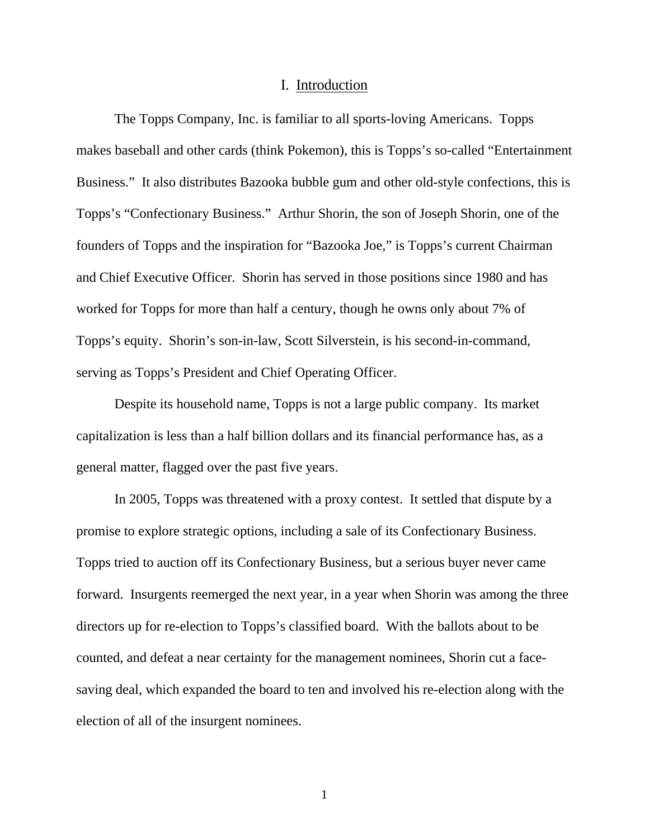#### I. Introduction

The Topps Company, Inc. is familiar to all sports-loving Americans. Topps makes baseball and other cards (think Pokemon), this is Topps's so-called "Entertainment Business." It also distributes Bazooka bubble gum and other old-style confections, this is Topps's "Confectionary Business." Arthur Shorin, the son of Joseph Shorin, one of the founders of Topps and the inspiration for "Bazooka Joe," is Topps's current Chairman and Chief Executive Officer. Shorin has served in those positions since 1980 and has worked for Topps for more than half a century, though he owns only about 7% of Topps's equity. Shorin's son-in-law, Scott Silverstein, is his second-in-command, serving as Topps's President and Chief Operating Officer.

 Despite its household name, Topps is not a large public company. Its market capitalization is less than a half billion dollars and its financial performance has, as a general matter, flagged over the past five years.

 In 2005, Topps was threatened with a proxy contest. It settled that dispute by a promise to explore strategic options, including a sale of its Confectionary Business. Topps tried to auction off its Confectionary Business, but a serious buyer never came forward. Insurgents reemerged the next year, in a year when Shorin was among the three directors up for re-election to Topps's classified board. With the ballots about to be counted, and defeat a near certainty for the management nominees, Shorin cut a facesaving deal, which expanded the board to ten and involved his re-election along with the election of all of the insurgent nominees.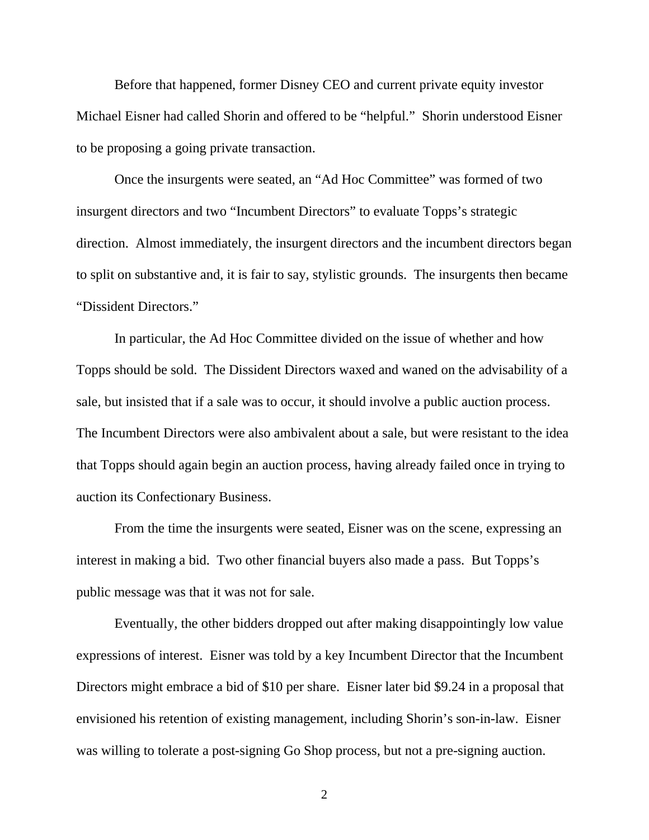Before that happened, former Disney CEO and current private equity investor Michael Eisner had called Shorin and offered to be "helpful." Shorin understood Eisner to be proposing a going private transaction.

 Once the insurgents were seated, an "Ad Hoc Committee" was formed of two insurgent directors and two "Incumbent Directors" to evaluate Topps's strategic direction. Almost immediately, the insurgent directors and the incumbent directors began to split on substantive and, it is fair to say, stylistic grounds. The insurgents then became "Dissident Directors."

 In particular, the Ad Hoc Committee divided on the issue of whether and how Topps should be sold. The Dissident Directors waxed and waned on the advisability of a sale, but insisted that if a sale was to occur, it should involve a public auction process. The Incumbent Directors were also ambivalent about a sale, but were resistant to the idea that Topps should again begin an auction process, having already failed once in trying to auction its Confectionary Business.

 From the time the insurgents were seated, Eisner was on the scene, expressing an interest in making a bid. Two other financial buyers also made a pass. But Topps's public message was that it was not for sale.

 Eventually, the other bidders dropped out after making disappointingly low value expressions of interest. Eisner was told by a key Incumbent Director that the Incumbent Directors might embrace a bid of \$10 per share. Eisner later bid \$9.24 in a proposal that envisioned his retention of existing management, including Shorin's son-in-law. Eisner was willing to tolerate a post-signing Go Shop process, but not a pre-signing auction.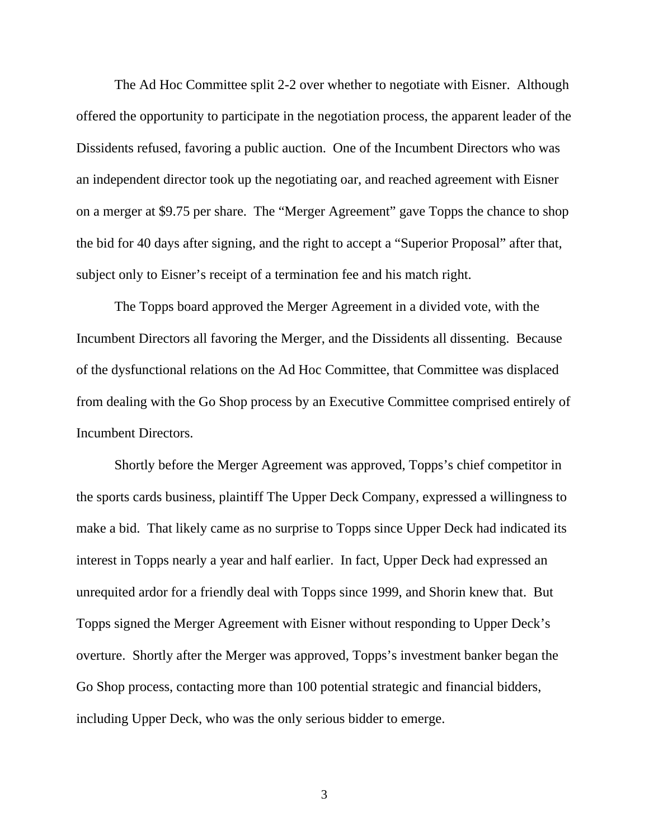The Ad Hoc Committee split 2-2 over whether to negotiate with Eisner. Although offered the opportunity to participate in the negotiation process, the apparent leader of the Dissidents refused, favoring a public auction. One of the Incumbent Directors who was an independent director took up the negotiating oar, and reached agreement with Eisner on a merger at \$9.75 per share. The "Merger Agreement" gave Topps the chance to shop the bid for 40 days after signing, and the right to accept a "Superior Proposal" after that, subject only to Eisner's receipt of a termination fee and his match right.

 The Topps board approved the Merger Agreement in a divided vote, with the Incumbent Directors all favoring the Merger, and the Dissidents all dissenting. Because of the dysfunctional relations on the Ad Hoc Committee, that Committee was displaced from dealing with the Go Shop process by an Executive Committee comprised entirely of Incumbent Directors.

 Shortly before the Merger Agreement was approved, Topps's chief competitor in the sports cards business, plaintiff The Upper Deck Company, expressed a willingness to make a bid. That likely came as no surprise to Topps since Upper Deck had indicated its interest in Topps nearly a year and half earlier. In fact, Upper Deck had expressed an unrequited ardor for a friendly deal with Topps since 1999, and Shorin knew that. But Topps signed the Merger Agreement with Eisner without responding to Upper Deck's overture. Shortly after the Merger was approved, Topps's investment banker began the Go Shop process, contacting more than 100 potential strategic and financial bidders, including Upper Deck, who was the only serious bidder to emerge.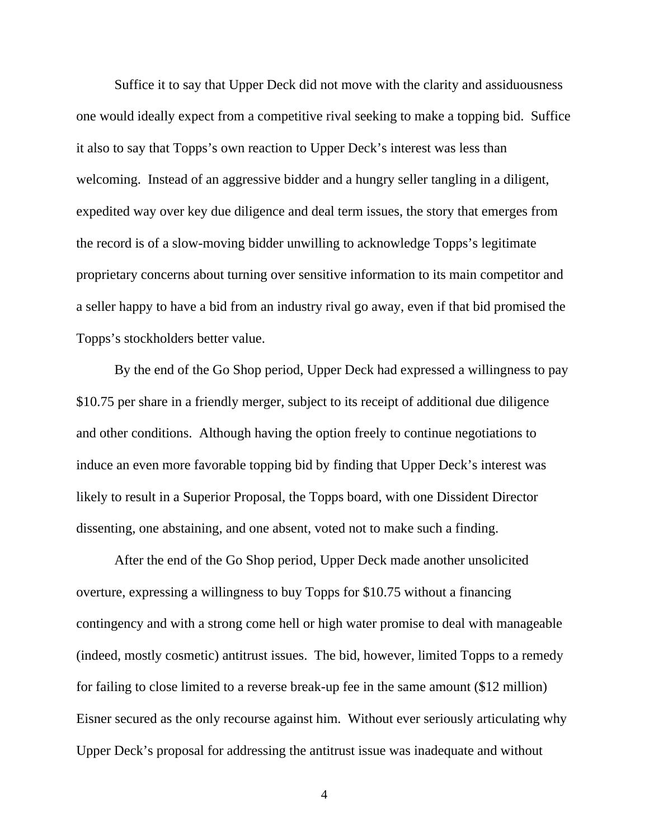Suffice it to say that Upper Deck did not move with the clarity and assiduousness one would ideally expect from a competitive rival seeking to make a topping bid. Suffice it also to say that Topps's own reaction to Upper Deck's interest was less than welcoming. Instead of an aggressive bidder and a hungry seller tangling in a diligent, expedited way over key due diligence and deal term issues, the story that emerges from the record is of a slow-moving bidder unwilling to acknowledge Topps's legitimate proprietary concerns about turning over sensitive information to its main competitor and a seller happy to have a bid from an industry rival go away, even if that bid promised the Topps's stockholders better value.

 By the end of the Go Shop period, Upper Deck had expressed a willingness to pay \$10.75 per share in a friendly merger, subject to its receipt of additional due diligence and other conditions. Although having the option freely to continue negotiations to induce an even more favorable topping bid by finding that Upper Deck's interest was likely to result in a Superior Proposal, the Topps board, with one Dissident Director dissenting, one abstaining, and one absent, voted not to make such a finding.

 After the end of the Go Shop period, Upper Deck made another unsolicited overture, expressing a willingness to buy Topps for \$10.75 without a financing contingency and with a strong come hell or high water promise to deal with manageable (indeed, mostly cosmetic) antitrust issues. The bid, however, limited Topps to a remedy for failing to close limited to a reverse break-up fee in the same amount (\$12 million) Eisner secured as the only recourse against him. Without ever seriously articulating why Upper Deck's proposal for addressing the antitrust issue was inadequate and without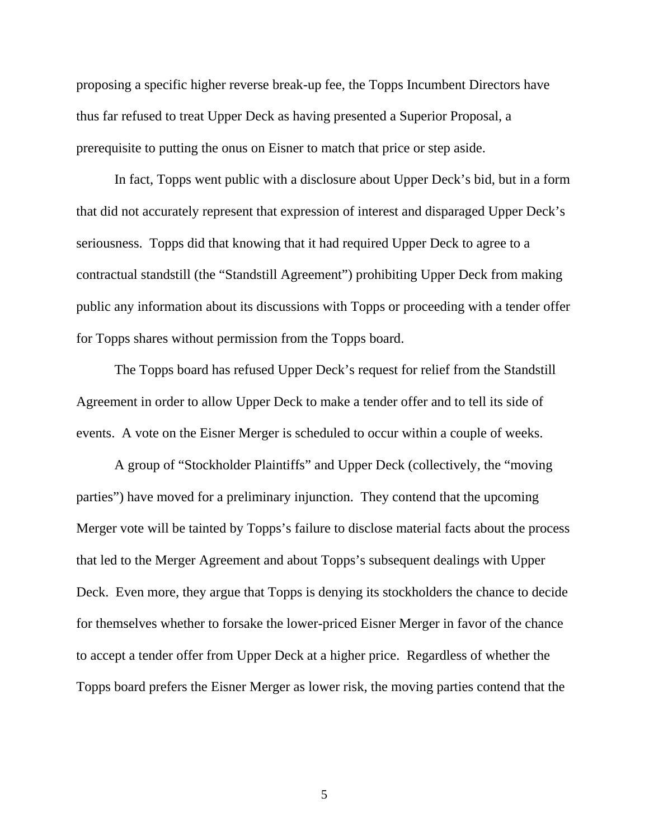proposing a specific higher reverse break-up fee, the Topps Incumbent Directors have thus far refused to treat Upper Deck as having presented a Superior Proposal, a prerequisite to putting the onus on Eisner to match that price or step aside.

 In fact, Topps went public with a disclosure about Upper Deck's bid, but in a form that did not accurately represent that expression of interest and disparaged Upper Deck's seriousness. Topps did that knowing that it had required Upper Deck to agree to a contractual standstill (the "Standstill Agreement") prohibiting Upper Deck from making public any information about its discussions with Topps or proceeding with a tender offer for Topps shares without permission from the Topps board.

 The Topps board has refused Upper Deck's request for relief from the Standstill Agreement in order to allow Upper Deck to make a tender offer and to tell its side of events. A vote on the Eisner Merger is scheduled to occur within a couple of weeks.

 A group of "Stockholder Plaintiffs" and Upper Deck (collectively, the "moving parties") have moved for a preliminary injunction. They contend that the upcoming Merger vote will be tainted by Topps's failure to disclose material facts about the process that led to the Merger Agreement and about Topps's subsequent dealings with Upper Deck. Even more, they argue that Topps is denying its stockholders the chance to decide for themselves whether to forsake the lower-priced Eisner Merger in favor of the chance to accept a tender offer from Upper Deck at a higher price. Regardless of whether the Topps board prefers the Eisner Merger as lower risk, the moving parties contend that the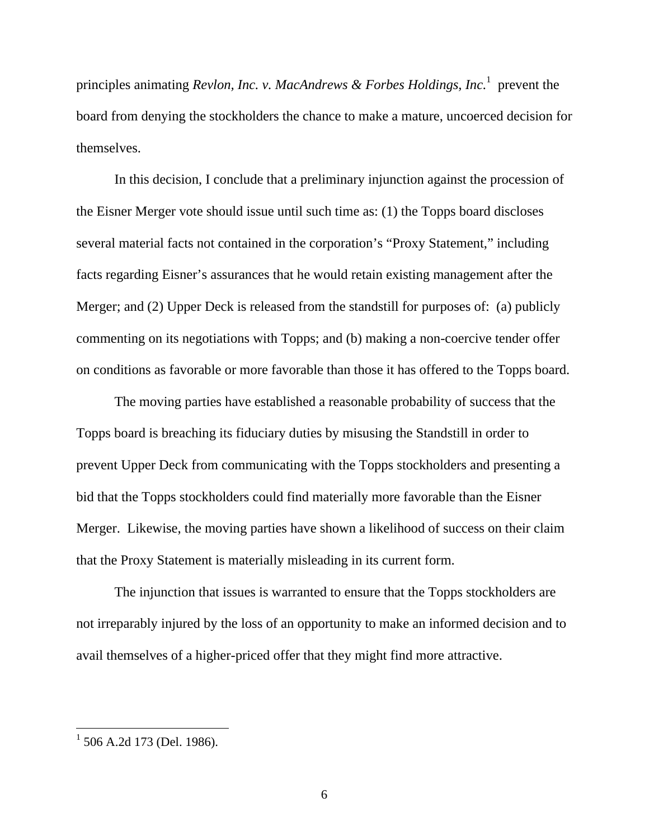principles animating *Revlon, Inc. v. MacAndrews & Forbes Holdings, Inc.*1 prevent the board from denying the stockholders the chance to make a mature, uncoerced decision for themselves.

 In this decision, I conclude that a preliminary injunction against the procession of the Eisner Merger vote should issue until such time as: (1) the Topps board discloses several material facts not contained in the corporation's "Proxy Statement," including facts regarding Eisner's assurances that he would retain existing management after the Merger; and (2) Upper Deck is released from the standstill for purposes of: (a) publicly commenting on its negotiations with Topps; and (b) making a non-coercive tender offer on conditions as favorable or more favorable than those it has offered to the Topps board.

 The moving parties have established a reasonable probability of success that the Topps board is breaching its fiduciary duties by misusing the Standstill in order to prevent Upper Deck from communicating with the Topps stockholders and presenting a bid that the Topps stockholders could find materially more favorable than the Eisner Merger. Likewise, the moving parties have shown a likelihood of success on their claim that the Proxy Statement is materially misleading in its current form.

 The injunction that issues is warranted to ensure that the Topps stockholders are not irreparably injured by the loss of an opportunity to make an informed decision and to avail themselves of a higher-priced offer that they might find more attractive.

 $1$  506 A.2d 173 (Del. 1986).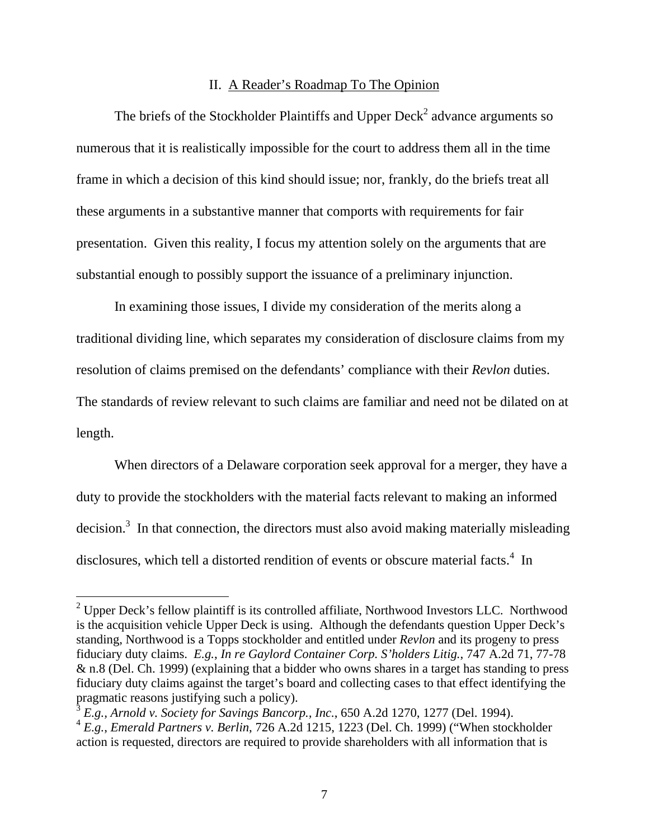### II. A Reader's Roadmap To The Opinion

The briefs of the Stockholder Plaintiffs and Upper  $Deck<sup>2</sup>$  advance arguments so numerous that it is realistically impossible for the court to address them all in the time frame in which a decision of this kind should issue; nor, frankly, do the briefs treat all these arguments in a substantive manner that comports with requirements for fair presentation. Given this reality, I focus my attention solely on the arguments that are substantial enough to possibly support the issuance of a preliminary injunction.

 In examining those issues, I divide my consideration of the merits along a traditional dividing line, which separates my consideration of disclosure claims from my resolution of claims premised on the defendants' compliance with their *Revlon* duties. The standards of review relevant to such claims are familiar and need not be dilated on at length.

 When directors of a Delaware corporation seek approval for a merger, they have a duty to provide the stockholders with the material facts relevant to making an informed decision.<sup>3</sup> In that connection, the directors must also avoid making materially misleading disclosures, which tell a distorted rendition of events or obscure material facts.<sup>4</sup> In

<sup>3</sup> *E.g., Arnold v. Society for Savings Bancorp., Inc.*, 650 A.2d 1270, 1277 (Del. 1994).

<sup>&</sup>lt;sup>2</sup> Upper Deck's fellow plaintiff is its controlled affiliate, Northwood Investors LLC. Northwood is the acquisition vehicle Upper Deck is using. Although the defendants question Upper Deck's standing, Northwood is a Topps stockholder and entitled under *Revlon* and its progeny to press fiduciary duty claims. *E.g.*, *In re Gaylord Container Corp. S'holders Litig.*, 747 A.2d 71, 77-78 & n.8 (Del. Ch. 1999) (explaining that a bidder who owns shares in a target has standing to press fiduciary duty claims against the target's board and collecting cases to that effect identifying the pragmatic reasons justifying such a policy).

<sup>4</sup> *E.g.*, *Emerald Partners v. Berlin*, 726 A.2d 1215, 1223 (Del. Ch. 1999) ("When stockholder action is requested, directors are required to provide shareholders with all information that is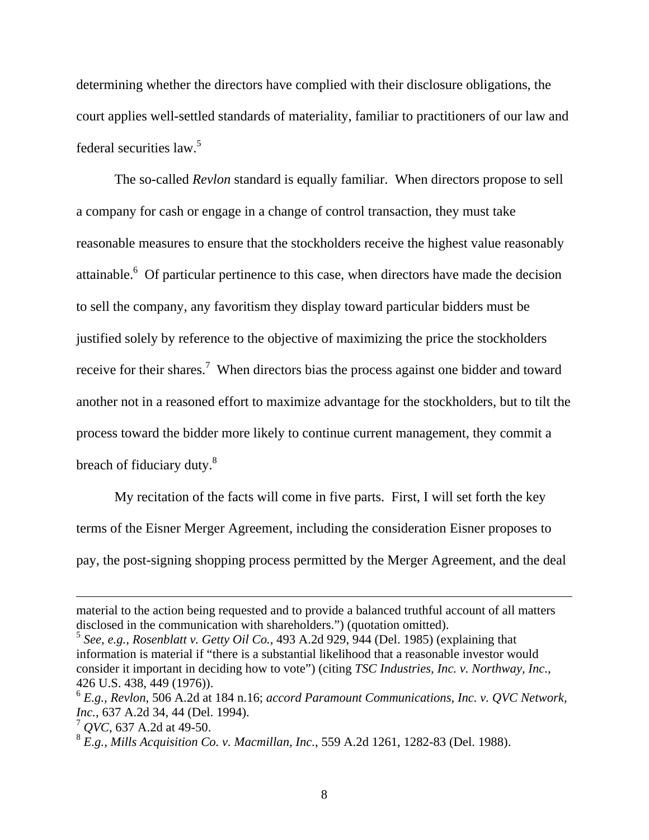determining whether the directors have complied with their disclosure obligations, the court applies well-settled standards of materiality, familiar to practitioners of our law and federal securities law.<sup>5</sup>

The so-called *Revlon* standard is equally familiar. When directors propose to sell a company for cash or engage in a change of control transaction, they must take reasonable measures to ensure that the stockholders receive the highest value reasonably attainable.<sup>6</sup> Of particular pertinence to this case, when directors have made the decision to sell the company, any favoritism they display toward particular bidders must be justified solely by reference to the objective of maximizing the price the stockholders receive for their shares.<sup>7</sup> When directors bias the process against one bidder and toward another not in a reasoned effort to maximize advantage for the stockholders, but to tilt the process toward the bidder more likely to continue current management, they commit a breach of fiduciary duty.<sup>8</sup>

 My recitation of the facts will come in five parts. First, I will set forth the key terms of the Eisner Merger Agreement, including the consideration Eisner proposes to pay, the post-signing shopping process permitted by the Merger Agreement, and the deal

material to the action being requested and to provide a balanced truthful account of all matters disclosed in the communication with shareholders.") (quotation omitted).

<sup>5</sup> *See, e.g., Rosenblatt v. Getty Oil Co.*, 493 A.2d 929, 944 (Del. 1985) (explaining that information is material if "there is a substantial likelihood that a reasonable investor would consider it important in deciding how to vote") (citing *TSC Industries, Inc. v. Northway, Inc.*, 426 U.S. 438, 449 (1976)).

<sup>6</sup> *E.g., Revlon*, 506 A.2d at 184 n.16; *accord Paramount Communications, Inc. v. QVC Network, Inc.*, 637 A.2d 34, 44 (Del. 1994).

*QVC*, 637 A.2d at 49-50.

<sup>8</sup> *E.g.*, *Mills Acquisition Co. v. Macmillan, Inc.*, 559 A.2d 1261, 1282-83 (Del. 1988).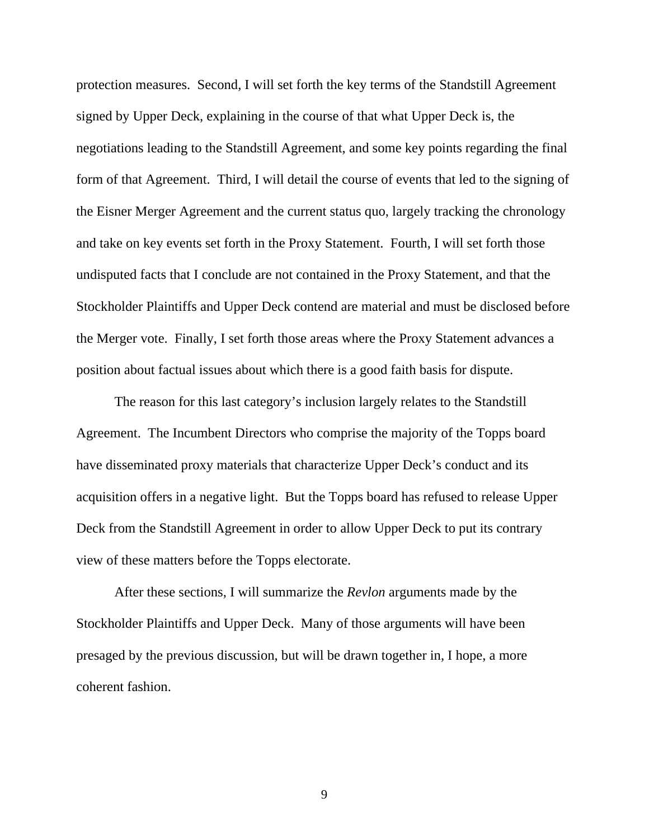protection measures. Second, I will set forth the key terms of the Standstill Agreement signed by Upper Deck, explaining in the course of that what Upper Deck is, the negotiations leading to the Standstill Agreement, and some key points regarding the final form of that Agreement. Third, I will detail the course of events that led to the signing of the Eisner Merger Agreement and the current status quo, largely tracking the chronology and take on key events set forth in the Proxy Statement. Fourth, I will set forth those undisputed facts that I conclude are not contained in the Proxy Statement, and that the Stockholder Plaintiffs and Upper Deck contend are material and must be disclosed before the Merger vote. Finally, I set forth those areas where the Proxy Statement advances a position about factual issues about which there is a good faith basis for dispute.

 The reason for this last category's inclusion largely relates to the Standstill Agreement. The Incumbent Directors who comprise the majority of the Topps board have disseminated proxy materials that characterize Upper Deck's conduct and its acquisition offers in a negative light. But the Topps board has refused to release Upper Deck from the Standstill Agreement in order to allow Upper Deck to put its contrary view of these matters before the Topps electorate.

 After these sections, I will summarize the *Revlon* arguments made by the Stockholder Plaintiffs and Upper Deck. Many of those arguments will have been presaged by the previous discussion, but will be drawn together in, I hope, a more coherent fashion.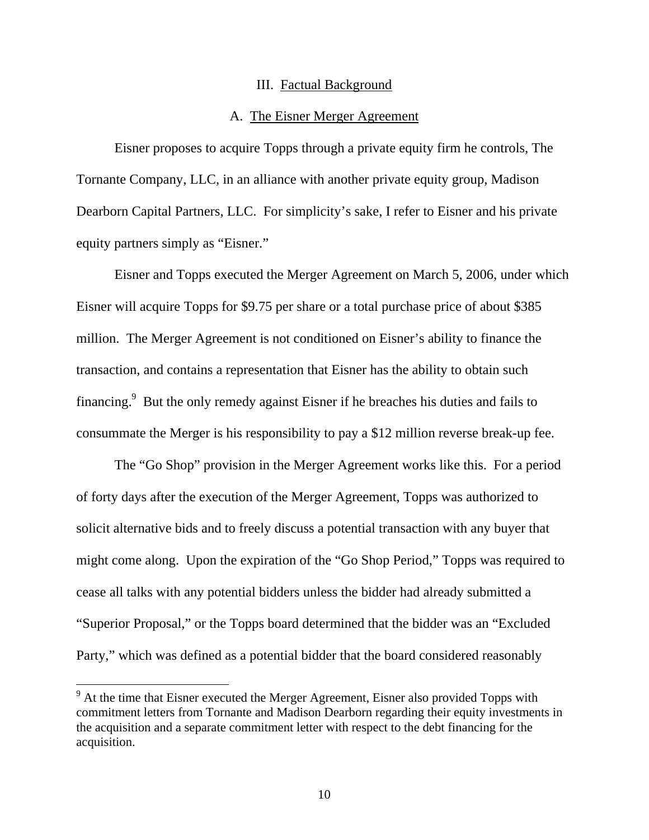#### III. Factual Background

#### A. The Eisner Merger Agreement

 Eisner proposes to acquire Topps through a private equity firm he controls, The Tornante Company, LLC, in an alliance with another private equity group, Madison Dearborn Capital Partners, LLC. For simplicity's sake, I refer to Eisner and his private equity partners simply as "Eisner."

Eisner and Topps executed the Merger Agreement on March 5, 2006, under which Eisner will acquire Topps for \$9.75 per share or a total purchase price of about \$385 million. The Merger Agreement is not conditioned on Eisner's ability to finance the transaction, and contains a representation that Eisner has the ability to obtain such financing.<sup>9</sup> But the only remedy against Eisner if he breaches his duties and fails to consummate the Merger is his responsibility to pay a \$12 million reverse break-up fee.

 The "Go Shop" provision in the Merger Agreement works like this. For a period of forty days after the execution of the Merger Agreement, Topps was authorized to solicit alternative bids and to freely discuss a potential transaction with any buyer that might come along. Upon the expiration of the "Go Shop Period," Topps was required to cease all talks with any potential bidders unless the bidder had already submitted a "Superior Proposal," or the Topps board determined that the bidder was an "Excluded Party," which was defined as a potential bidder that the board considered reasonably

 $9<sup>9</sup>$  At the time that Eisner executed the Merger Agreement, Eisner also provided Topps with commitment letters from Tornante and Madison Dearborn regarding their equity investments in the acquisition and a separate commitment letter with respect to the debt financing for the acquisition.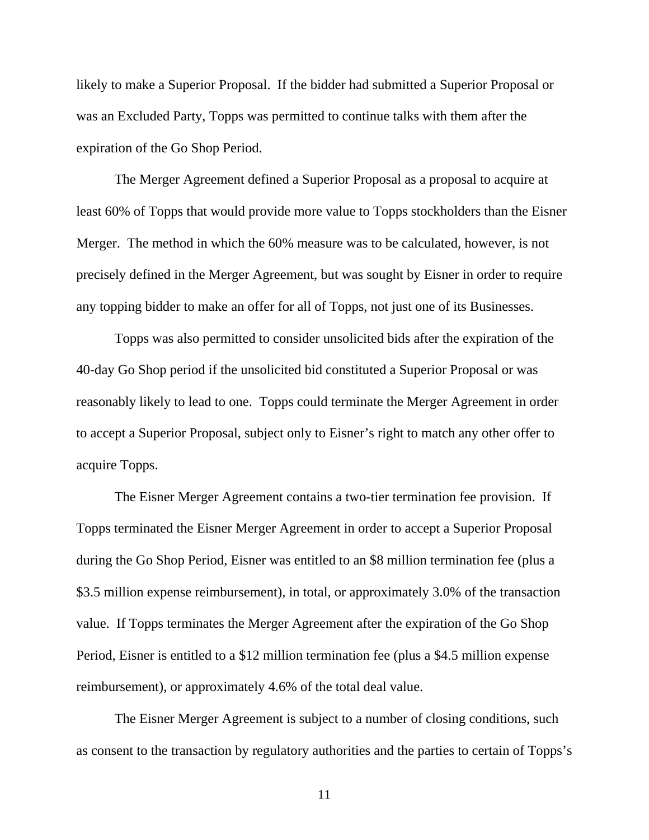likely to make a Superior Proposal. If the bidder had submitted a Superior Proposal or was an Excluded Party, Topps was permitted to continue talks with them after the expiration of the Go Shop Period.

The Merger Agreement defined a Superior Proposal as a proposal to acquire at least 60% of Topps that would provide more value to Topps stockholders than the Eisner Merger. The method in which the 60% measure was to be calculated, however, is not precisely defined in the Merger Agreement, but was sought by Eisner in order to require any topping bidder to make an offer for all of Topps, not just one of its Businesses.

Topps was also permitted to consider unsolicited bids after the expiration of the 40-day Go Shop period if the unsolicited bid constituted a Superior Proposal or was reasonably likely to lead to one. Topps could terminate the Merger Agreement in order to accept a Superior Proposal, subject only to Eisner's right to match any other offer to acquire Topps.

The Eisner Merger Agreement contains a two-tier termination fee provision. If Topps terminated the Eisner Merger Agreement in order to accept a Superior Proposal during the Go Shop Period, Eisner was entitled to an \$8 million termination fee (plus a \$3.5 million expense reimbursement), in total, or approximately 3.0% of the transaction value. If Topps terminates the Merger Agreement after the expiration of the Go Shop Period, Eisner is entitled to a \$12 million termination fee (plus a \$4.5 million expense reimbursement), or approximately 4.6% of the total deal value.

The Eisner Merger Agreement is subject to a number of closing conditions, such as consent to the transaction by regulatory authorities and the parties to certain of Topps's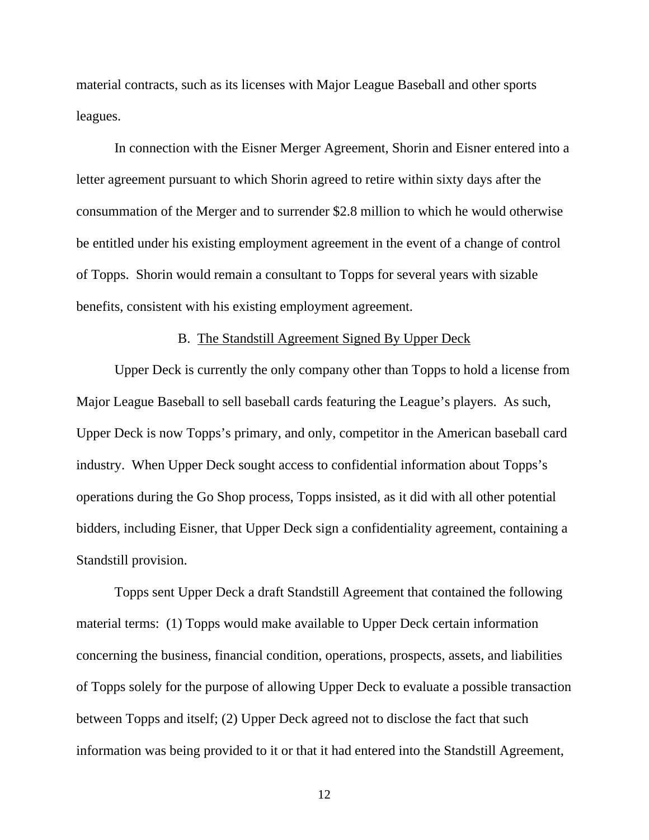material contracts, such as its licenses with Major League Baseball and other sports leagues.

In connection with the Eisner Merger Agreement, Shorin and Eisner entered into a letter agreement pursuant to which Shorin agreed to retire within sixty days after the consummation of the Merger and to surrender \$2.8 million to which he would otherwise be entitled under his existing employment agreement in the event of a change of control of Topps. Shorin would remain a consultant to Topps for several years with sizable benefits, consistent with his existing employment agreement.

#### B. The Standstill Agreement Signed By Upper Deck

Upper Deck is currently the only company other than Topps to hold a license from Major League Baseball to sell baseball cards featuring the League's players. As such, Upper Deck is now Topps's primary, and only, competitor in the American baseball card industry. When Upper Deck sought access to confidential information about Topps's operations during the Go Shop process, Topps insisted, as it did with all other potential bidders, including Eisner, that Upper Deck sign a confidentiality agreement, containing a Standstill provision.

Topps sent Upper Deck a draft Standstill Agreement that contained the following material terms: (1) Topps would make available to Upper Deck certain information concerning the business, financial condition, operations, prospects, assets, and liabilities of Topps solely for the purpose of allowing Upper Deck to evaluate a possible transaction between Topps and itself; (2) Upper Deck agreed not to disclose the fact that such information was being provided to it or that it had entered into the Standstill Agreement,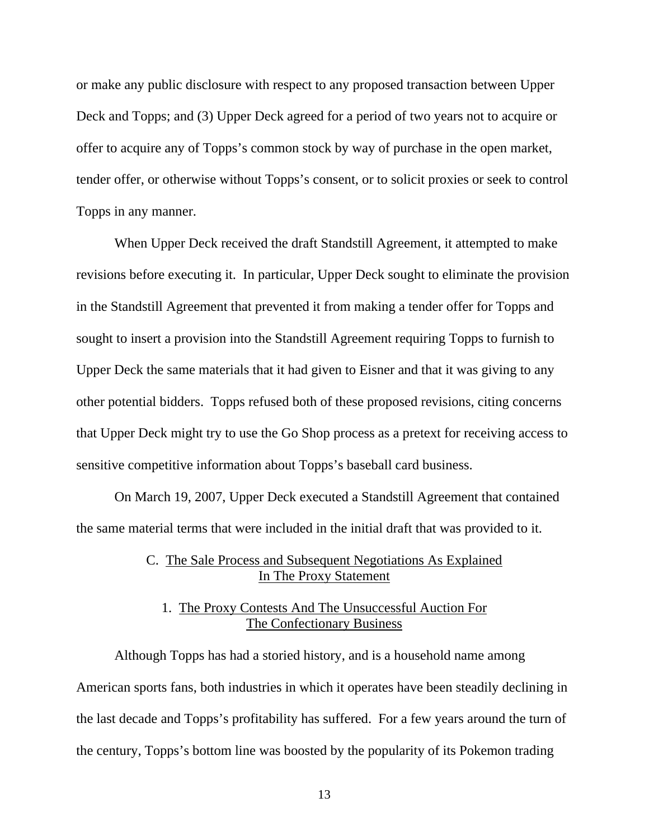or make any public disclosure with respect to any proposed transaction between Upper Deck and Topps; and (3) Upper Deck agreed for a period of two years not to acquire or offer to acquire any of Topps's common stock by way of purchase in the open market, tender offer, or otherwise without Topps's consent, or to solicit proxies or seek to control Topps in any manner.

When Upper Deck received the draft Standstill Agreement, it attempted to make revisions before executing it. In particular, Upper Deck sought to eliminate the provision in the Standstill Agreement that prevented it from making a tender offer for Topps and sought to insert a provision into the Standstill Agreement requiring Topps to furnish to Upper Deck the same materials that it had given to Eisner and that it was giving to any other potential bidders. Topps refused both of these proposed revisions, citing concerns that Upper Deck might try to use the Go Shop process as a pretext for receiving access to sensitive competitive information about Topps's baseball card business.

On March 19, 2007, Upper Deck executed a Standstill Agreement that contained the same material terms that were included in the initial draft that was provided to it.

# C. The Sale Process and Subsequent Negotiations As Explained In The Proxy Statement

# 1. The Proxy Contests And The Unsuccessful Auction For The Confectionary Business

 Although Topps has had a storied history, and is a household name among American sports fans, both industries in which it operates have been steadily declining in the last decade and Topps's profitability has suffered. For a few years around the turn of the century, Topps's bottom line was boosted by the popularity of its Pokemon trading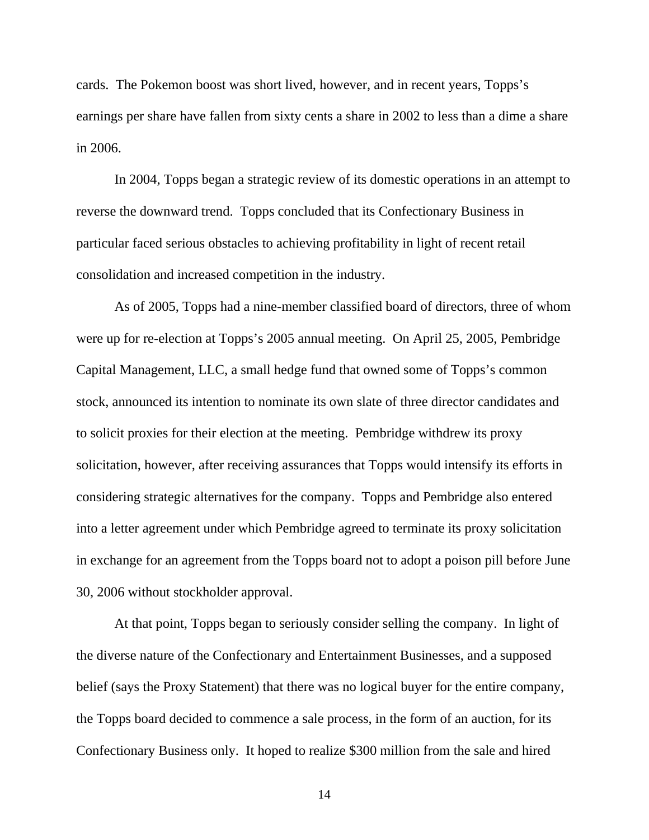cards. The Pokemon boost was short lived, however, and in recent years, Topps's earnings per share have fallen from sixty cents a share in 2002 to less than a dime a share in 2006.

In 2004, Topps began a strategic review of its domestic operations in an attempt to reverse the downward trend. Topps concluded that its Confectionary Business in particular faced serious obstacles to achieving profitability in light of recent retail consolidation and increased competition in the industry.

As of 2005, Topps had a nine-member classified board of directors, three of whom were up for re-election at Topps's 2005 annual meeting. On April 25, 2005, Pembridge Capital Management, LLC, a small hedge fund that owned some of Topps's common stock, announced its intention to nominate its own slate of three director candidates and to solicit proxies for their election at the meeting. Pembridge withdrew its proxy solicitation, however, after receiving assurances that Topps would intensify its efforts in considering strategic alternatives for the company. Topps and Pembridge also entered into a letter agreement under which Pembridge agreed to terminate its proxy solicitation in exchange for an agreement from the Topps board not to adopt a poison pill before June 30, 2006 without stockholder approval.

At that point, Topps began to seriously consider selling the company. In light of the diverse nature of the Confectionary and Entertainment Businesses, and a supposed belief (says the Proxy Statement) that there was no logical buyer for the entire company, the Topps board decided to commence a sale process, in the form of an auction, for its Confectionary Business only. It hoped to realize \$300 million from the sale and hired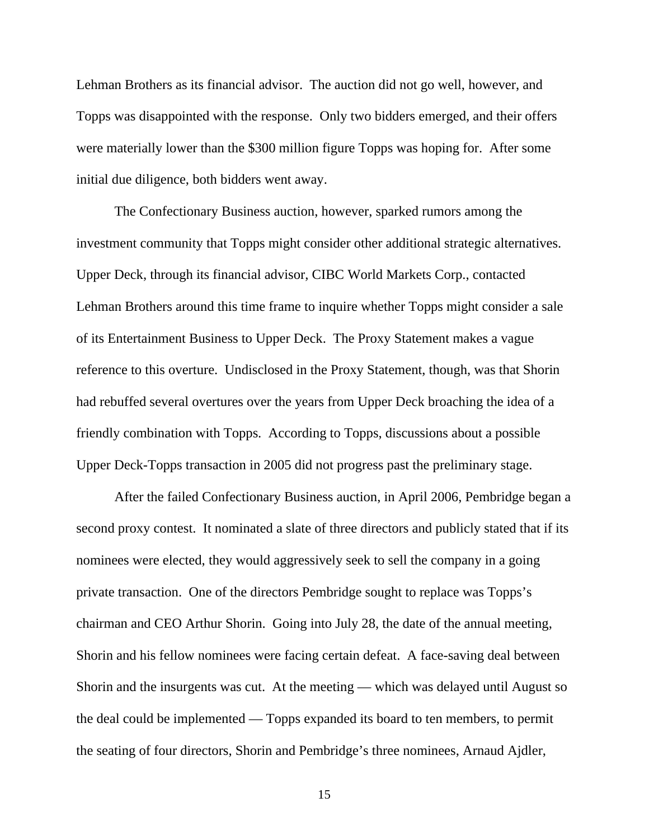Lehman Brothers as its financial advisor. The auction did not go well, however, and Topps was disappointed with the response. Only two bidders emerged, and their offers were materially lower than the \$300 million figure Topps was hoping for. After some initial due diligence, both bidders went away.

The Confectionary Business auction, however, sparked rumors among the investment community that Topps might consider other additional strategic alternatives. Upper Deck, through its financial advisor, CIBC World Markets Corp., contacted Lehman Brothers around this time frame to inquire whether Topps might consider a sale of its Entertainment Business to Upper Deck. The Proxy Statement makes a vague reference to this overture. Undisclosed in the Proxy Statement, though, was that Shorin had rebuffed several overtures over the years from Upper Deck broaching the idea of a friendly combination with Topps. According to Topps, discussions about a possible Upper Deck-Topps transaction in 2005 did not progress past the preliminary stage.

After the failed Confectionary Business auction, in April 2006, Pembridge began a second proxy contest. It nominated a slate of three directors and publicly stated that if its nominees were elected, they would aggressively seek to sell the company in a going private transaction. One of the directors Pembridge sought to replace was Topps's chairman and CEO Arthur Shorin. Going into July 28, the date of the annual meeting, Shorin and his fellow nominees were facing certain defeat. A face-saving deal between Shorin and the insurgents was cut. At the meeting — which was delayed until August so the deal could be implemented — Topps expanded its board to ten members, to permit the seating of four directors, Shorin and Pembridge's three nominees, Arnaud Ajdler,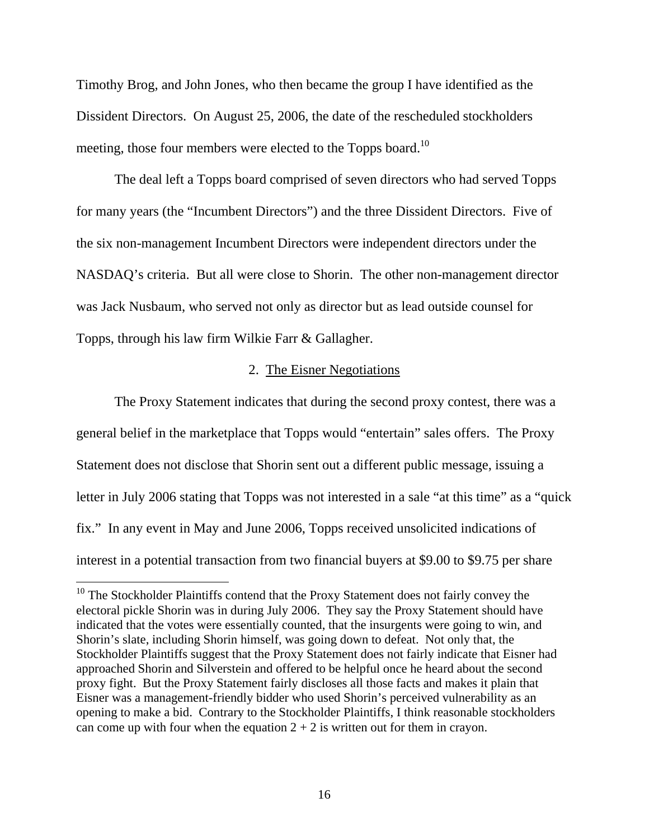Timothy Brog, and John Jones, who then became the group I have identified as the Dissident Directors. On August 25, 2006, the date of the rescheduled stockholders meeting, those four members were elected to the Topps board.<sup>10</sup>

The deal left a Topps board comprised of seven directors who had served Topps for many years (the "Incumbent Directors") and the three Dissident Directors. Five of the six non-management Incumbent Directors were independent directors under the NASDAQ's criteria. But all were close to Shorin. The other non-management director was Jack Nusbaum, who served not only as director but as lead outside counsel for Topps, through his law firm Wilkie Farr & Gallagher.

## 2. The Eisner Negotiations

 The Proxy Statement indicates that during the second proxy contest, there was a general belief in the marketplace that Topps would "entertain" sales offers. The Proxy Statement does not disclose that Shorin sent out a different public message, issuing a letter in July 2006 stating that Topps was not interested in a sale "at this time" as a "quick fix." In any event in May and June 2006, Topps received unsolicited indications of interest in a potential transaction from two financial buyers at \$9.00 to \$9.75 per share

 $10$  The Stockholder Plaintiffs contend that the Proxy Statement does not fairly convey the electoral pickle Shorin was in during July 2006. They say the Proxy Statement should have indicated that the votes were essentially counted, that the insurgents were going to win, and Shorin's slate, including Shorin himself, was going down to defeat. Not only that, the Stockholder Plaintiffs suggest that the Proxy Statement does not fairly indicate that Eisner had approached Shorin and Silverstein and offered to be helpful once he heard about the second proxy fight. But the Proxy Statement fairly discloses all those facts and makes it plain that Eisner was a management-friendly bidder who used Shorin's perceived vulnerability as an opening to make a bid. Contrary to the Stockholder Plaintiffs, I think reasonable stockholders can come up with four when the equation  $2 + 2$  is written out for them in crayon.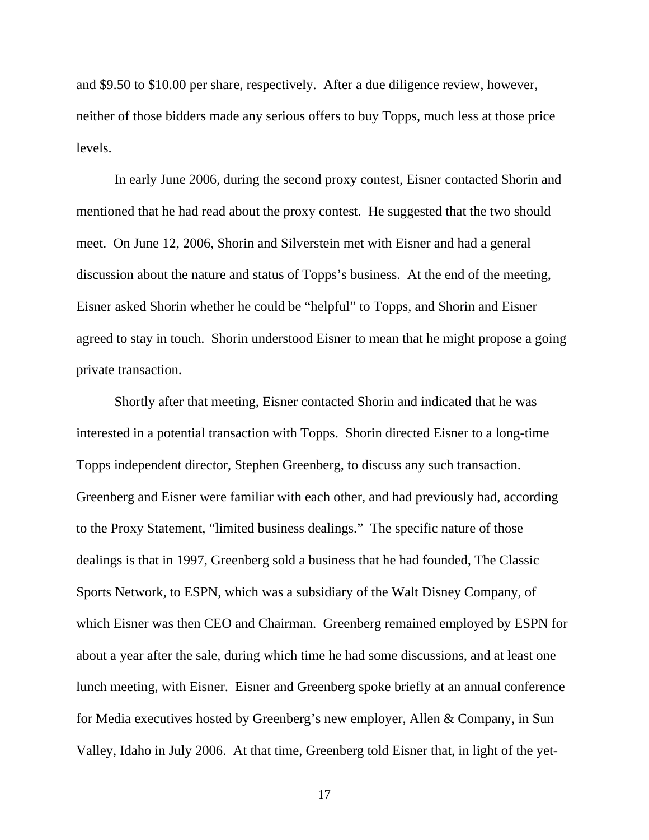and \$9.50 to \$10.00 per share, respectively. After a due diligence review, however, neither of those bidders made any serious offers to buy Topps, much less at those price levels.

 In early June 2006, during the second proxy contest, Eisner contacted Shorin and mentioned that he had read about the proxy contest. He suggested that the two should meet. On June 12, 2006, Shorin and Silverstein met with Eisner and had a general discussion about the nature and status of Topps's business. At the end of the meeting, Eisner asked Shorin whether he could be "helpful" to Topps, and Shorin and Eisner agreed to stay in touch. Shorin understood Eisner to mean that he might propose a going private transaction.

Shortly after that meeting, Eisner contacted Shorin and indicated that he was interested in a potential transaction with Topps. Shorin directed Eisner to a long-time Topps independent director, Stephen Greenberg, to discuss any such transaction. Greenberg and Eisner were familiar with each other, and had previously had, according to the Proxy Statement, "limited business dealings." The specific nature of those dealings is that in 1997, Greenberg sold a business that he had founded, The Classic Sports Network, to ESPN, which was a subsidiary of the Walt Disney Company, of which Eisner was then CEO and Chairman. Greenberg remained employed by ESPN for about a year after the sale, during which time he had some discussions, and at least one lunch meeting, with Eisner. Eisner and Greenberg spoke briefly at an annual conference for Media executives hosted by Greenberg's new employer, Allen & Company, in Sun Valley, Idaho in July 2006. At that time, Greenberg told Eisner that, in light of the yet-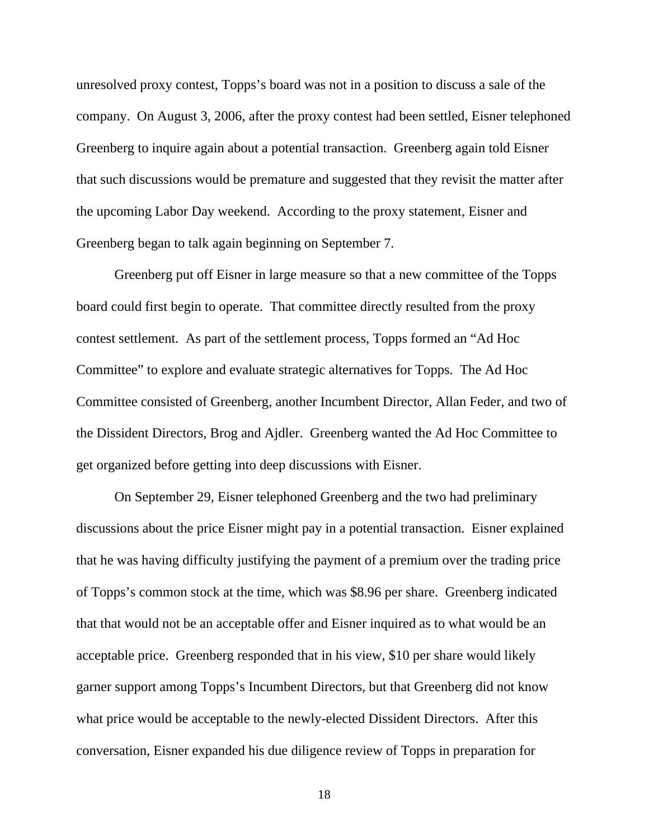unresolved proxy contest, Topps's board was not in a position to discuss a sale of the company. On August 3, 2006, after the proxy contest had been settled, Eisner telephoned Greenberg to inquire again about a potential transaction. Greenberg again told Eisner that such discussions would be premature and suggested that they revisit the matter after the upcoming Labor Day weekend. According to the proxy statement, Eisner and Greenberg began to talk again beginning on September 7.

Greenberg put off Eisner in large measure so that a new committee of the Topps board could first begin to operate. That committee directly resulted from the proxy contest settlement. As part of the settlement process, Topps formed an "Ad Hoc Committee" to explore and evaluate strategic alternatives for Topps. The Ad Hoc Committee consisted of Greenberg, another Incumbent Director, Allan Feder, and two of the Dissident Directors, Brog and Ajdler. Greenberg wanted the Ad Hoc Committee to get organized before getting into deep discussions with Eisner.

On September 29, Eisner telephoned Greenberg and the two had preliminary discussions about the price Eisner might pay in a potential transaction. Eisner explained that he was having difficulty justifying the payment of a premium over the trading price of Topps's common stock at the time, which was \$8.96 per share. Greenberg indicated that that would not be an acceptable offer and Eisner inquired as to what would be an acceptable price. Greenberg responded that in his view, \$10 per share would likely garner support among Topps's Incumbent Directors, but that Greenberg did not know what price would be acceptable to the newly-elected Dissident Directors. After this conversation, Eisner expanded his due diligence review of Topps in preparation for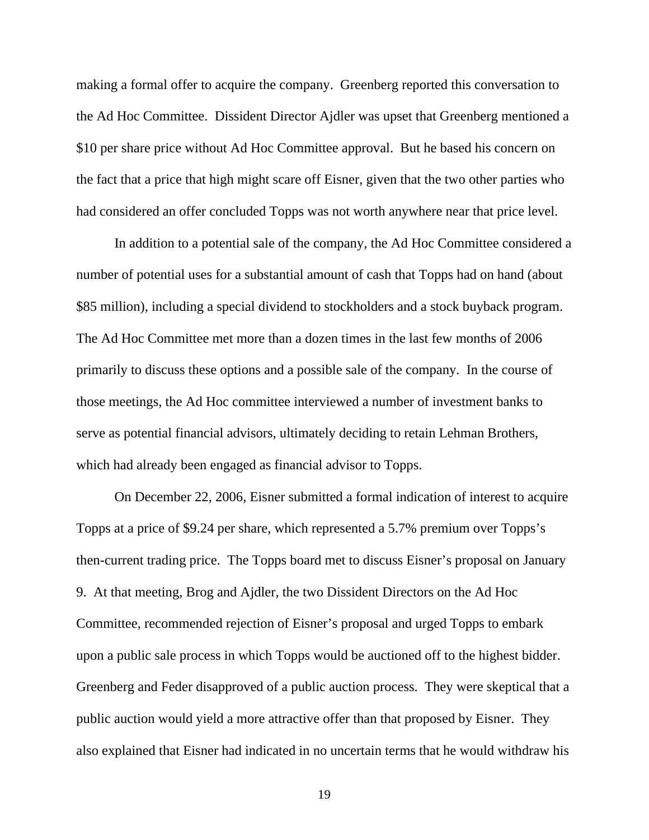making a formal offer to acquire the company. Greenberg reported this conversation to the Ad Hoc Committee. Dissident Director Ajdler was upset that Greenberg mentioned a \$10 per share price without Ad Hoc Committee approval. But he based his concern on the fact that a price that high might scare off Eisner, given that the two other parties who had considered an offer concluded Topps was not worth anywhere near that price level.

 In addition to a potential sale of the company, the Ad Hoc Committee considered a number of potential uses for a substantial amount of cash that Topps had on hand (about \$85 million), including a special dividend to stockholders and a stock buyback program. The Ad Hoc Committee met more than a dozen times in the last few months of 2006 primarily to discuss these options and a possible sale of the company. In the course of those meetings, the Ad Hoc committee interviewed a number of investment banks to serve as potential financial advisors, ultimately deciding to retain Lehman Brothers, which had already been engaged as financial advisor to Topps.

 On December 22, 2006, Eisner submitted a formal indication of interest to acquire Topps at a price of \$9.24 per share, which represented a 5.7% premium over Topps's then-current trading price. The Topps board met to discuss Eisner's proposal on January 9. At that meeting, Brog and Ajdler, the two Dissident Directors on the Ad Hoc Committee, recommended rejection of Eisner's proposal and urged Topps to embark upon a public sale process in which Topps would be auctioned off to the highest bidder. Greenberg and Feder disapproved of a public auction process. They were skeptical that a public auction would yield a more attractive offer than that proposed by Eisner. They also explained that Eisner had indicated in no uncertain terms that he would withdraw his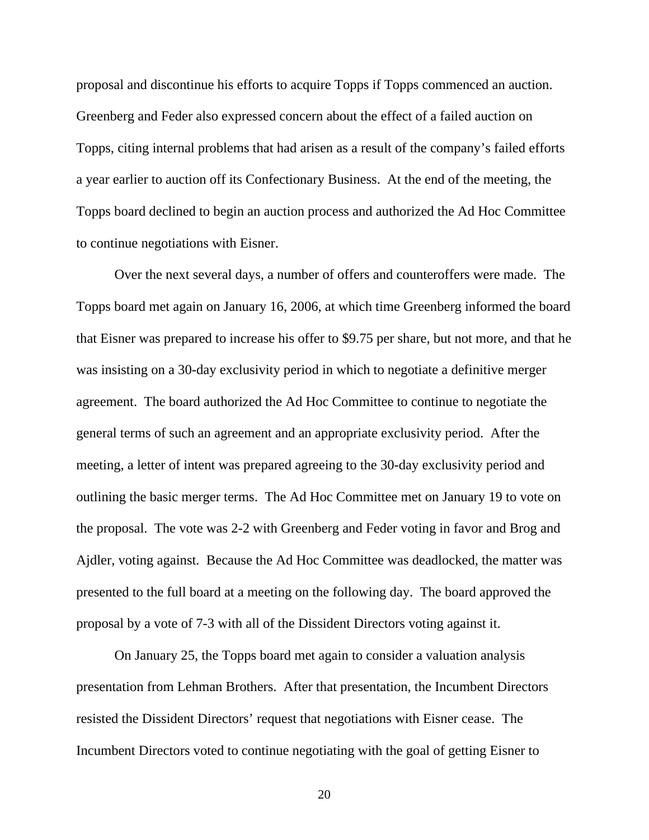proposal and discontinue his efforts to acquire Topps if Topps commenced an auction. Greenberg and Feder also expressed concern about the effect of a failed auction on Topps, citing internal problems that had arisen as a result of the company's failed efforts a year earlier to auction off its Confectionary Business. At the end of the meeting, the Topps board declined to begin an auction process and authorized the Ad Hoc Committee to continue negotiations with Eisner.

Over the next several days, a number of offers and counteroffers were made. The Topps board met again on January 16, 2006, at which time Greenberg informed the board that Eisner was prepared to increase his offer to \$9.75 per share, but not more, and that he was insisting on a 30-day exclusivity period in which to negotiate a definitive merger agreement. The board authorized the Ad Hoc Committee to continue to negotiate the general terms of such an agreement and an appropriate exclusivity period. After the meeting, a letter of intent was prepared agreeing to the 30-day exclusivity period and outlining the basic merger terms. The Ad Hoc Committee met on January 19 to vote on the proposal. The vote was 2-2 with Greenberg and Feder voting in favor and Brog and Ajdler, voting against. Because the Ad Hoc Committee was deadlocked, the matter was presented to the full board at a meeting on the following day. The board approved the proposal by a vote of 7-3 with all of the Dissident Directors voting against it.

On January 25, the Topps board met again to consider a valuation analysis presentation from Lehman Brothers. After that presentation, the Incumbent Directors resisted the Dissident Directors' request that negotiations with Eisner cease. The Incumbent Directors voted to continue negotiating with the goal of getting Eisner to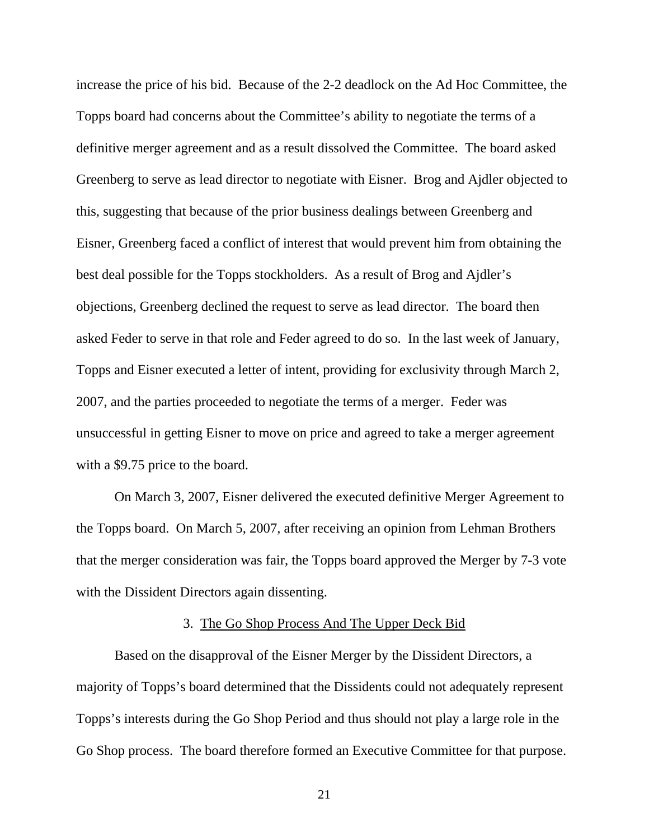increase the price of his bid. Because of the 2-2 deadlock on the Ad Hoc Committee, the Topps board had concerns about the Committee's ability to negotiate the terms of a definitive merger agreement and as a result dissolved the Committee. The board asked Greenberg to serve as lead director to negotiate with Eisner. Brog and Ajdler objected to this, suggesting that because of the prior business dealings between Greenberg and Eisner, Greenberg faced a conflict of interest that would prevent him from obtaining the best deal possible for the Topps stockholders. As a result of Brog and Ajdler's objections, Greenberg declined the request to serve as lead director. The board then asked Feder to serve in that role and Feder agreed to do so. In the last week of January, Topps and Eisner executed a letter of intent, providing for exclusivity through March 2, 2007, and the parties proceeded to negotiate the terms of a merger. Feder was unsuccessful in getting Eisner to move on price and agreed to take a merger agreement with a \$9.75 price to the board.

On March 3, 2007, Eisner delivered the executed definitive Merger Agreement to the Topps board. On March 5, 2007, after receiving an opinion from Lehman Brothers that the merger consideration was fair, the Topps board approved the Merger by 7-3 vote with the Dissident Directors again dissenting.

### 3. The Go Shop Process And The Upper Deck Bid

 Based on the disapproval of the Eisner Merger by the Dissident Directors, a majority of Topps's board determined that the Dissidents could not adequately represent Topps's interests during the Go Shop Period and thus should not play a large role in the Go Shop process. The board therefore formed an Executive Committee for that purpose.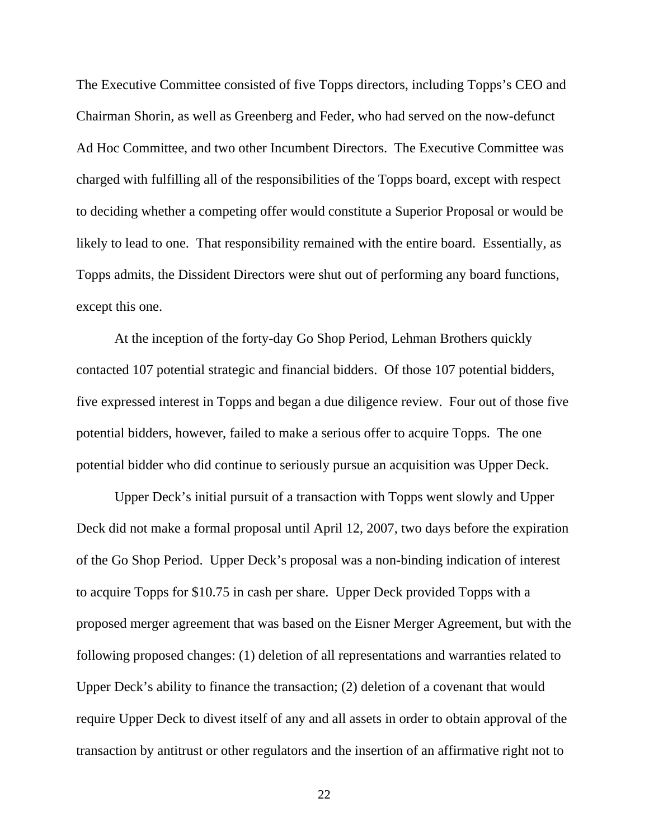The Executive Committee consisted of five Topps directors, including Topps's CEO and Chairman Shorin, as well as Greenberg and Feder, who had served on the now-defunct Ad Hoc Committee, and two other Incumbent Directors. The Executive Committee was charged with fulfilling all of the responsibilities of the Topps board, except with respect to deciding whether a competing offer would constitute a Superior Proposal or would be likely to lead to one. That responsibility remained with the entire board. Essentially, as Topps admits, the Dissident Directors were shut out of performing any board functions, except this one.

At the inception of the forty-day Go Shop Period, Lehman Brothers quickly contacted 107 potential strategic and financial bidders. Of those 107 potential bidders, five expressed interest in Topps and began a due diligence review. Four out of those five potential bidders, however, failed to make a serious offer to acquire Topps. The one potential bidder who did continue to seriously pursue an acquisition was Upper Deck.

Upper Deck's initial pursuit of a transaction with Topps went slowly and Upper Deck did not make a formal proposal until April 12, 2007, two days before the expiration of the Go Shop Period. Upper Deck's proposal was a non-binding indication of interest to acquire Topps for \$10.75 in cash per share. Upper Deck provided Topps with a proposed merger agreement that was based on the Eisner Merger Agreement, but with the following proposed changes: (1) deletion of all representations and warranties related to Upper Deck's ability to finance the transaction; (2) deletion of a covenant that would require Upper Deck to divest itself of any and all assets in order to obtain approval of the transaction by antitrust or other regulators and the insertion of an affirmative right not to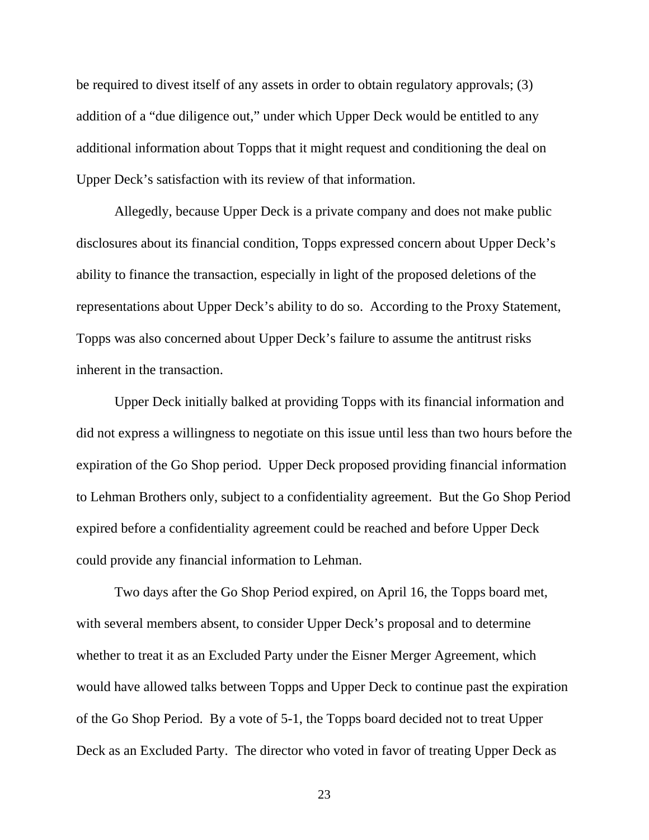be required to divest itself of any assets in order to obtain regulatory approvals; (3) addition of a "due diligence out," under which Upper Deck would be entitled to any additional information about Topps that it might request and conditioning the deal on Upper Deck's satisfaction with its review of that information.

 Allegedly, because Upper Deck is a private company and does not make public disclosures about its financial condition, Topps expressed concern about Upper Deck's ability to finance the transaction, especially in light of the proposed deletions of the representations about Upper Deck's ability to do so. According to the Proxy Statement, Topps was also concerned about Upper Deck's failure to assume the antitrust risks inherent in the transaction.

Upper Deck initially balked at providing Topps with its financial information and did not express a willingness to negotiate on this issue until less than two hours before the expiration of the Go Shop period. Upper Deck proposed providing financial information to Lehman Brothers only, subject to a confidentiality agreement. But the Go Shop Period expired before a confidentiality agreement could be reached and before Upper Deck could provide any financial information to Lehman.

 Two days after the Go Shop Period expired, on April 16, the Topps board met, with several members absent, to consider Upper Deck's proposal and to determine whether to treat it as an Excluded Party under the Eisner Merger Agreement, which would have allowed talks between Topps and Upper Deck to continue past the expiration of the Go Shop Period. By a vote of 5-1, the Topps board decided not to treat Upper Deck as an Excluded Party. The director who voted in favor of treating Upper Deck as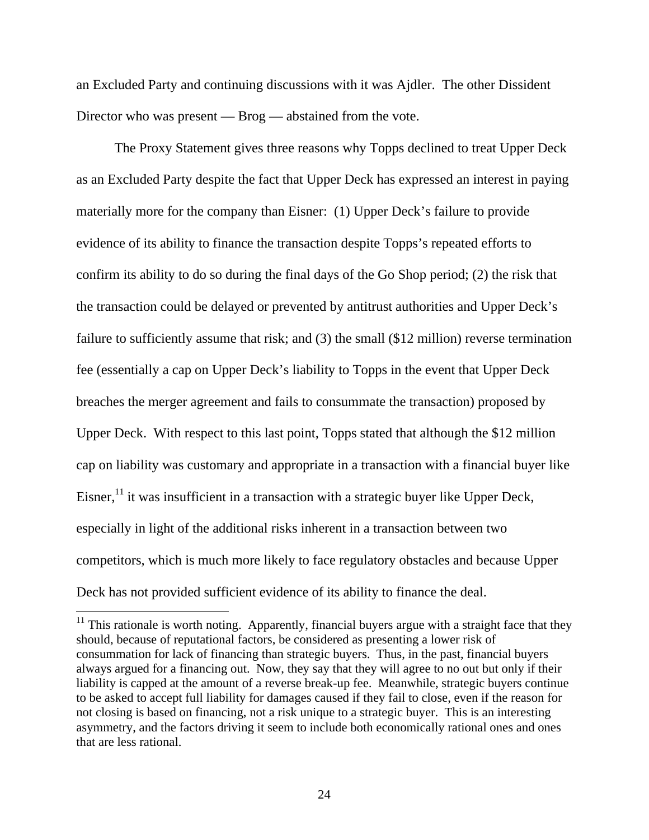an Excluded Party and continuing discussions with it was Ajdler. The other Dissident Director who was present — Brog — abstained from the vote.

The Proxy Statement gives three reasons why Topps declined to treat Upper Deck as an Excluded Party despite the fact that Upper Deck has expressed an interest in paying materially more for the company than Eisner: (1) Upper Deck's failure to provide evidence of its ability to finance the transaction despite Topps's repeated efforts to confirm its ability to do so during the final days of the Go Shop period; (2) the risk that the transaction could be delayed or prevented by antitrust authorities and Upper Deck's failure to sufficiently assume that risk; and (3) the small (\$12 million) reverse termination fee (essentially a cap on Upper Deck's liability to Topps in the event that Upper Deck breaches the merger agreement and fails to consummate the transaction) proposed by Upper Deck. With respect to this last point, Topps stated that although the \$12 million cap on liability was customary and appropriate in a transaction with a financial buyer like Eisner, $^{11}$  it was insufficient in a transaction with a strategic buyer like Upper Deck, especially in light of the additional risks inherent in a transaction between two competitors, which is much more likely to face regulatory obstacles and because Upper Deck has not provided sufficient evidence of its ability to finance the deal.

 $11$  This rationale is worth noting. Apparently, financial buyers argue with a straight face that they should, because of reputational factors, be considered as presenting a lower risk of consummation for lack of financing than strategic buyers. Thus, in the past, financial buyers always argued for a financing out. Now, they say that they will agree to no out but only if their liability is capped at the amount of a reverse break-up fee. Meanwhile, strategic buyers continue to be asked to accept full liability for damages caused if they fail to close, even if the reason for not closing is based on financing, not a risk unique to a strategic buyer. This is an interesting asymmetry, and the factors driving it seem to include both economically rational ones and ones that are less rational.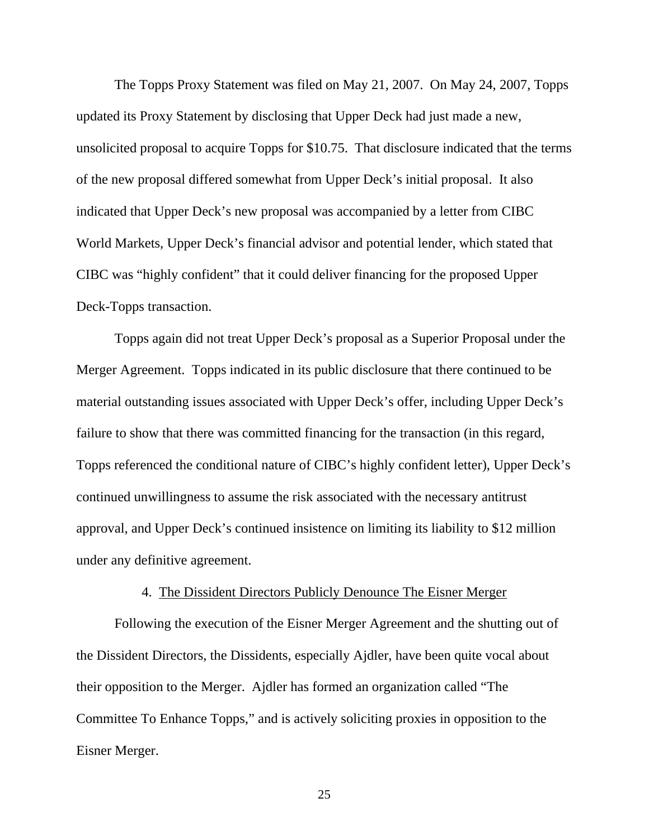The Topps Proxy Statement was filed on May 21, 2007. On May 24, 2007, Topps updated its Proxy Statement by disclosing that Upper Deck had just made a new, unsolicited proposal to acquire Topps for \$10.75. That disclosure indicated that the terms of the new proposal differed somewhat from Upper Deck's initial proposal. It also indicated that Upper Deck's new proposal was accompanied by a letter from CIBC World Markets, Upper Deck's financial advisor and potential lender, which stated that CIBC was "highly confident" that it could deliver financing for the proposed Upper Deck-Topps transaction.

Topps again did not treat Upper Deck's proposal as a Superior Proposal under the Merger Agreement. Topps indicated in its public disclosure that there continued to be material outstanding issues associated with Upper Deck's offer, including Upper Deck's failure to show that there was committed financing for the transaction (in this regard, Topps referenced the conditional nature of CIBC's highly confident letter), Upper Deck's continued unwillingness to assume the risk associated with the necessary antitrust approval, and Upper Deck's continued insistence on limiting its liability to \$12 million under any definitive agreement.

### 4. The Dissident Directors Publicly Denounce The Eisner Merger

 Following the execution of the Eisner Merger Agreement and the shutting out of the Dissident Directors, the Dissidents, especially Ajdler, have been quite vocal about their opposition to the Merger. Ajdler has formed an organization called "The Committee To Enhance Topps," and is actively soliciting proxies in opposition to the Eisner Merger.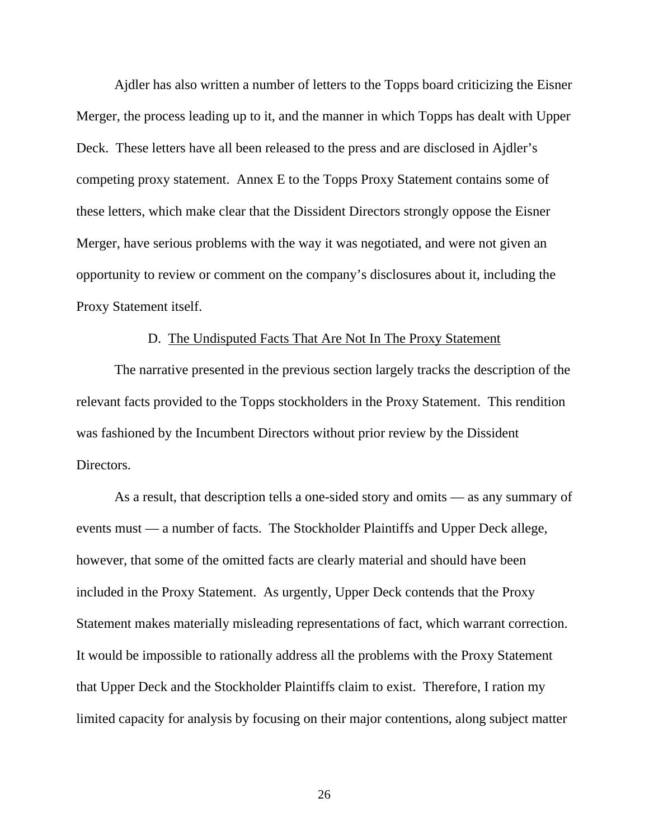Ajdler has also written a number of letters to the Topps board criticizing the Eisner Merger, the process leading up to it, and the manner in which Topps has dealt with Upper Deck. These letters have all been released to the press and are disclosed in Ajdler's competing proxy statement. Annex E to the Topps Proxy Statement contains some of these letters, which make clear that the Dissident Directors strongly oppose the Eisner Merger, have serious problems with the way it was negotiated, and were not given an opportunity to review or comment on the company's disclosures about it, including the Proxy Statement itself.

#### D. The Undisputed Facts That Are Not In The Proxy Statement

The narrative presented in the previous section largely tracks the description of the relevant facts provided to the Topps stockholders in the Proxy Statement. This rendition was fashioned by the Incumbent Directors without prior review by the Dissident Directors.

As a result, that description tells a one-sided story and omits — as any summary of events must — a number of facts. The Stockholder Plaintiffs and Upper Deck allege, however, that some of the omitted facts are clearly material and should have been included in the Proxy Statement. As urgently, Upper Deck contends that the Proxy Statement makes materially misleading representations of fact, which warrant correction. It would be impossible to rationally address all the problems with the Proxy Statement that Upper Deck and the Stockholder Plaintiffs claim to exist. Therefore, I ration my limited capacity for analysis by focusing on their major contentions, along subject matter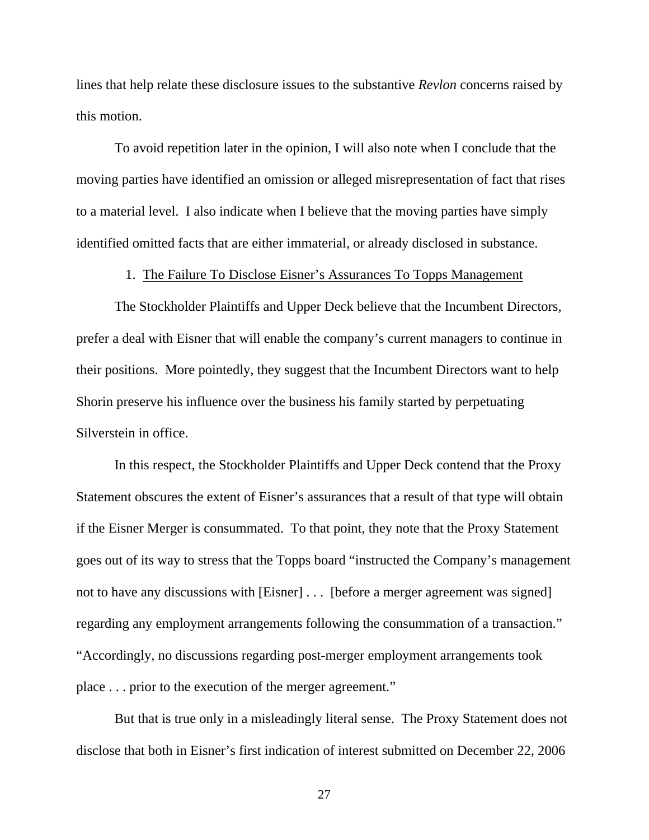lines that help relate these disclosure issues to the substantive *Revlon* concerns raised by this motion.

To avoid repetition later in the opinion, I will also note when I conclude that the moving parties have identified an omission or alleged misrepresentation of fact that rises to a material level. I also indicate when I believe that the moving parties have simply identified omitted facts that are either immaterial, or already disclosed in substance.

1. The Failure To Disclose Eisner's Assurances To Topps Management

The Stockholder Plaintiffs and Upper Deck believe that the Incumbent Directors, prefer a deal with Eisner that will enable the company's current managers to continue in their positions. More pointedly, they suggest that the Incumbent Directors want to help Shorin preserve his influence over the business his family started by perpetuating Silverstein in office.

In this respect, the Stockholder Plaintiffs and Upper Deck contend that the Proxy Statement obscures the extent of Eisner's assurances that a result of that type will obtain if the Eisner Merger is consummated. To that point, they note that the Proxy Statement goes out of its way to stress that the Topps board "instructed the Company's management not to have any discussions with [Eisner] . . . [before a merger agreement was signed] regarding any employment arrangements following the consummation of a transaction." "Accordingly, no discussions regarding post-merger employment arrangements took place . . . prior to the execution of the merger agreement."

But that is true only in a misleadingly literal sense. The Proxy Statement does not disclose that both in Eisner's first indication of interest submitted on December 22, 2006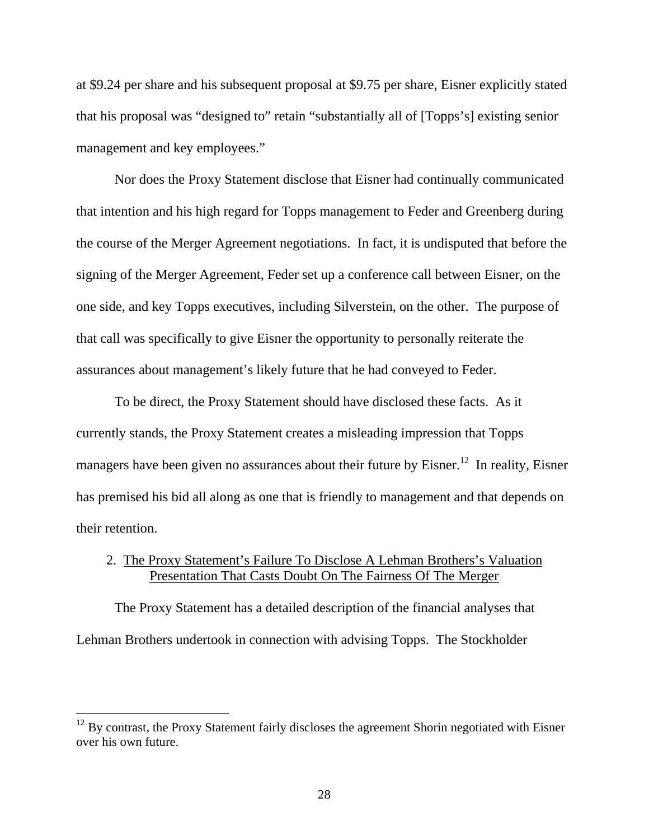at \$9.24 per share and his subsequent proposal at \$9.75 per share, Eisner explicitly stated that his proposal was "designed to" retain "substantially all of [Topps's] existing senior management and key employees."

Nor does the Proxy Statement disclose that Eisner had continually communicated that intention and his high regard for Topps management to Feder and Greenberg during the course of the Merger Agreement negotiations. In fact, it is undisputed that before the signing of the Merger Agreement, Feder set up a conference call between Eisner, on the one side, and key Topps executives, including Silverstein, on the other. The purpose of that call was specifically to give Eisner the opportunity to personally reiterate the assurances about management's likely future that he had conveyed to Feder.

 To be direct, the Proxy Statement should have disclosed these facts. As it currently stands, the Proxy Statement creates a misleading impression that Topps managers have been given no assurances about their future by Eisner.<sup>12</sup> In reality, Eisner has premised his bid all along as one that is friendly to management and that depends on their retention.

# 2. The Proxy Statement's Failure To Disclose A Lehman Brothers's Valuation Presentation That Casts Doubt On The Fairness Of The Merger

 The Proxy Statement has a detailed description of the financial analyses that Lehman Brothers undertook in connection with advising Topps. The Stockholder

 $12$  By contrast, the Proxy Statement fairly discloses the agreement Shorin negotiated with Eisner over his own future.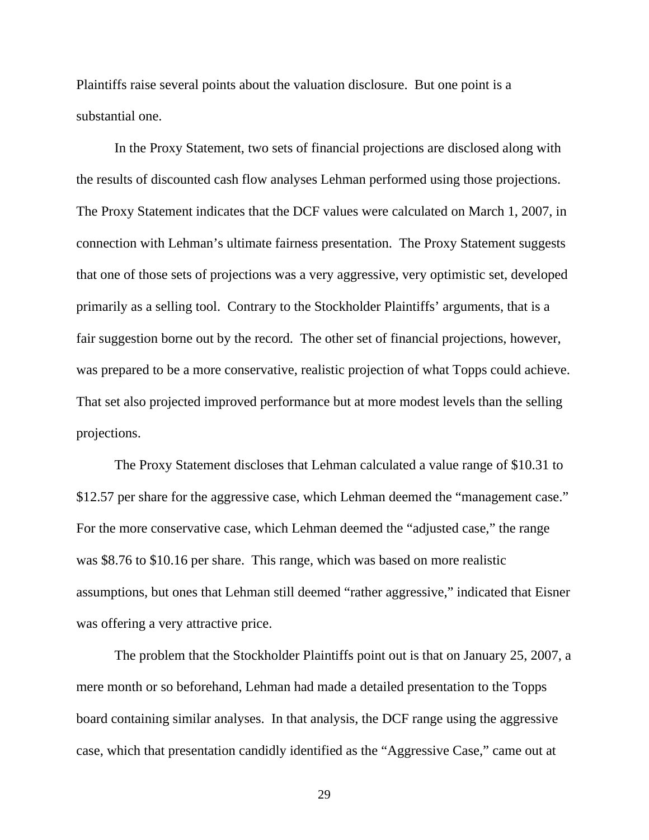Plaintiffs raise several points about the valuation disclosure. But one point is a substantial one.

 In the Proxy Statement, two sets of financial projections are disclosed along with the results of discounted cash flow analyses Lehman performed using those projections. The Proxy Statement indicates that the DCF values were calculated on March 1, 2007, in connection with Lehman's ultimate fairness presentation. The Proxy Statement suggests that one of those sets of projections was a very aggressive, very optimistic set, developed primarily as a selling tool. Contrary to the Stockholder Plaintiffs' arguments, that is a fair suggestion borne out by the record. The other set of financial projections, however, was prepared to be a more conservative, realistic projection of what Topps could achieve. That set also projected improved performance but at more modest levels than the selling projections.

 The Proxy Statement discloses that Lehman calculated a value range of \$10.31 to \$12.57 per share for the aggressive case, which Lehman deemed the "management case." For the more conservative case, which Lehman deemed the "adjusted case," the range was \$8.76 to \$10.16 per share. This range, which was based on more realistic assumptions, but ones that Lehman still deemed "rather aggressive," indicated that Eisner was offering a very attractive price.

 The problem that the Stockholder Plaintiffs point out is that on January 25, 2007, a mere month or so beforehand, Lehman had made a detailed presentation to the Topps board containing similar analyses. In that analysis, the DCF range using the aggressive case, which that presentation candidly identified as the "Aggressive Case," came out at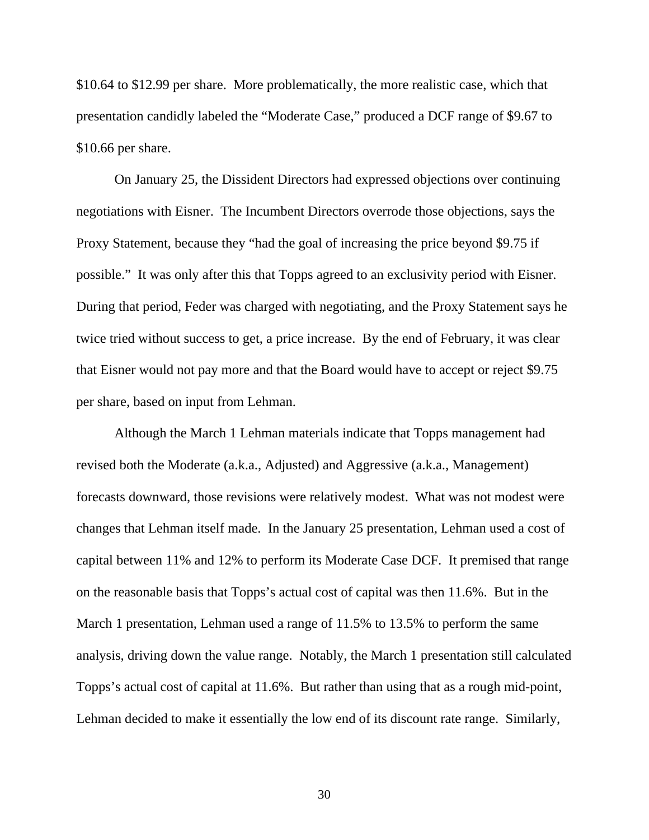\$10.64 to \$12.99 per share. More problematically, the more realistic case, which that presentation candidly labeled the "Moderate Case," produced a DCF range of \$9.67 to \$10.66 per share.

On January 25, the Dissident Directors had expressed objections over continuing negotiations with Eisner. The Incumbent Directors overrode those objections, says the Proxy Statement, because they "had the goal of increasing the price beyond \$9.75 if possible." It was only after this that Topps agreed to an exclusivity period with Eisner. During that period, Feder was charged with negotiating, and the Proxy Statement says he twice tried without success to get, a price increase. By the end of February, it was clear that Eisner would not pay more and that the Board would have to accept or reject \$9.75 per share, based on input from Lehman.

 Although the March 1 Lehman materials indicate that Topps management had revised both the Moderate (a.k.a., Adjusted) and Aggressive (a.k.a., Management) forecasts downward, those revisions were relatively modest. What was not modest were changes that Lehman itself made. In the January 25 presentation, Lehman used a cost of capital between 11% and 12% to perform its Moderate Case DCF. It premised that range on the reasonable basis that Topps's actual cost of capital was then 11.6%. But in the March 1 presentation, Lehman used a range of 11.5% to 13.5% to perform the same analysis, driving down the value range. Notably, the March 1 presentation still calculated Topps's actual cost of capital at 11.6%. But rather than using that as a rough mid-point, Lehman decided to make it essentially the low end of its discount rate range. Similarly,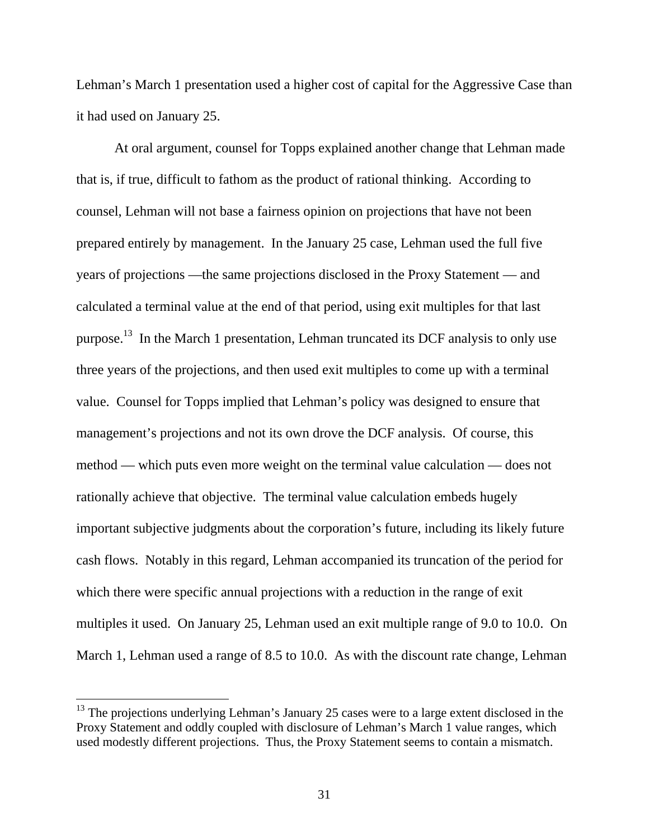Lehman's March 1 presentation used a higher cost of capital for the Aggressive Case than it had used on January 25.

 At oral argument, counsel for Topps explained another change that Lehman made that is, if true, difficult to fathom as the product of rational thinking. According to counsel, Lehman will not base a fairness opinion on projections that have not been prepared entirely by management. In the January 25 case, Lehman used the full five years of projections —the same projections disclosed in the Proxy Statement — and calculated a terminal value at the end of that period, using exit multiples for that last purpose.13 In the March 1 presentation, Lehman truncated its DCF analysis to only use three years of the projections, and then used exit multiples to come up with a terminal value. Counsel for Topps implied that Lehman's policy was designed to ensure that management's projections and not its own drove the DCF analysis. Of course, this method — which puts even more weight on the terminal value calculation — does not rationally achieve that objective. The terminal value calculation embeds hugely important subjective judgments about the corporation's future, including its likely future cash flows. Notably in this regard, Lehman accompanied its truncation of the period for which there were specific annual projections with a reduction in the range of exit multiples it used. On January 25, Lehman used an exit multiple range of 9.0 to 10.0. On March 1, Lehman used a range of 8.5 to 10.0. As with the discount rate change, Lehman

<sup>&</sup>lt;sup>13</sup> The projections underlying Lehman's January 25 cases were to a large extent disclosed in the Proxy Statement and oddly coupled with disclosure of Lehman's March 1 value ranges, which used modestly different projections. Thus, the Proxy Statement seems to contain a mismatch.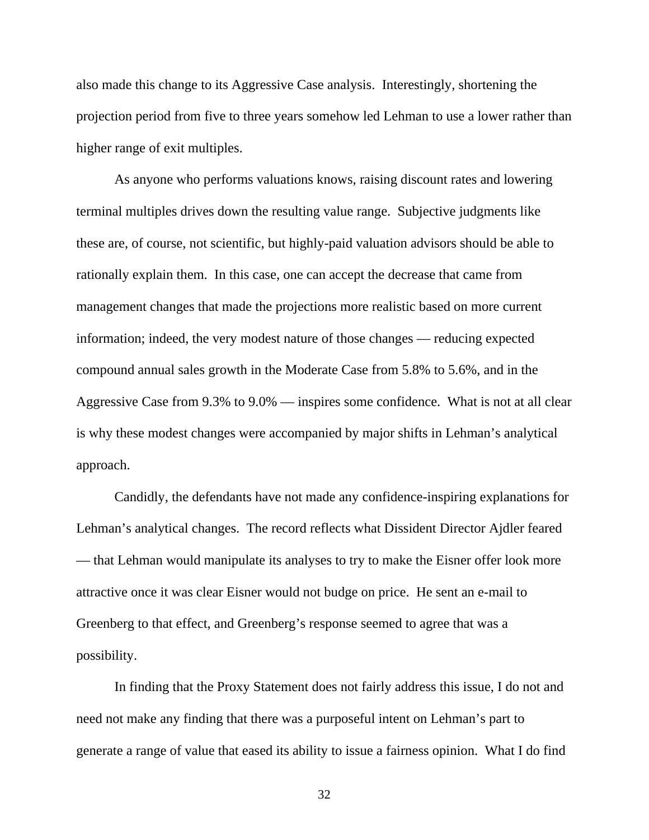also made this change to its Aggressive Case analysis. Interestingly, shortening the projection period from five to three years somehow led Lehman to use a lower rather than higher range of exit multiples.

 As anyone who performs valuations knows, raising discount rates and lowering terminal multiples drives down the resulting value range. Subjective judgments like these are, of course, not scientific, but highly-paid valuation advisors should be able to rationally explain them. In this case, one can accept the decrease that came from management changes that made the projections more realistic based on more current information; indeed, the very modest nature of those changes — reducing expected compound annual sales growth in the Moderate Case from 5.8% to 5.6%, and in the Aggressive Case from 9.3% to 9.0% — inspires some confidence. What is not at all clear is why these modest changes were accompanied by major shifts in Lehman's analytical approach.

 Candidly, the defendants have not made any confidence-inspiring explanations for Lehman's analytical changes. The record reflects what Dissident Director Ajdler feared — that Lehman would manipulate its analyses to try to make the Eisner offer look more attractive once it was clear Eisner would not budge on price. He sent an e-mail to Greenberg to that effect, and Greenberg's response seemed to agree that was a possibility.

 In finding that the Proxy Statement does not fairly address this issue, I do not and need not make any finding that there was a purposeful intent on Lehman's part to generate a range of value that eased its ability to issue a fairness opinion. What I do find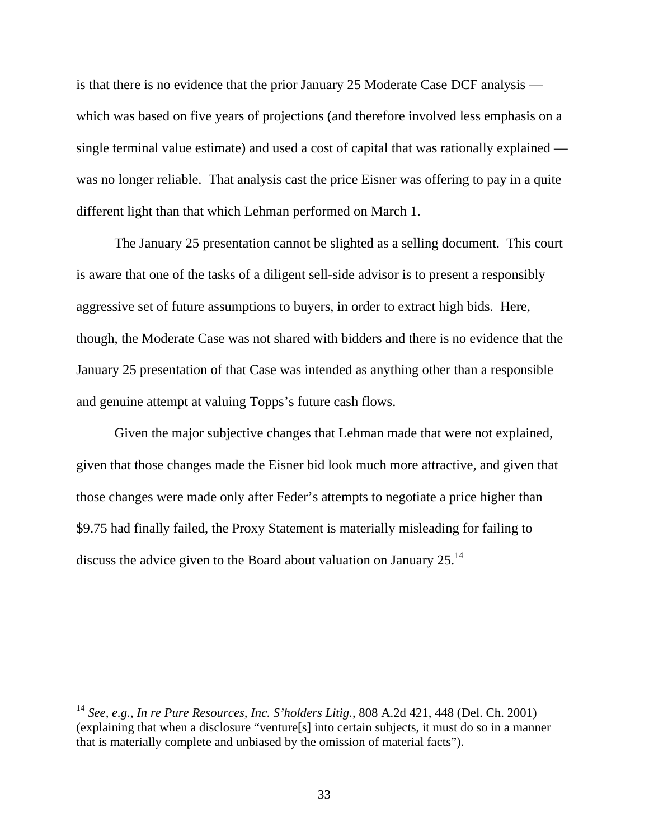is that there is no evidence that the prior January 25 Moderate Case DCF analysis which was based on five years of projections (and therefore involved less emphasis on a single terminal value estimate) and used a cost of capital that was rationally explained was no longer reliable. That analysis cast the price Eisner was offering to pay in a quite different light than that which Lehman performed on March 1.

 The January 25 presentation cannot be slighted as a selling document. This court is aware that one of the tasks of a diligent sell-side advisor is to present a responsibly aggressive set of future assumptions to buyers, in order to extract high bids. Here, though, the Moderate Case was not shared with bidders and there is no evidence that the January 25 presentation of that Case was intended as anything other than a responsible and genuine attempt at valuing Topps's future cash flows.

 Given the major subjective changes that Lehman made that were not explained, given that those changes made the Eisner bid look much more attractive, and given that those changes were made only after Feder's attempts to negotiate a price higher than \$9.75 had finally failed, the Proxy Statement is materially misleading for failing to discuss the advice given to the Board about valuation on January 25.<sup>14</sup>

<sup>14</sup> *See, e.g., In re Pure Resources, Inc. S'holders Litig.*, 808 A.2d 421, 448 (Del. Ch. 2001) (explaining that when a disclosure "venture[s] into certain subjects, it must do so in a manner that is materially complete and unbiased by the omission of material facts").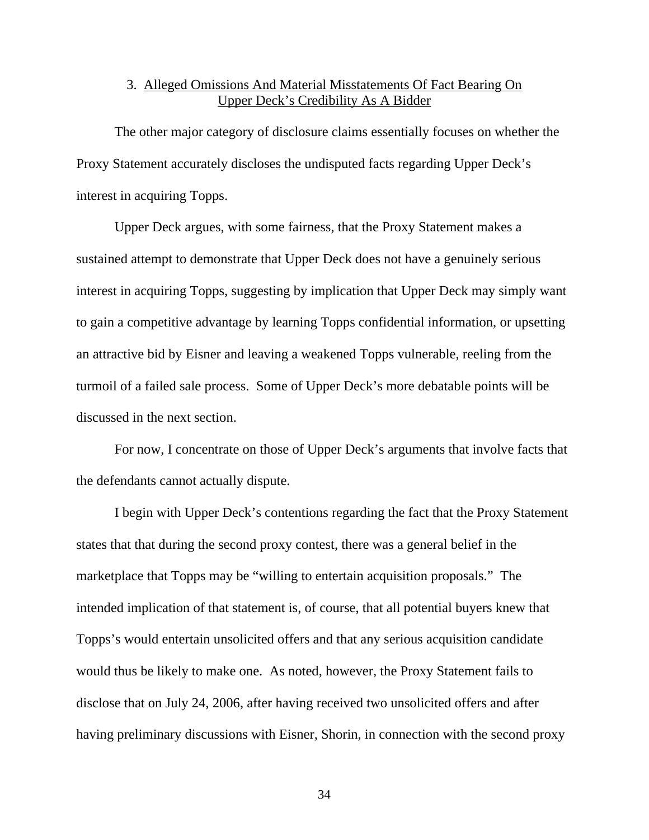# 3. Alleged Omissions And Material Misstatements Of Fact Bearing On Upper Deck's Credibility As A Bidder

The other major category of disclosure claims essentially focuses on whether the Proxy Statement accurately discloses the undisputed facts regarding Upper Deck's interest in acquiring Topps.

Upper Deck argues, with some fairness, that the Proxy Statement makes a sustained attempt to demonstrate that Upper Deck does not have a genuinely serious interest in acquiring Topps, suggesting by implication that Upper Deck may simply want to gain a competitive advantage by learning Topps confidential information, or upsetting an attractive bid by Eisner and leaving a weakened Topps vulnerable, reeling from the turmoil of a failed sale process. Some of Upper Deck's more debatable points will be discussed in the next section.

For now, I concentrate on those of Upper Deck's arguments that involve facts that the defendants cannot actually dispute.

I begin with Upper Deck's contentions regarding the fact that the Proxy Statement states that that during the second proxy contest, there was a general belief in the marketplace that Topps may be "willing to entertain acquisition proposals." The intended implication of that statement is, of course, that all potential buyers knew that Topps's would entertain unsolicited offers and that any serious acquisition candidate would thus be likely to make one. As noted, however, the Proxy Statement fails to disclose that on July 24, 2006, after having received two unsolicited offers and after having preliminary discussions with Eisner, Shorin, in connection with the second proxy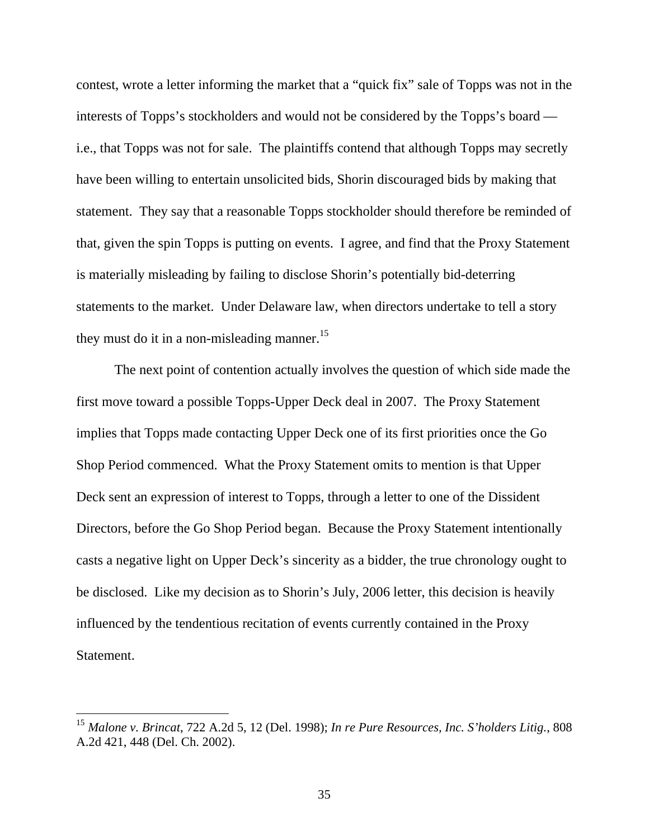contest, wrote a letter informing the market that a "quick fix" sale of Topps was not in the interests of Topps's stockholders and would not be considered by the Topps's board i.e., that Topps was not for sale. The plaintiffs contend that although Topps may secretly have been willing to entertain unsolicited bids, Shorin discouraged bids by making that statement. They say that a reasonable Topps stockholder should therefore be reminded of that, given the spin Topps is putting on events. I agree, and find that the Proxy Statement is materially misleading by failing to disclose Shorin's potentially bid-deterring statements to the market. Under Delaware law, when directors undertake to tell a story they must do it in a non-misleading manner.<sup>15</sup>

The next point of contention actually involves the question of which side made the first move toward a possible Topps-Upper Deck deal in 2007. The Proxy Statement implies that Topps made contacting Upper Deck one of its first priorities once the Go Shop Period commenced. What the Proxy Statement omits to mention is that Upper Deck sent an expression of interest to Topps, through a letter to one of the Dissident Directors, before the Go Shop Period began. Because the Proxy Statement intentionally casts a negative light on Upper Deck's sincerity as a bidder, the true chronology ought to be disclosed. Like my decision as to Shorin's July, 2006 letter, this decision is heavily influenced by the tendentious recitation of events currently contained in the Proxy Statement.

<sup>15</sup> *Malone v. Brincat*, 722 A.2d 5, 12 (Del. 1998); *In re Pure Resources, Inc. S'holders Litig.*, 808 A.2d 421, 448 (Del. Ch. 2002).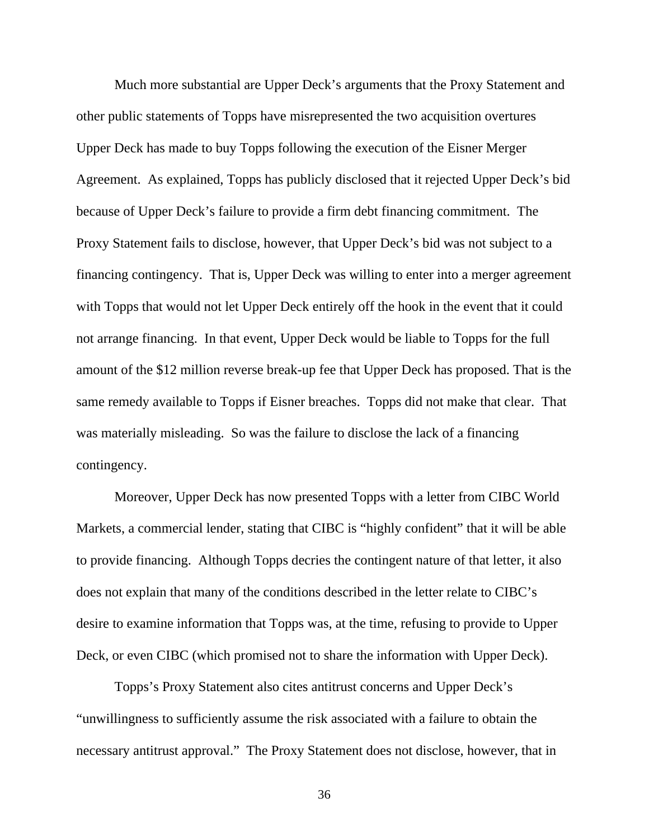Much more substantial are Upper Deck's arguments that the Proxy Statement and other public statements of Topps have misrepresented the two acquisition overtures Upper Deck has made to buy Topps following the execution of the Eisner Merger Agreement. As explained, Topps has publicly disclosed that it rejected Upper Deck's bid because of Upper Deck's failure to provide a firm debt financing commitment. The Proxy Statement fails to disclose, however, that Upper Deck's bid was not subject to a financing contingency. That is, Upper Deck was willing to enter into a merger agreement with Topps that would not let Upper Deck entirely off the hook in the event that it could not arrange financing. In that event, Upper Deck would be liable to Topps for the full amount of the \$12 million reverse break-up fee that Upper Deck has proposed. That is the same remedy available to Topps if Eisner breaches. Topps did not make that clear. That was materially misleading. So was the failure to disclose the lack of a financing contingency.

Moreover, Upper Deck has now presented Topps with a letter from CIBC World Markets, a commercial lender, stating that CIBC is "highly confident" that it will be able to provide financing. Although Topps decries the contingent nature of that letter, it also does not explain that many of the conditions described in the letter relate to CIBC's desire to examine information that Topps was, at the time, refusing to provide to Upper Deck, or even CIBC (which promised not to share the information with Upper Deck).

Topps's Proxy Statement also cites antitrust concerns and Upper Deck's "unwillingness to sufficiently assume the risk associated with a failure to obtain the necessary antitrust approval." The Proxy Statement does not disclose, however, that in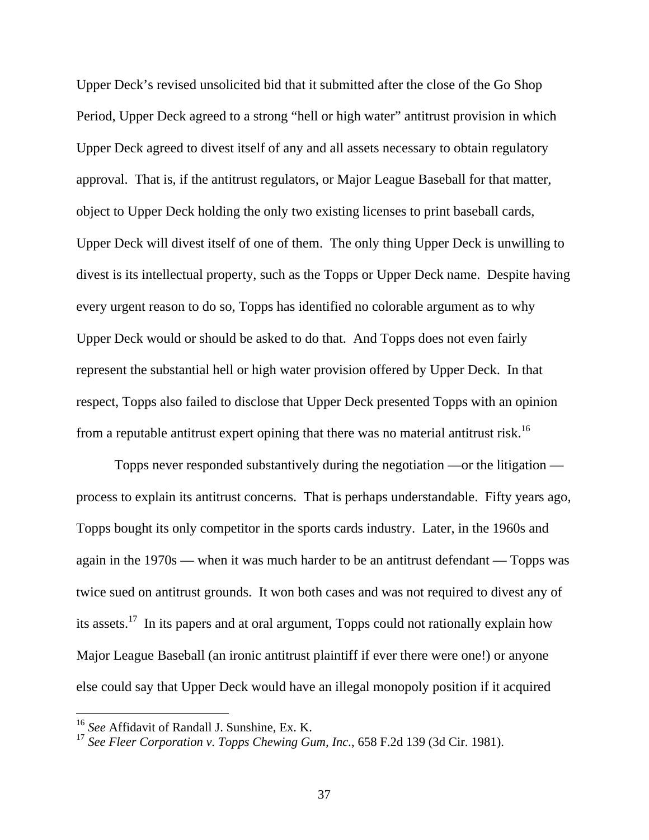Upper Deck's revised unsolicited bid that it submitted after the close of the Go Shop Period, Upper Deck agreed to a strong "hell or high water" antitrust provision in which Upper Deck agreed to divest itself of any and all assets necessary to obtain regulatory approval. That is, if the antitrust regulators, or Major League Baseball for that matter, object to Upper Deck holding the only two existing licenses to print baseball cards, Upper Deck will divest itself of one of them. The only thing Upper Deck is unwilling to divest is its intellectual property, such as the Topps or Upper Deck name. Despite having every urgent reason to do so, Topps has identified no colorable argument as to why Upper Deck would or should be asked to do that. And Topps does not even fairly represent the substantial hell or high water provision offered by Upper Deck. In that respect, Topps also failed to disclose that Upper Deck presented Topps with an opinion from a reputable antitrust expert opining that there was no material antitrust risk.<sup>16</sup>

Topps never responded substantively during the negotiation —or the litigation process to explain its antitrust concerns. That is perhaps understandable. Fifty years ago, Topps bought its only competitor in the sports cards industry. Later, in the 1960s and again in the 1970s — when it was much harder to be an antitrust defendant — Topps was twice sued on antitrust grounds. It won both cases and was not required to divest any of its assets.17 In its papers and at oral argument, Topps could not rationally explain how Major League Baseball (an ironic antitrust plaintiff if ever there were one!) or anyone else could say that Upper Deck would have an illegal monopoly position if it acquired

<sup>16</sup> *See* Affidavit of Randall J. Sunshine, Ex. K.

<sup>17</sup> *See Fleer Corporation v. Topps Chewing Gum, Inc.*, 658 F.2d 139 (3d Cir. 1981).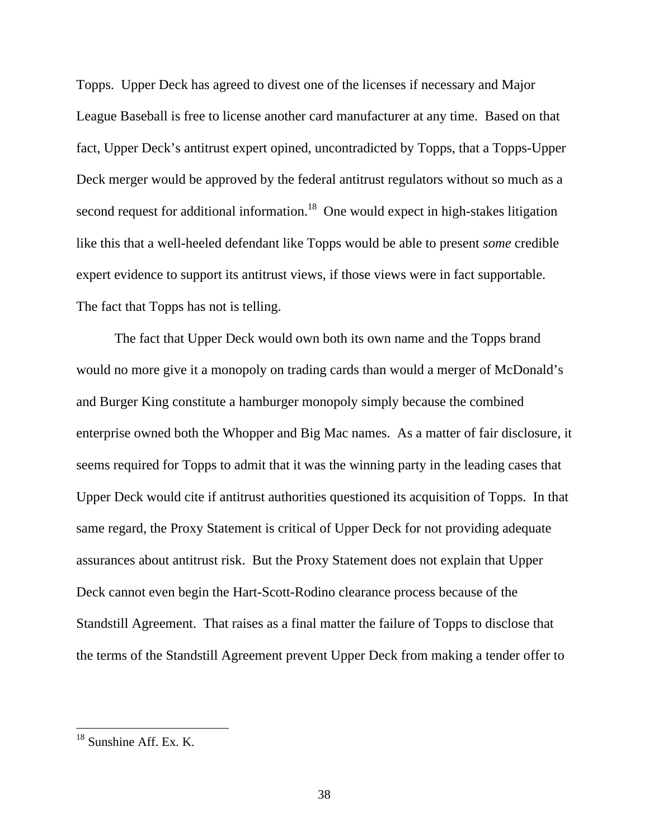Topps. Upper Deck has agreed to divest one of the licenses if necessary and Major League Baseball is free to license another card manufacturer at any time. Based on that fact, Upper Deck's antitrust expert opined, uncontradicted by Topps, that a Topps-Upper Deck merger would be approved by the federal antitrust regulators without so much as a second request for additional information.<sup>18</sup> One would expect in high-stakes litigation like this that a well-heeled defendant like Topps would be able to present *some* credible expert evidence to support its antitrust views, if those views were in fact supportable. The fact that Topps has not is telling.

The fact that Upper Deck would own both its own name and the Topps brand would no more give it a monopoly on trading cards than would a merger of McDonald's and Burger King constitute a hamburger monopoly simply because the combined enterprise owned both the Whopper and Big Mac names. As a matter of fair disclosure, it seems required for Topps to admit that it was the winning party in the leading cases that Upper Deck would cite if antitrust authorities questioned its acquisition of Topps. In that same regard, the Proxy Statement is critical of Upper Deck for not providing adequate assurances about antitrust risk. But the Proxy Statement does not explain that Upper Deck cannot even begin the Hart-Scott-Rodino clearance process because of the Standstill Agreement. That raises as a final matter the failure of Topps to disclose that the terms of the Standstill Agreement prevent Upper Deck from making a tender offer to

 $18$  Sunshine Aff. Ex. K.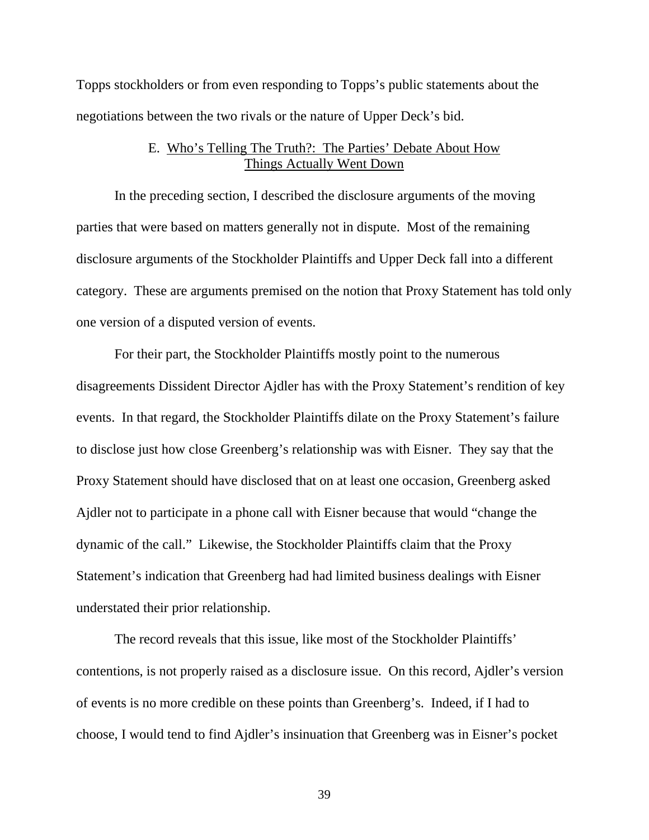Topps stockholders or from even responding to Topps's public statements about the negotiations between the two rivals or the nature of Upper Deck's bid.

# E. Who's Telling The Truth?: The Parties' Debate About How Things Actually Went Down

In the preceding section, I described the disclosure arguments of the moving parties that were based on matters generally not in dispute. Most of the remaining disclosure arguments of the Stockholder Plaintiffs and Upper Deck fall into a different category. These are arguments premised on the notion that Proxy Statement has told only one version of a disputed version of events.

For their part, the Stockholder Plaintiffs mostly point to the numerous disagreements Dissident Director Ajdler has with the Proxy Statement's rendition of key events. In that regard, the Stockholder Plaintiffs dilate on the Proxy Statement's failure to disclose just how close Greenberg's relationship was with Eisner. They say that the Proxy Statement should have disclosed that on at least one occasion, Greenberg asked Ajdler not to participate in a phone call with Eisner because that would "change the dynamic of the call." Likewise, the Stockholder Plaintiffs claim that the Proxy Statement's indication that Greenberg had had limited business dealings with Eisner understated their prior relationship.

The record reveals that this issue, like most of the Stockholder Plaintiffs' contentions, is not properly raised as a disclosure issue. On this record, Ajdler's version of events is no more credible on these points than Greenberg's. Indeed, if I had to choose, I would tend to find Ajdler's insinuation that Greenberg was in Eisner's pocket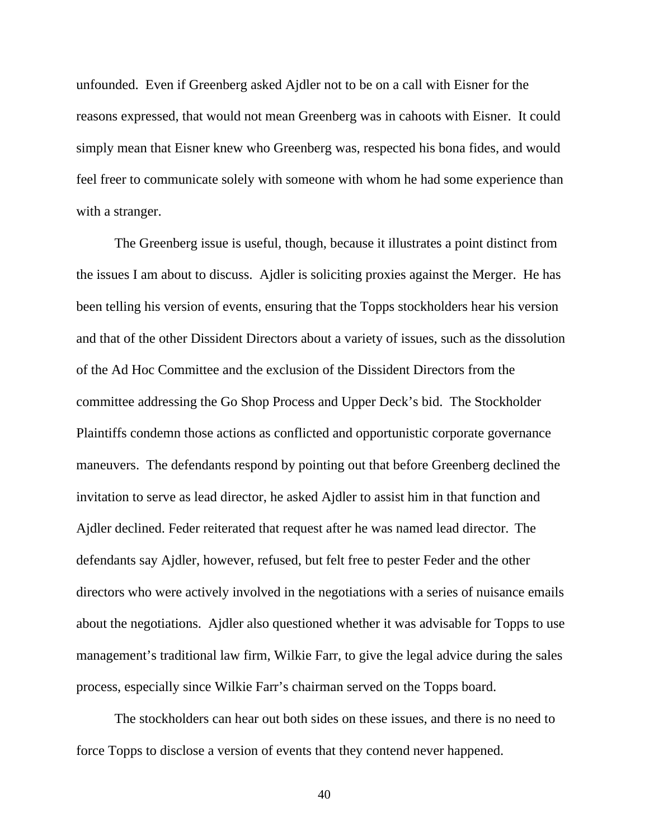unfounded. Even if Greenberg asked Ajdler not to be on a call with Eisner for the reasons expressed, that would not mean Greenberg was in cahoots with Eisner. It could simply mean that Eisner knew who Greenberg was, respected his bona fides, and would feel freer to communicate solely with someone with whom he had some experience than with a stranger.

The Greenberg issue is useful, though, because it illustrates a point distinct from the issues I am about to discuss. Ajdler is soliciting proxies against the Merger. He has been telling his version of events, ensuring that the Topps stockholders hear his version and that of the other Dissident Directors about a variety of issues, such as the dissolution of the Ad Hoc Committee and the exclusion of the Dissident Directors from the committee addressing the Go Shop Process and Upper Deck's bid. The Stockholder Plaintiffs condemn those actions as conflicted and opportunistic corporate governance maneuvers. The defendants respond by pointing out that before Greenberg declined the invitation to serve as lead director, he asked Ajdler to assist him in that function and Ajdler declined. Feder reiterated that request after he was named lead director. The defendants say Ajdler, however, refused, but felt free to pester Feder and the other directors who were actively involved in the negotiations with a series of nuisance emails about the negotiations. Ajdler also questioned whether it was advisable for Topps to use management's traditional law firm, Wilkie Farr, to give the legal advice during the sales process, especially since Wilkie Farr's chairman served on the Topps board.

The stockholders can hear out both sides on these issues, and there is no need to force Topps to disclose a version of events that they contend never happened.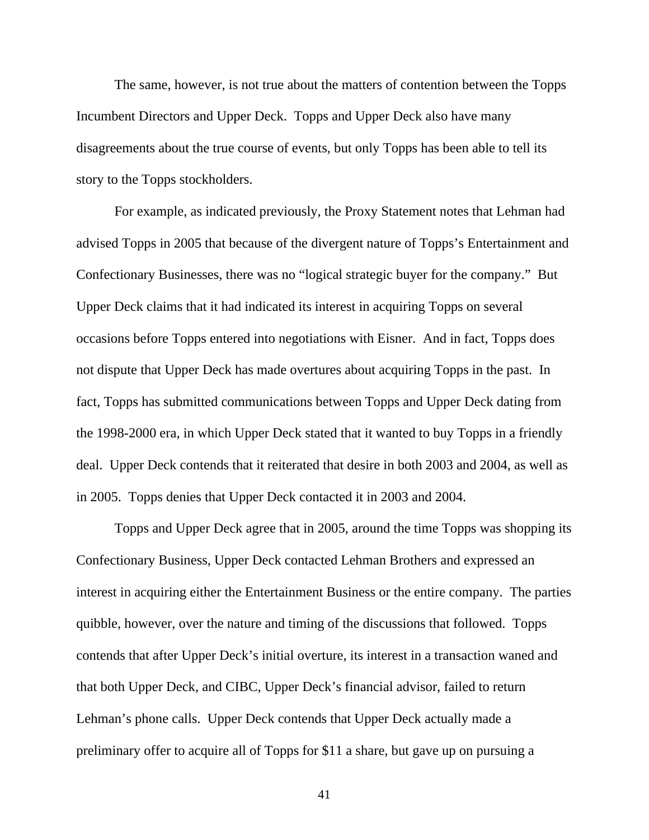The same, however, is not true about the matters of contention between the Topps Incumbent Directors and Upper Deck. Topps and Upper Deck also have many disagreements about the true course of events, but only Topps has been able to tell its story to the Topps stockholders.

 For example, as indicated previously, the Proxy Statement notes that Lehman had advised Topps in 2005 that because of the divergent nature of Topps's Entertainment and Confectionary Businesses, there was no "logical strategic buyer for the company." But Upper Deck claims that it had indicated its interest in acquiring Topps on several occasions before Topps entered into negotiations with Eisner. And in fact, Topps does not dispute that Upper Deck has made overtures about acquiring Topps in the past. In fact, Topps has submitted communications between Topps and Upper Deck dating from the 1998-2000 era, in which Upper Deck stated that it wanted to buy Topps in a friendly deal. Upper Deck contends that it reiterated that desire in both 2003 and 2004, as well as in 2005. Topps denies that Upper Deck contacted it in 2003 and 2004.

Topps and Upper Deck agree that in 2005, around the time Topps was shopping its Confectionary Business, Upper Deck contacted Lehman Brothers and expressed an interest in acquiring either the Entertainment Business or the entire company. The parties quibble, however, over the nature and timing of the discussions that followed. Topps contends that after Upper Deck's initial overture, its interest in a transaction waned and that both Upper Deck, and CIBC, Upper Deck's financial advisor, failed to return Lehman's phone calls. Upper Deck contends that Upper Deck actually made a preliminary offer to acquire all of Topps for \$11 a share, but gave up on pursuing a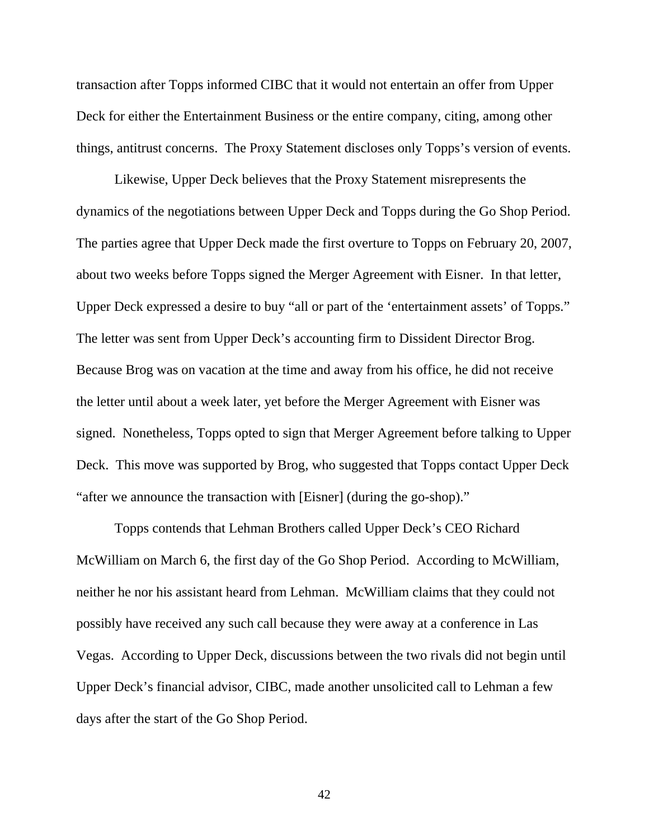transaction after Topps informed CIBC that it would not entertain an offer from Upper Deck for either the Entertainment Business or the entire company, citing, among other things, antitrust concerns. The Proxy Statement discloses only Topps's version of events.

Likewise, Upper Deck believes that the Proxy Statement misrepresents the dynamics of the negotiations between Upper Deck and Topps during the Go Shop Period. The parties agree that Upper Deck made the first overture to Topps on February 20, 2007, about two weeks before Topps signed the Merger Agreement with Eisner. In that letter, Upper Deck expressed a desire to buy "all or part of the 'entertainment assets' of Topps." The letter was sent from Upper Deck's accounting firm to Dissident Director Brog. Because Brog was on vacation at the time and away from his office, he did not receive the letter until about a week later, yet before the Merger Agreement with Eisner was signed. Nonetheless, Topps opted to sign that Merger Agreement before talking to Upper Deck. This move was supported by Brog, who suggested that Topps contact Upper Deck "after we announce the transaction with [Eisner] (during the go-shop)."

Topps contends that Lehman Brothers called Upper Deck's CEO Richard McWilliam on March 6, the first day of the Go Shop Period. According to McWilliam, neither he nor his assistant heard from Lehman. McWilliam claims that they could not possibly have received any such call because they were away at a conference in Las Vegas. According to Upper Deck, discussions between the two rivals did not begin until Upper Deck's financial advisor, CIBC, made another unsolicited call to Lehman a few days after the start of the Go Shop Period.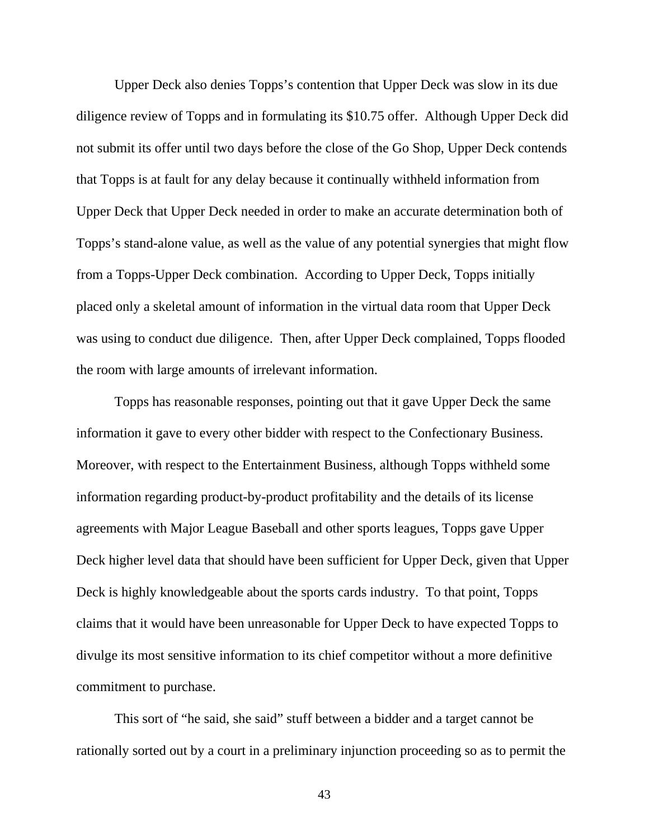Upper Deck also denies Topps's contention that Upper Deck was slow in its due diligence review of Topps and in formulating its \$10.75 offer. Although Upper Deck did not submit its offer until two days before the close of the Go Shop, Upper Deck contends that Topps is at fault for any delay because it continually withheld information from Upper Deck that Upper Deck needed in order to make an accurate determination both of Topps's stand-alone value, as well as the value of any potential synergies that might flow from a Topps-Upper Deck combination. According to Upper Deck, Topps initially placed only a skeletal amount of information in the virtual data room that Upper Deck was using to conduct due diligence. Then, after Upper Deck complained, Topps flooded the room with large amounts of irrelevant information.

Topps has reasonable responses, pointing out that it gave Upper Deck the same information it gave to every other bidder with respect to the Confectionary Business. Moreover, with respect to the Entertainment Business, although Topps withheld some information regarding product-by-product profitability and the details of its license agreements with Major League Baseball and other sports leagues, Topps gave Upper Deck higher level data that should have been sufficient for Upper Deck, given that Upper Deck is highly knowledgeable about the sports cards industry. To that point, Topps claims that it would have been unreasonable for Upper Deck to have expected Topps to divulge its most sensitive information to its chief competitor without a more definitive commitment to purchase.

This sort of "he said, she said" stuff between a bidder and a target cannot be rationally sorted out by a court in a preliminary injunction proceeding so as to permit the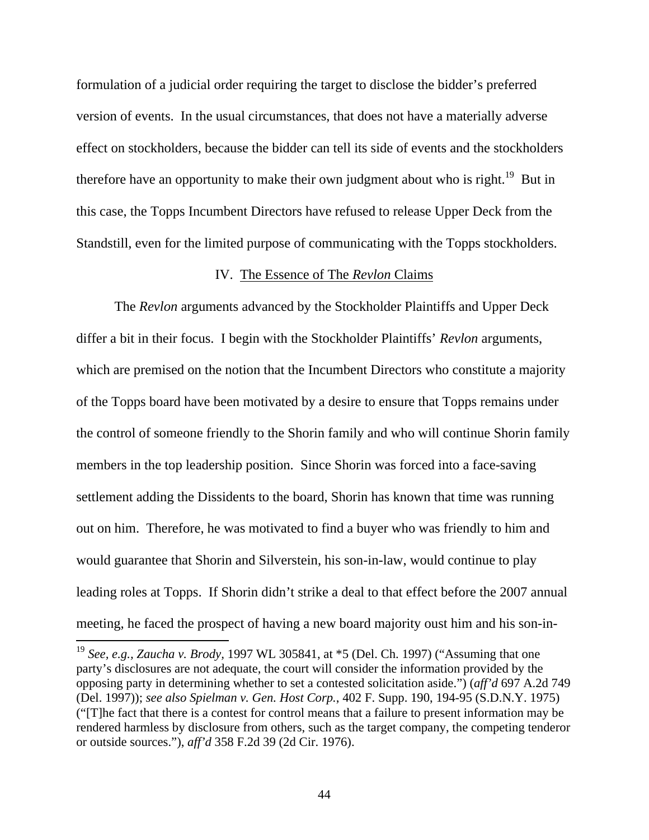formulation of a judicial order requiring the target to disclose the bidder's preferred version of events. In the usual circumstances, that does not have a materially adverse effect on stockholders, because the bidder can tell its side of events and the stockholders therefore have an opportunity to make their own judgment about who is right.<sup>19</sup> But in this case, the Topps Incumbent Directors have refused to release Upper Deck from the Standstill, even for the limited purpose of communicating with the Topps stockholders.

## IV. The Essence of The *Revlon* Claims

The *Revlon* arguments advanced by the Stockholder Plaintiffs and Upper Deck differ a bit in their focus. I begin with the Stockholder Plaintiffs' *Revlon* arguments, which are premised on the notion that the Incumbent Directors who constitute a majority of the Topps board have been motivated by a desire to ensure that Topps remains under the control of someone friendly to the Shorin family and who will continue Shorin family members in the top leadership position. Since Shorin was forced into a face-saving settlement adding the Dissidents to the board, Shorin has known that time was running out on him. Therefore, he was motivated to find a buyer who was friendly to him and would guarantee that Shorin and Silverstein, his son-in-law, would continue to play leading roles at Topps. If Shorin didn't strike a deal to that effect before the 2007 annual meeting, he faced the prospect of having a new board majority oust him and his son-in-

<sup>19</sup> *See, e.g., Zaucha v. Brody,* 1997 WL 305841, at \*5 (Del. Ch. 1997) ("Assuming that one party's disclosures are not adequate, the court will consider the information provided by the opposing party in determining whether to set a contested solicitation aside.") (*aff'd* 697 A.2d 749 (Del. 1997)); *see also Spielman v. Gen. Host Corp.*, 402 F. Supp. 190, 194-95 (S.D.N.Y. 1975) ("[T]he fact that there is a contest for control means that a failure to present information may be rendered harmless by disclosure from others, such as the target company, the competing tenderor or outside sources."), *aff'd* 358 F.2d 39 (2d Cir. 1976).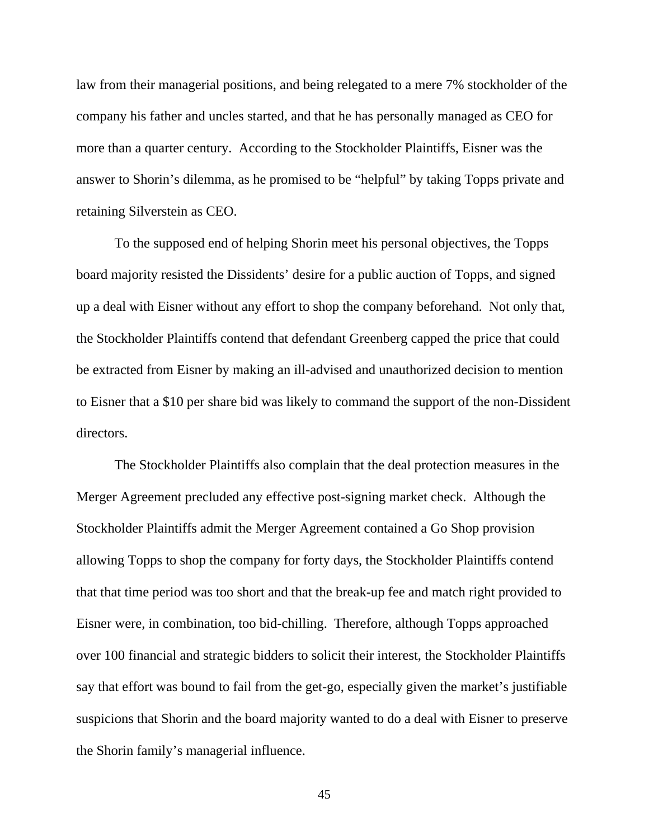law from their managerial positions, and being relegated to a mere 7% stockholder of the company his father and uncles started, and that he has personally managed as CEO for more than a quarter century. According to the Stockholder Plaintiffs, Eisner was the answer to Shorin's dilemma, as he promised to be "helpful" by taking Topps private and retaining Silverstein as CEO.

 To the supposed end of helping Shorin meet his personal objectives, the Topps board majority resisted the Dissidents' desire for a public auction of Topps, and signed up a deal with Eisner without any effort to shop the company beforehand. Not only that, the Stockholder Plaintiffs contend that defendant Greenberg capped the price that could be extracted from Eisner by making an ill-advised and unauthorized decision to mention to Eisner that a \$10 per share bid was likely to command the support of the non-Dissident directors.

The Stockholder Plaintiffs also complain that the deal protection measures in the Merger Agreement precluded any effective post-signing market check. Although the Stockholder Plaintiffs admit the Merger Agreement contained a Go Shop provision allowing Topps to shop the company for forty days, the Stockholder Plaintiffs contend that that time period was too short and that the break-up fee and match right provided to Eisner were, in combination, too bid-chilling. Therefore, although Topps approached over 100 financial and strategic bidders to solicit their interest, the Stockholder Plaintiffs say that effort was bound to fail from the get-go, especially given the market's justifiable suspicions that Shorin and the board majority wanted to do a deal with Eisner to preserve the Shorin family's managerial influence.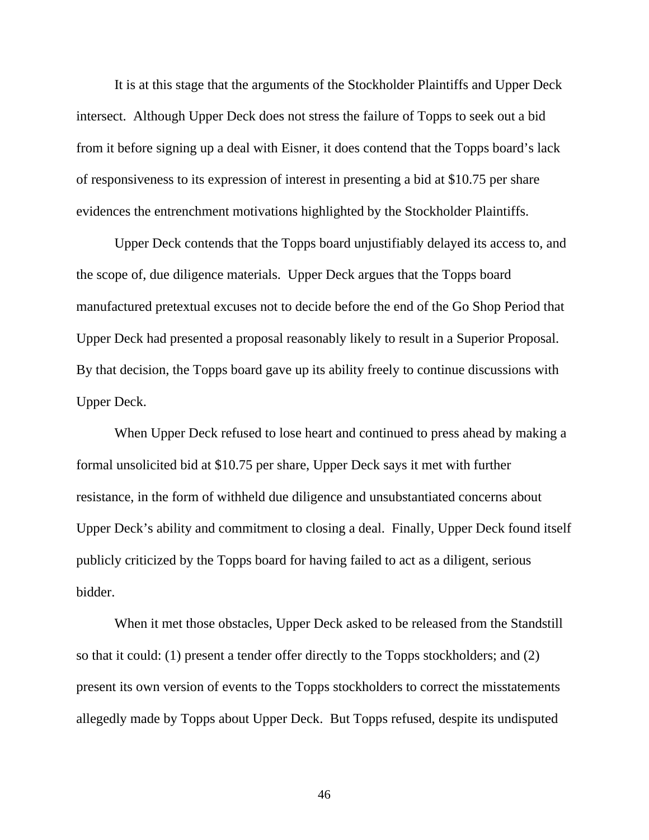It is at this stage that the arguments of the Stockholder Plaintiffs and Upper Deck intersect. Although Upper Deck does not stress the failure of Topps to seek out a bid from it before signing up a deal with Eisner, it does contend that the Topps board's lack of responsiveness to its expression of interest in presenting a bid at \$10.75 per share evidences the entrenchment motivations highlighted by the Stockholder Plaintiffs.

 Upper Deck contends that the Topps board unjustifiably delayed its access to, and the scope of, due diligence materials. Upper Deck argues that the Topps board manufactured pretextual excuses not to decide before the end of the Go Shop Period that Upper Deck had presented a proposal reasonably likely to result in a Superior Proposal. By that decision, the Topps board gave up its ability freely to continue discussions with Upper Deck.

 When Upper Deck refused to lose heart and continued to press ahead by making a formal unsolicited bid at \$10.75 per share, Upper Deck says it met with further resistance, in the form of withheld due diligence and unsubstantiated concerns about Upper Deck's ability and commitment to closing a deal. Finally, Upper Deck found itself publicly criticized by the Topps board for having failed to act as a diligent, serious bidder.

 When it met those obstacles, Upper Deck asked to be released from the Standstill so that it could: (1) present a tender offer directly to the Topps stockholders; and (2) present its own version of events to the Topps stockholders to correct the misstatements allegedly made by Topps about Upper Deck. But Topps refused, despite its undisputed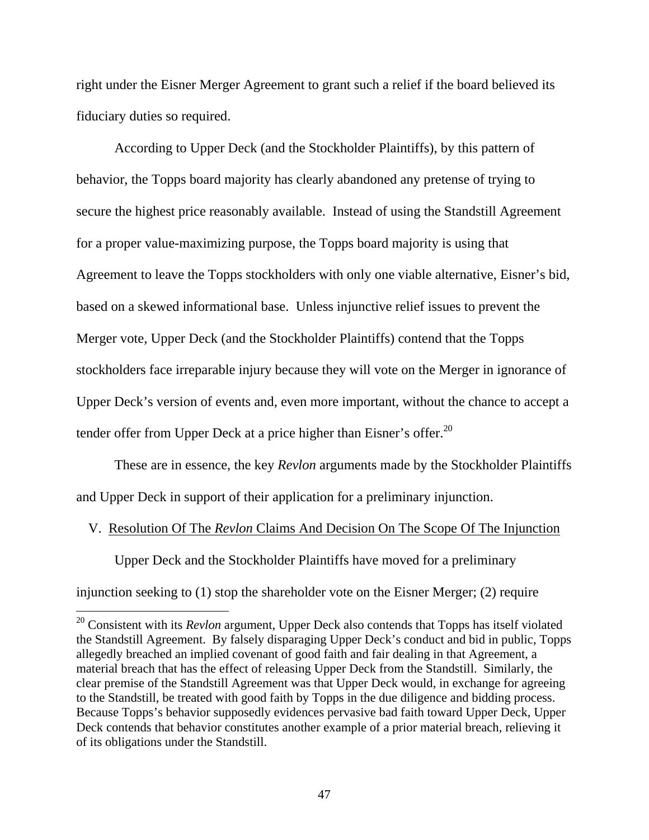right under the Eisner Merger Agreement to grant such a relief if the board believed its fiduciary duties so required.

 According to Upper Deck (and the Stockholder Plaintiffs), by this pattern of behavior, the Topps board majority has clearly abandoned any pretense of trying to secure the highest price reasonably available. Instead of using the Standstill Agreement for a proper value-maximizing purpose, the Topps board majority is using that Agreement to leave the Topps stockholders with only one viable alternative, Eisner's bid, based on a skewed informational base. Unless injunctive relief issues to prevent the Merger vote, Upper Deck (and the Stockholder Plaintiffs) contend that the Topps stockholders face irreparable injury because they will vote on the Merger in ignorance of Upper Deck's version of events and, even more important, without the chance to accept a tender offer from Upper Deck at a price higher than Eisner's offer.<sup>20</sup>

 These are in essence, the key *Revlon* arguments made by the Stockholder Plaintiffs and Upper Deck in support of their application for a preliminary injunction.

#### V. Resolution Of The *Revlon* Claims And Decision On The Scope Of The Injunction

Upper Deck and the Stockholder Plaintiffs have moved for a preliminary injunction seeking to (1) stop the shareholder vote on the Eisner Merger; (2) require

<sup>&</sup>lt;sup>20</sup> Consistent with its *Revlon* argument, Upper Deck also contends that Topps has itself violated the Standstill Agreement. By falsely disparaging Upper Deck's conduct and bid in public, Topps allegedly breached an implied covenant of good faith and fair dealing in that Agreement, a material breach that has the effect of releasing Upper Deck from the Standstill. Similarly, the clear premise of the Standstill Agreement was that Upper Deck would, in exchange for agreeing to the Standstill, be treated with good faith by Topps in the due diligence and bidding process. Because Topps's behavior supposedly evidences pervasive bad faith toward Upper Deck, Upper Deck contends that behavior constitutes another example of a prior material breach, relieving it of its obligations under the Standstill.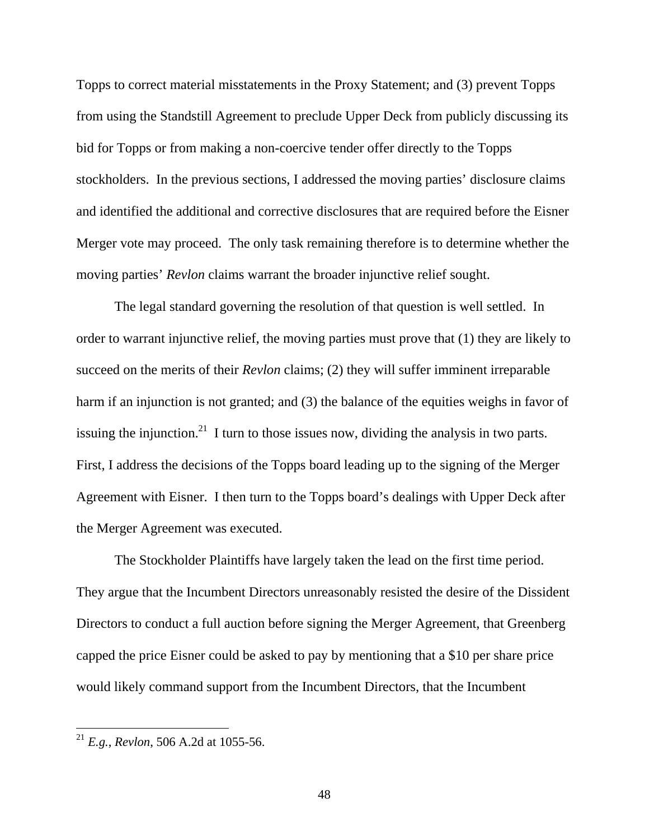Topps to correct material misstatements in the Proxy Statement; and (3) prevent Topps from using the Standstill Agreement to preclude Upper Deck from publicly discussing its bid for Topps or from making a non-coercive tender offer directly to the Topps stockholders. In the previous sections, I addressed the moving parties' disclosure claims and identified the additional and corrective disclosures that are required before the Eisner Merger vote may proceed. The only task remaining therefore is to determine whether the moving parties' *Revlon* claims warrant the broader injunctive relief sought.

The legal standard governing the resolution of that question is well settled. In order to warrant injunctive relief, the moving parties must prove that (1) they are likely to succeed on the merits of their *Revlon* claims; (2) they will suffer imminent irreparable harm if an injunction is not granted; and (3) the balance of the equities weighs in favor of issuing the injunction.<sup>21</sup> I turn to those issues now, dividing the analysis in two parts. First, I address the decisions of the Topps board leading up to the signing of the Merger Agreement with Eisner. I then turn to the Topps board's dealings with Upper Deck after the Merger Agreement was executed.

 The Stockholder Plaintiffs have largely taken the lead on the first time period. They argue that the Incumbent Directors unreasonably resisted the desire of the Dissident Directors to conduct a full auction before signing the Merger Agreement, that Greenberg capped the price Eisner could be asked to pay by mentioning that a \$10 per share price would likely command support from the Incumbent Directors, that the Incumbent

<sup>21</sup> *E.g.*, *Revlon*, 506 A.2d at 1055-56.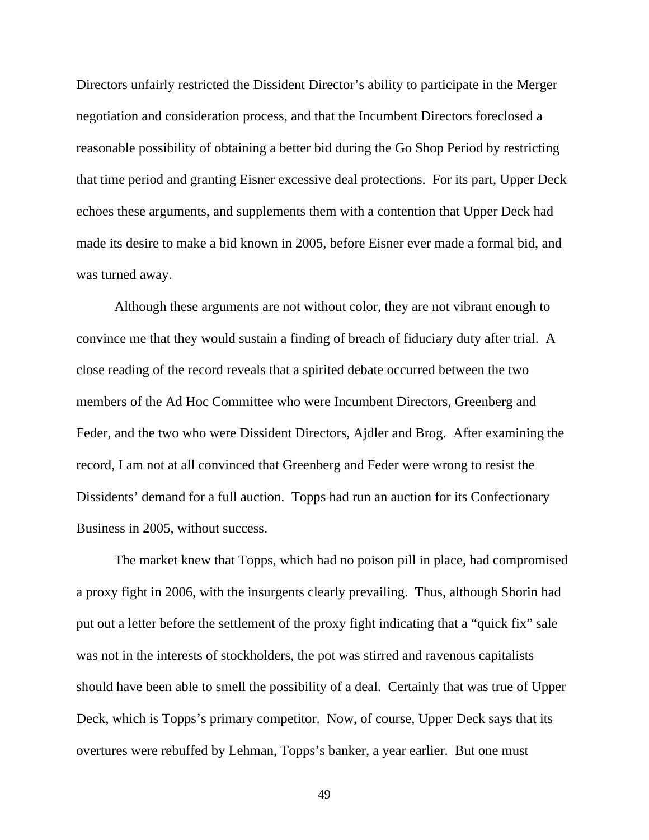Directors unfairly restricted the Dissident Director's ability to participate in the Merger negotiation and consideration process, and that the Incumbent Directors foreclosed a reasonable possibility of obtaining a better bid during the Go Shop Period by restricting that time period and granting Eisner excessive deal protections. For its part, Upper Deck echoes these arguments, and supplements them with a contention that Upper Deck had made its desire to make a bid known in 2005, before Eisner ever made a formal bid, and was turned away.

 Although these arguments are not without color, they are not vibrant enough to convince me that they would sustain a finding of breach of fiduciary duty after trial. A close reading of the record reveals that a spirited debate occurred between the two members of the Ad Hoc Committee who were Incumbent Directors, Greenberg and Feder, and the two who were Dissident Directors, Ajdler and Brog. After examining the record, I am not at all convinced that Greenberg and Feder were wrong to resist the Dissidents' demand for a full auction. Topps had run an auction for its Confectionary Business in 2005, without success.

The market knew that Topps, which had no poison pill in place, had compromised a proxy fight in 2006, with the insurgents clearly prevailing. Thus, although Shorin had put out a letter before the settlement of the proxy fight indicating that a "quick fix" sale was not in the interests of stockholders, the pot was stirred and ravenous capitalists should have been able to smell the possibility of a deal. Certainly that was true of Upper Deck, which is Topps's primary competitor. Now, of course, Upper Deck says that its overtures were rebuffed by Lehman, Topps's banker, a year earlier. But one must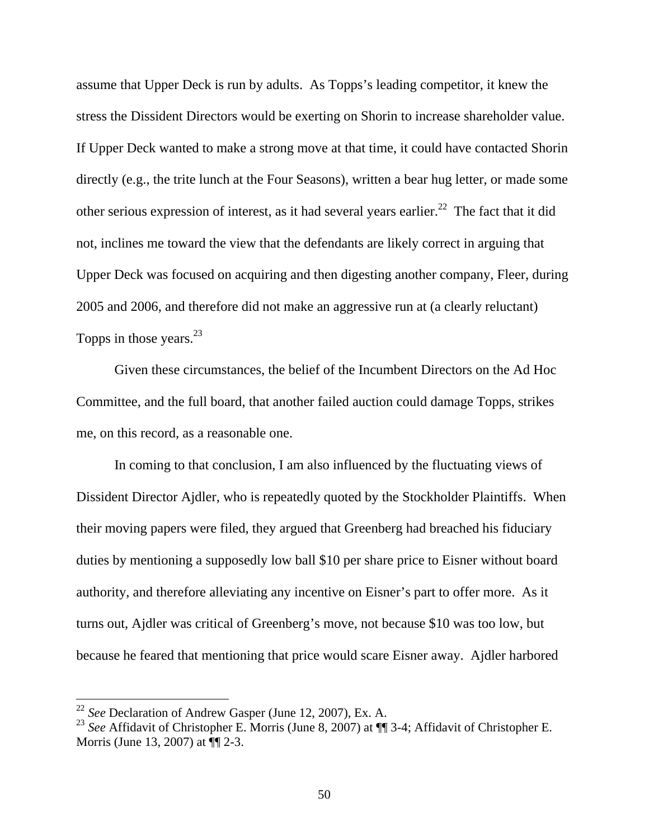assume that Upper Deck is run by adults. As Topps's leading competitor, it knew the stress the Dissident Directors would be exerting on Shorin to increase shareholder value. If Upper Deck wanted to make a strong move at that time, it could have contacted Shorin directly (e.g., the trite lunch at the Four Seasons), written a bear hug letter, or made some other serious expression of interest, as it had several years earlier.<sup>22</sup> The fact that it did not, inclines me toward the view that the defendants are likely correct in arguing that Upper Deck was focused on acquiring and then digesting another company, Fleer, during 2005 and 2006, and therefore did not make an aggressive run at (a clearly reluctant) Topps in those years. $^{23}$ 

Given these circumstances, the belief of the Incumbent Directors on the Ad Hoc Committee, and the full board, that another failed auction could damage Topps, strikes me, on this record, as a reasonable one.

 In coming to that conclusion, I am also influenced by the fluctuating views of Dissident Director Ajdler, who is repeatedly quoted by the Stockholder Plaintiffs. When their moving papers were filed, they argued that Greenberg had breached his fiduciary duties by mentioning a supposedly low ball \$10 per share price to Eisner without board authority, and therefore alleviating any incentive on Eisner's part to offer more. As it turns out, Ajdler was critical of Greenberg's move, not because \$10 was too low, but because he feared that mentioning that price would scare Eisner away. Ajdler harbored

<sup>22</sup> *See* Declaration of Andrew Gasper (June 12, 2007), Ex. A.

<sup>23</sup> *See* Affidavit of Christopher E. Morris (June 8, 2007) at ¶¶ 3-4; Affidavit of Christopher E. Morris (June 13, 2007) at ¶¶ 2-3.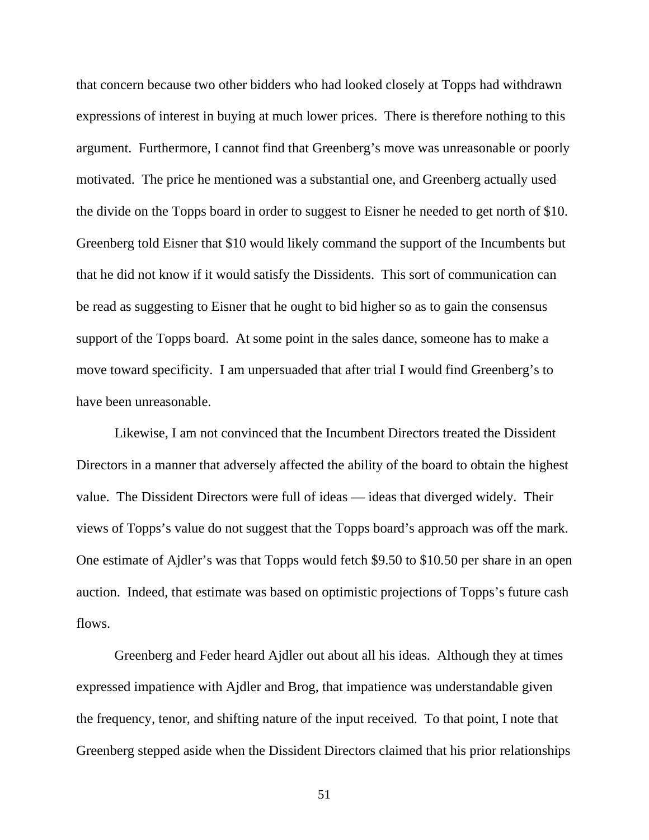that concern because two other bidders who had looked closely at Topps had withdrawn expressions of interest in buying at much lower prices. There is therefore nothing to this argument. Furthermore, I cannot find that Greenberg's move was unreasonable or poorly motivated. The price he mentioned was a substantial one, and Greenberg actually used the divide on the Topps board in order to suggest to Eisner he needed to get north of \$10. Greenberg told Eisner that \$10 would likely command the support of the Incumbents but that he did not know if it would satisfy the Dissidents. This sort of communication can be read as suggesting to Eisner that he ought to bid higher so as to gain the consensus support of the Topps board. At some point in the sales dance, someone has to make a move toward specificity. I am unpersuaded that after trial I would find Greenberg's to have been unreasonable.

 Likewise, I am not convinced that the Incumbent Directors treated the Dissident Directors in a manner that adversely affected the ability of the board to obtain the highest value. The Dissident Directors were full of ideas — ideas that diverged widely. Their views of Topps's value do not suggest that the Topps board's approach was off the mark. One estimate of Ajdler's was that Topps would fetch \$9.50 to \$10.50 per share in an open auction. Indeed, that estimate was based on optimistic projections of Topps's future cash flows.

 Greenberg and Feder heard Ajdler out about all his ideas. Although they at times expressed impatience with Ajdler and Brog, that impatience was understandable given the frequency, tenor, and shifting nature of the input received. To that point, I note that Greenberg stepped aside when the Dissident Directors claimed that his prior relationships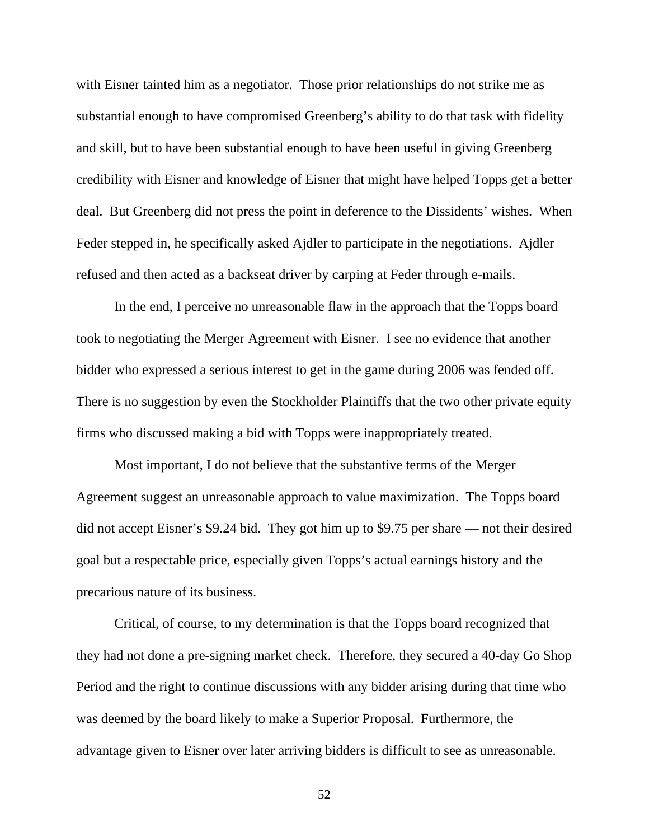with Eisner tainted him as a negotiator. Those prior relationships do not strike me as substantial enough to have compromised Greenberg's ability to do that task with fidelity and skill, but to have been substantial enough to have been useful in giving Greenberg credibility with Eisner and knowledge of Eisner that might have helped Topps get a better deal. But Greenberg did not press the point in deference to the Dissidents' wishes. When Feder stepped in, he specifically asked Ajdler to participate in the negotiations. Ajdler refused and then acted as a backseat driver by carping at Feder through e-mails.

 In the end, I perceive no unreasonable flaw in the approach that the Topps board took to negotiating the Merger Agreement with Eisner. I see no evidence that another bidder who expressed a serious interest to get in the game during 2006 was fended off. There is no suggestion by even the Stockholder Plaintiffs that the two other private equity firms who discussed making a bid with Topps were inappropriately treated.

 Most important, I do not believe that the substantive terms of the Merger Agreement suggest an unreasonable approach to value maximization. The Topps board did not accept Eisner's \$9.24 bid. They got him up to \$9.75 per share — not their desired goal but a respectable price, especially given Topps's actual earnings history and the precarious nature of its business.

Critical, of course, to my determination is that the Topps board recognized that they had not done a pre-signing market check. Therefore, they secured a 40-day Go Shop Period and the right to continue discussions with any bidder arising during that time who was deemed by the board likely to make a Superior Proposal. Furthermore, the advantage given to Eisner over later arriving bidders is difficult to see as unreasonable.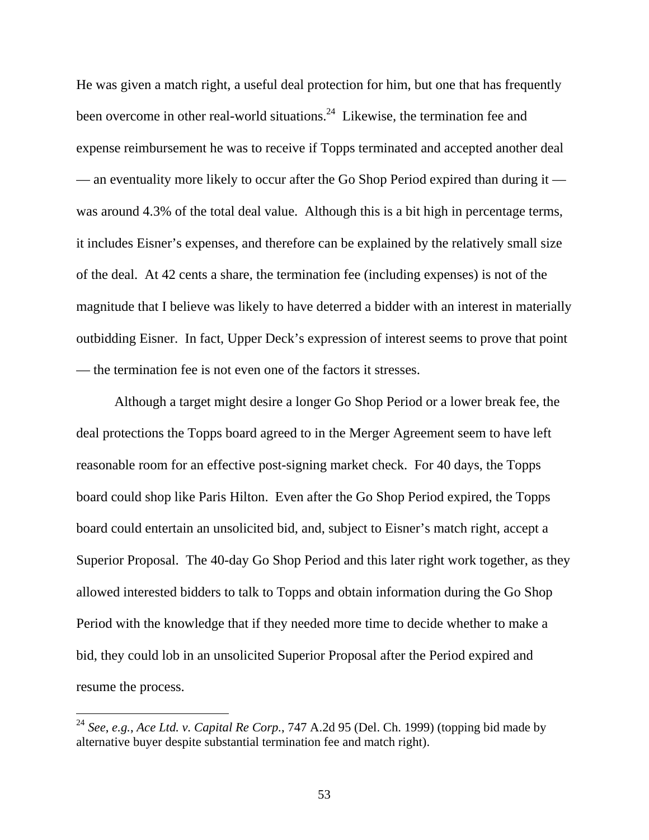He was given a match right, a useful deal protection for him, but one that has frequently been overcome in other real-world situations.<sup>24</sup> Likewise, the termination fee and expense reimbursement he was to receive if Topps terminated and accepted another deal — an eventuality more likely to occur after the Go Shop Period expired than during it was around 4.3% of the total deal value. Although this is a bit high in percentage terms, it includes Eisner's expenses, and therefore can be explained by the relatively small size of the deal. At 42 cents a share, the termination fee (including expenses) is not of the magnitude that I believe was likely to have deterred a bidder with an interest in materially outbidding Eisner. In fact, Upper Deck's expression of interest seems to prove that point — the termination fee is not even one of the factors it stresses.

 Although a target might desire a longer Go Shop Period or a lower break fee, the deal protections the Topps board agreed to in the Merger Agreement seem to have left reasonable room for an effective post-signing market check. For 40 days, the Topps board could shop like Paris Hilton. Even after the Go Shop Period expired, the Topps board could entertain an unsolicited bid, and, subject to Eisner's match right, accept a Superior Proposal. The 40-day Go Shop Period and this later right work together, as they allowed interested bidders to talk to Topps and obtain information during the Go Shop Period with the knowledge that if they needed more time to decide whether to make a bid, they could lob in an unsolicited Superior Proposal after the Period expired and resume the process.

<sup>24</sup> *See*, *e.g.*, *Ace Ltd. v. Capital Re Corp.*, 747 A.2d 95 (Del. Ch. 1999) (topping bid made by alternative buyer despite substantial termination fee and match right).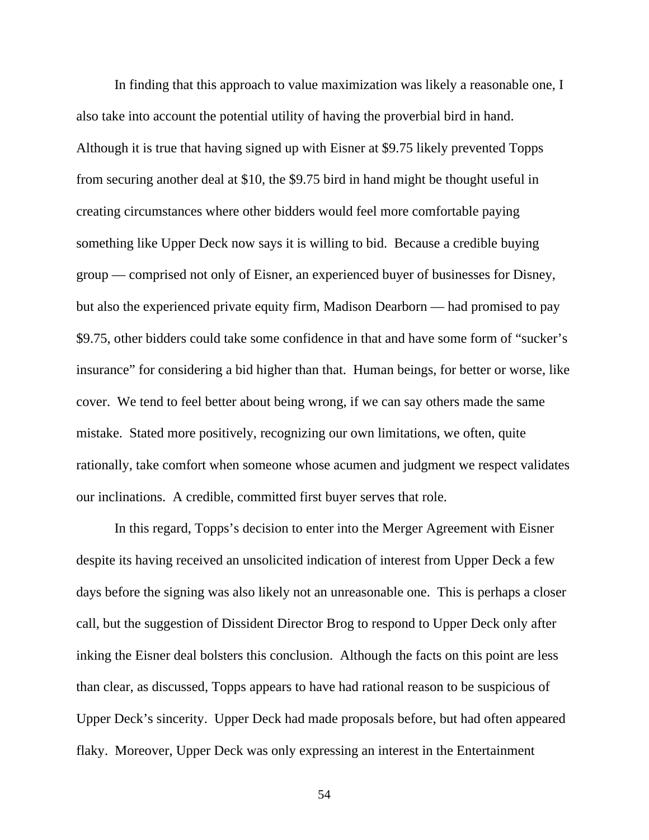In finding that this approach to value maximization was likely a reasonable one, I also take into account the potential utility of having the proverbial bird in hand. Although it is true that having signed up with Eisner at \$9.75 likely prevented Topps from securing another deal at \$10, the \$9.75 bird in hand might be thought useful in creating circumstances where other bidders would feel more comfortable paying something like Upper Deck now says it is willing to bid. Because a credible buying group — comprised not only of Eisner, an experienced buyer of businesses for Disney, but also the experienced private equity firm, Madison Dearborn — had promised to pay \$9.75, other bidders could take some confidence in that and have some form of "sucker's insurance" for considering a bid higher than that. Human beings, for better or worse, like cover. We tend to feel better about being wrong, if we can say others made the same mistake. Stated more positively, recognizing our own limitations, we often, quite rationally, take comfort when someone whose acumen and judgment we respect validates our inclinations. A credible, committed first buyer serves that role.

In this regard, Topps's decision to enter into the Merger Agreement with Eisner despite its having received an unsolicited indication of interest from Upper Deck a few days before the signing was also likely not an unreasonable one. This is perhaps a closer call, but the suggestion of Dissident Director Brog to respond to Upper Deck only after inking the Eisner deal bolsters this conclusion. Although the facts on this point are less than clear, as discussed, Topps appears to have had rational reason to be suspicious of Upper Deck's sincerity. Upper Deck had made proposals before, but had often appeared flaky. Moreover, Upper Deck was only expressing an interest in the Entertainment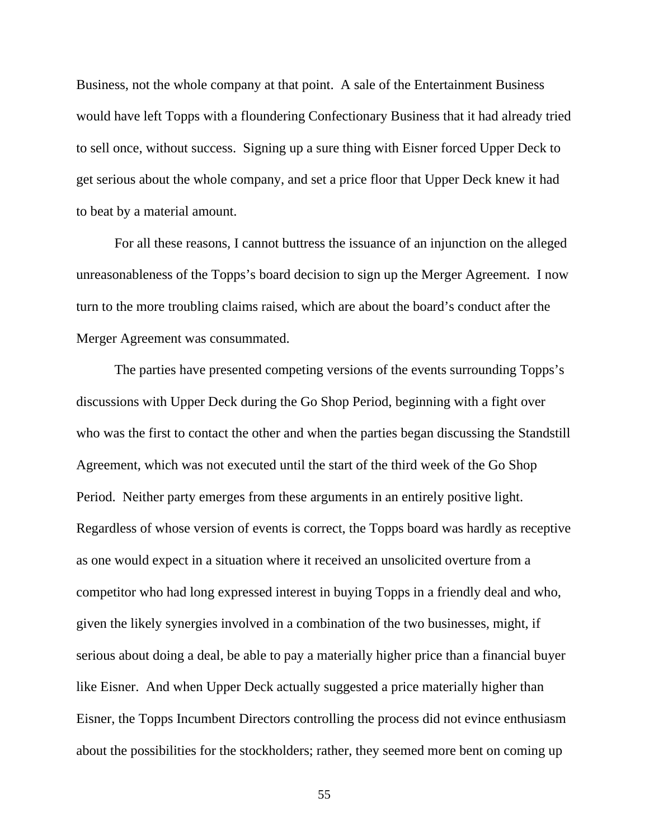Business, not the whole company at that point. A sale of the Entertainment Business would have left Topps with a floundering Confectionary Business that it had already tried to sell once, without success. Signing up a sure thing with Eisner forced Upper Deck to get serious about the whole company, and set a price floor that Upper Deck knew it had to beat by a material amount.

For all these reasons, I cannot buttress the issuance of an injunction on the alleged unreasonableness of the Topps's board decision to sign up the Merger Agreement. I now turn to the more troubling claims raised, which are about the board's conduct after the Merger Agreement was consummated.

The parties have presented competing versions of the events surrounding Topps's discussions with Upper Deck during the Go Shop Period, beginning with a fight over who was the first to contact the other and when the parties began discussing the Standstill Agreement, which was not executed until the start of the third week of the Go Shop Period. Neither party emerges from these arguments in an entirely positive light. Regardless of whose version of events is correct, the Topps board was hardly as receptive as one would expect in a situation where it received an unsolicited overture from a competitor who had long expressed interest in buying Topps in a friendly deal and who, given the likely synergies involved in a combination of the two businesses, might, if serious about doing a deal, be able to pay a materially higher price than a financial buyer like Eisner. And when Upper Deck actually suggested a price materially higher than Eisner, the Topps Incumbent Directors controlling the process did not evince enthusiasm about the possibilities for the stockholders; rather, they seemed more bent on coming up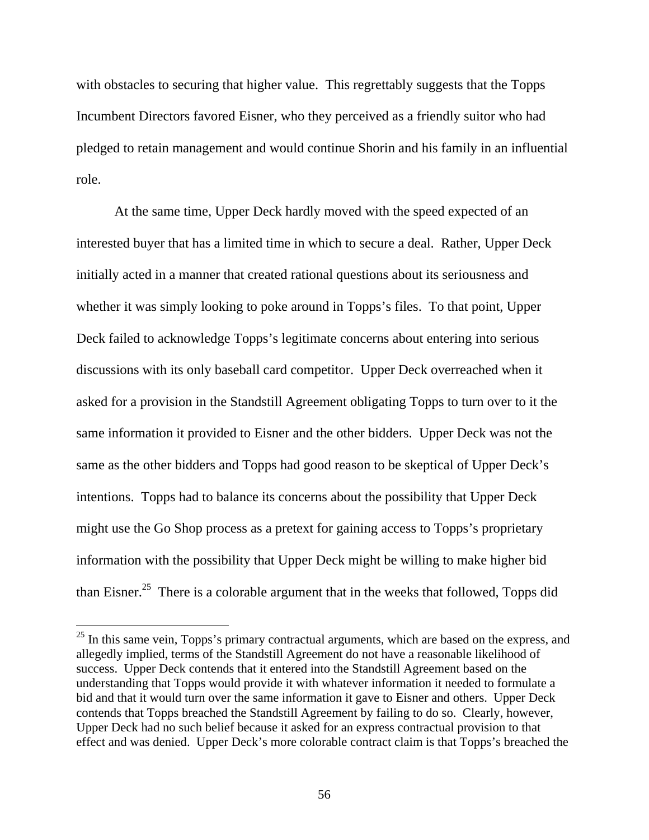with obstacles to securing that higher value. This regrettably suggests that the Topps Incumbent Directors favored Eisner, who they perceived as a friendly suitor who had pledged to retain management and would continue Shorin and his family in an influential role.

At the same time, Upper Deck hardly moved with the speed expected of an interested buyer that has a limited time in which to secure a deal. Rather, Upper Deck initially acted in a manner that created rational questions about its seriousness and whether it was simply looking to poke around in Topps's files. To that point, Upper Deck failed to acknowledge Topps's legitimate concerns about entering into serious discussions with its only baseball card competitor. Upper Deck overreached when it asked for a provision in the Standstill Agreement obligating Topps to turn over to it the same information it provided to Eisner and the other bidders. Upper Deck was not the same as the other bidders and Topps had good reason to be skeptical of Upper Deck's intentions. Topps had to balance its concerns about the possibility that Upper Deck might use the Go Shop process as a pretext for gaining access to Topps's proprietary information with the possibility that Upper Deck might be willing to make higher bid than Eisner.<sup>25</sup> There is a colorable argument that in the weeks that followed, Topps did

 $25$  In this same vein, Topps's primary contractual arguments, which are based on the express, and allegedly implied, terms of the Standstill Agreement do not have a reasonable likelihood of success. Upper Deck contends that it entered into the Standstill Agreement based on the understanding that Topps would provide it with whatever information it needed to formulate a bid and that it would turn over the same information it gave to Eisner and others. Upper Deck contends that Topps breached the Standstill Agreement by failing to do so. Clearly, however, Upper Deck had no such belief because it asked for an express contractual provision to that effect and was denied. Upper Deck's more colorable contract claim is that Topps's breached the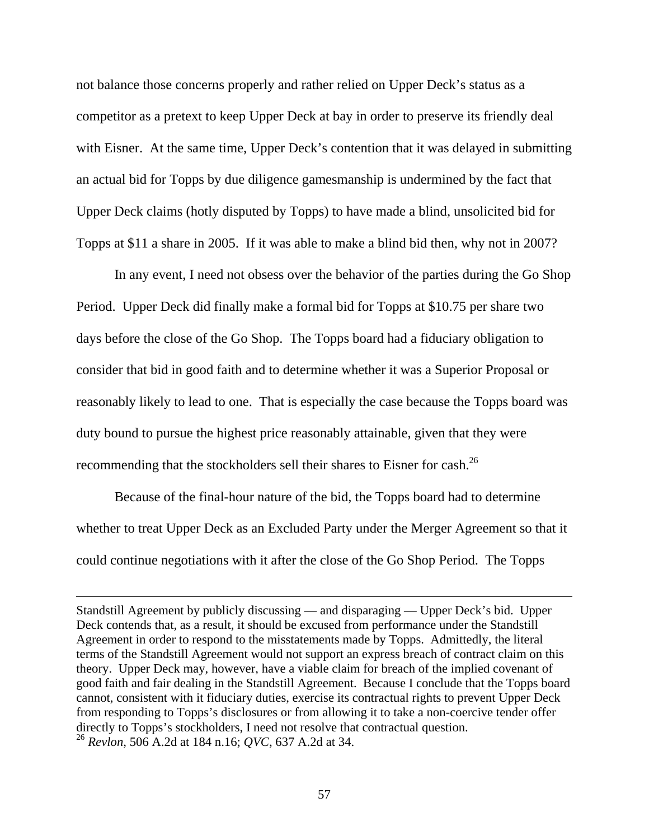not balance those concerns properly and rather relied on Upper Deck's status as a competitor as a pretext to keep Upper Deck at bay in order to preserve its friendly deal with Eisner. At the same time, Upper Deck's contention that it was delayed in submitting an actual bid for Topps by due diligence gamesmanship is undermined by the fact that Upper Deck claims (hotly disputed by Topps) to have made a blind, unsolicited bid for Topps at \$11 a share in 2005. If it was able to make a blind bid then, why not in 2007?

In any event, I need not obsess over the behavior of the parties during the Go Shop Period. Upper Deck did finally make a formal bid for Topps at \$10.75 per share two days before the close of the Go Shop. The Topps board had a fiduciary obligation to consider that bid in good faith and to determine whether it was a Superior Proposal or reasonably likely to lead to one. That is especially the case because the Topps board was duty bound to pursue the highest price reasonably attainable, given that they were recommending that the stockholders sell their shares to Eisner for cash.26

Because of the final-hour nature of the bid, the Topps board had to determine whether to treat Upper Deck as an Excluded Party under the Merger Agreement so that it could continue negotiations with it after the close of the Go Shop Period. The Topps

Standstill Agreement by publicly discussing — and disparaging — Upper Deck's bid. Upper Deck contends that, as a result, it should be excused from performance under the Standstill Agreement in order to respond to the misstatements made by Topps. Admittedly, the literal terms of the Standstill Agreement would not support an express breach of contract claim on this theory. Upper Deck may, however, have a viable claim for breach of the implied covenant of good faith and fair dealing in the Standstill Agreement. Because I conclude that the Topps board cannot, consistent with it fiduciary duties, exercise its contractual rights to prevent Upper Deck from responding to Topps's disclosures or from allowing it to take a non-coercive tender offer directly to Topps's stockholders, I need not resolve that contractual question. <sup>26</sup> *Revlon*, 506 A.2d at 184 n.16; *QVC*, 637 A.2d at 34.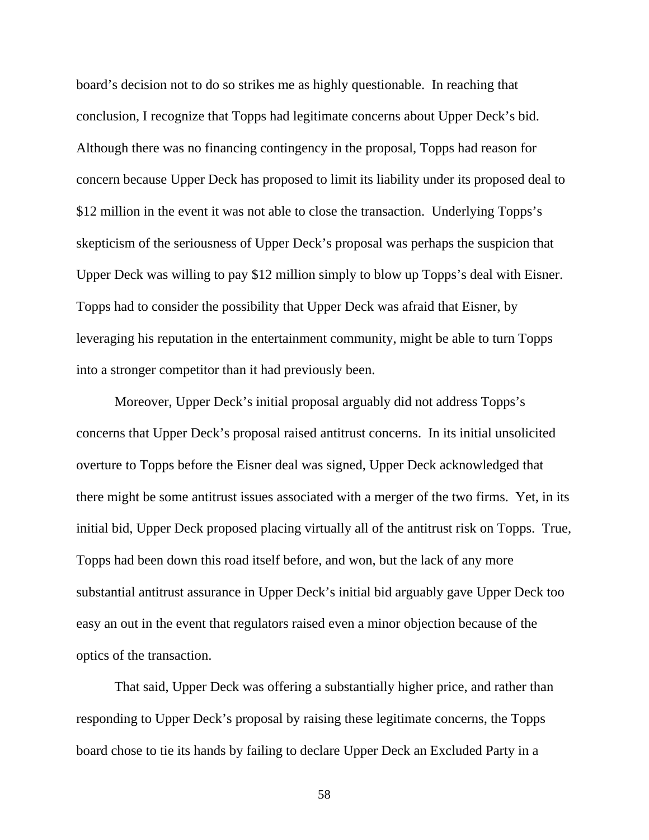board's decision not to do so strikes me as highly questionable. In reaching that conclusion, I recognize that Topps had legitimate concerns about Upper Deck's bid. Although there was no financing contingency in the proposal, Topps had reason for concern because Upper Deck has proposed to limit its liability under its proposed deal to \$12 million in the event it was not able to close the transaction. Underlying Topps's skepticism of the seriousness of Upper Deck's proposal was perhaps the suspicion that Upper Deck was willing to pay \$12 million simply to blow up Topps's deal with Eisner. Topps had to consider the possibility that Upper Deck was afraid that Eisner, by leveraging his reputation in the entertainment community, might be able to turn Topps into a stronger competitor than it had previously been.

Moreover, Upper Deck's initial proposal arguably did not address Topps's concerns that Upper Deck's proposal raised antitrust concerns. In its initial unsolicited overture to Topps before the Eisner deal was signed, Upper Deck acknowledged that there might be some antitrust issues associated with a merger of the two firms. Yet, in its initial bid, Upper Deck proposed placing virtually all of the antitrust risk on Topps. True, Topps had been down this road itself before, and won, but the lack of any more substantial antitrust assurance in Upper Deck's initial bid arguably gave Upper Deck too easy an out in the event that regulators raised even a minor objection because of the optics of the transaction.

That said, Upper Deck was offering a substantially higher price, and rather than responding to Upper Deck's proposal by raising these legitimate concerns, the Topps board chose to tie its hands by failing to declare Upper Deck an Excluded Party in a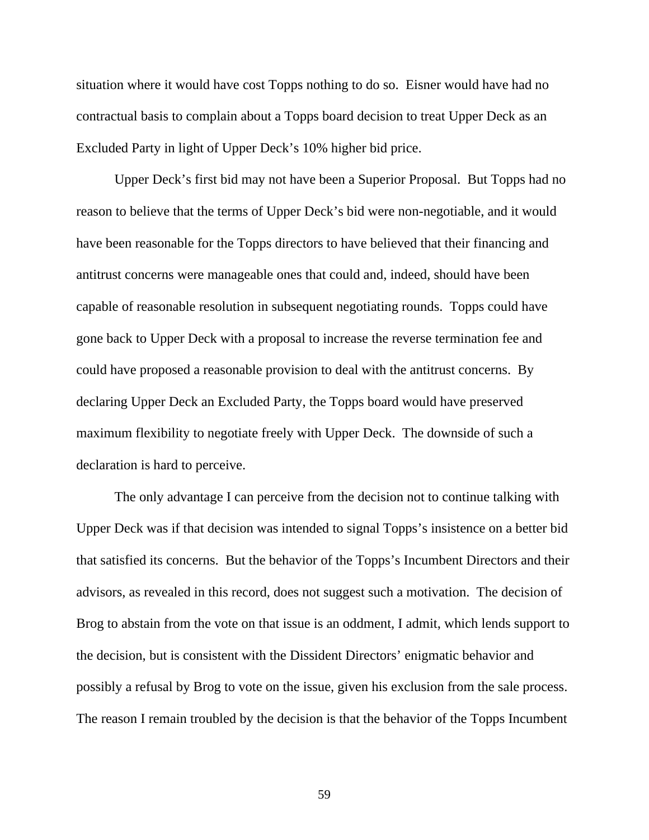situation where it would have cost Topps nothing to do so. Eisner would have had no contractual basis to complain about a Topps board decision to treat Upper Deck as an Excluded Party in light of Upper Deck's 10% higher bid price.

Upper Deck's first bid may not have been a Superior Proposal. But Topps had no reason to believe that the terms of Upper Deck's bid were non-negotiable, and it would have been reasonable for the Topps directors to have believed that their financing and antitrust concerns were manageable ones that could and, indeed, should have been capable of reasonable resolution in subsequent negotiating rounds. Topps could have gone back to Upper Deck with a proposal to increase the reverse termination fee and could have proposed a reasonable provision to deal with the antitrust concerns. By declaring Upper Deck an Excluded Party, the Topps board would have preserved maximum flexibility to negotiate freely with Upper Deck. The downside of such a declaration is hard to perceive.

The only advantage I can perceive from the decision not to continue talking with Upper Deck was if that decision was intended to signal Topps's insistence on a better bid that satisfied its concerns. But the behavior of the Topps's Incumbent Directors and their advisors, as revealed in this record, does not suggest such a motivation. The decision of Brog to abstain from the vote on that issue is an oddment, I admit, which lends support to the decision, but is consistent with the Dissident Directors' enigmatic behavior and possibly a refusal by Brog to vote on the issue, given his exclusion from the sale process. The reason I remain troubled by the decision is that the behavior of the Topps Incumbent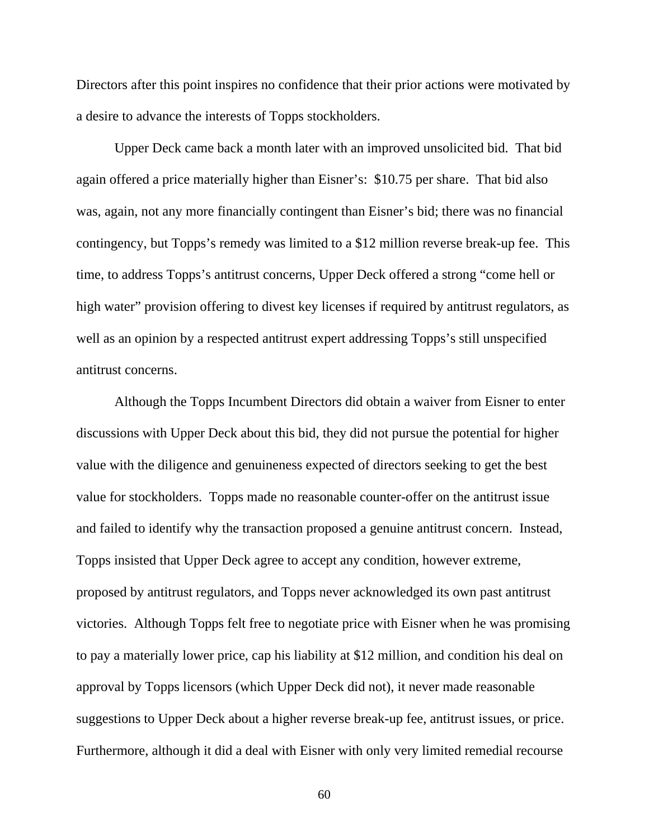Directors after this point inspires no confidence that their prior actions were motivated by a desire to advance the interests of Topps stockholders.

Upper Deck came back a month later with an improved unsolicited bid. That bid again offered a price materially higher than Eisner's: \$10.75 per share. That bid also was, again, not any more financially contingent than Eisner's bid; there was no financial contingency, but Topps's remedy was limited to a \$12 million reverse break-up fee. This time, to address Topps's antitrust concerns, Upper Deck offered a strong "come hell or high water" provision offering to divest key licenses if required by antitrust regulators, as well as an opinion by a respected antitrust expert addressing Topps's still unspecified antitrust concerns.

Although the Topps Incumbent Directors did obtain a waiver from Eisner to enter discussions with Upper Deck about this bid, they did not pursue the potential for higher value with the diligence and genuineness expected of directors seeking to get the best value for stockholders. Topps made no reasonable counter-offer on the antitrust issue and failed to identify why the transaction proposed a genuine antitrust concern. Instead, Topps insisted that Upper Deck agree to accept any condition, however extreme, proposed by antitrust regulators, and Topps never acknowledged its own past antitrust victories. Although Topps felt free to negotiate price with Eisner when he was promising to pay a materially lower price, cap his liability at \$12 million, and condition his deal on approval by Topps licensors (which Upper Deck did not), it never made reasonable suggestions to Upper Deck about a higher reverse break-up fee, antitrust issues, or price. Furthermore, although it did a deal with Eisner with only very limited remedial recourse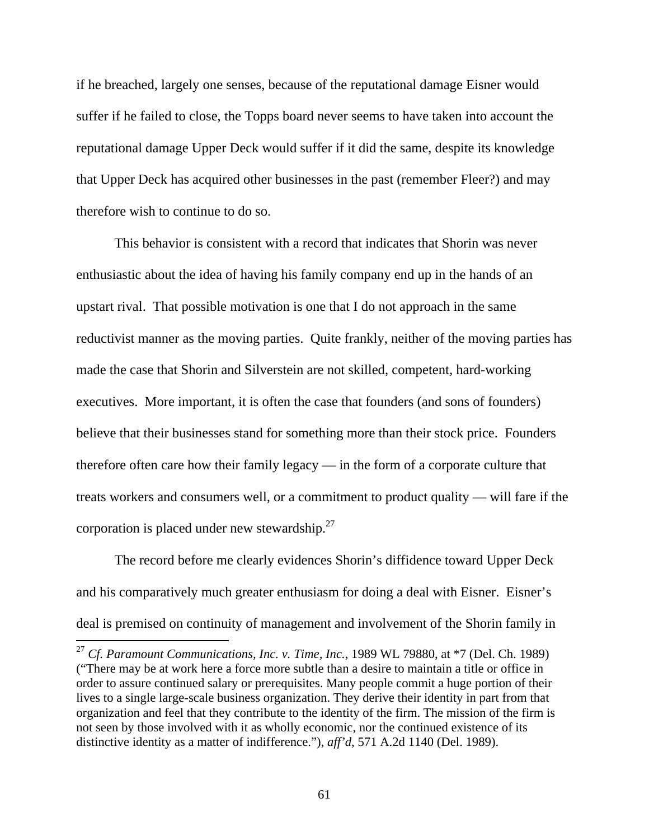if he breached, largely one senses, because of the reputational damage Eisner would suffer if he failed to close, the Topps board never seems to have taken into account the reputational damage Upper Deck would suffer if it did the same, despite its knowledge that Upper Deck has acquired other businesses in the past (remember Fleer?) and may therefore wish to continue to do so.

This behavior is consistent with a record that indicates that Shorin was never enthusiastic about the idea of having his family company end up in the hands of an upstart rival. That possible motivation is one that I do not approach in the same reductivist manner as the moving parties. Quite frankly, neither of the moving parties has made the case that Shorin and Silverstein are not skilled, competent, hard-working executives. More important, it is often the case that founders (and sons of founders) believe that their businesses stand for something more than their stock price. Founders therefore often care how their family legacy — in the form of a corporate culture that treats workers and consumers well, or a commitment to product quality — will fare if the corporation is placed under new stewardship. $27$ 

The record before me clearly evidences Shorin's diffidence toward Upper Deck and his comparatively much greater enthusiasm for doing a deal with Eisner. Eisner's deal is premised on continuity of management and involvement of the Shorin family in

<sup>27</sup> *Cf. Paramount Communications, Inc. v. Time, Inc.*, 1989 WL 79880, at \*7 (Del. Ch. 1989) ("There may be at work here a force more subtle than a desire to maintain a title or office in order to assure continued salary or prerequisites. Many people commit a huge portion of their lives to a single large-scale business organization. They derive their identity in part from that organization and feel that they contribute to the identity of the firm. The mission of the firm is not seen by those involved with it as wholly economic, nor the continued existence of its distinctive identity as a matter of indifference."), *aff'd*, 571 A.2d 1140 (Del. 1989).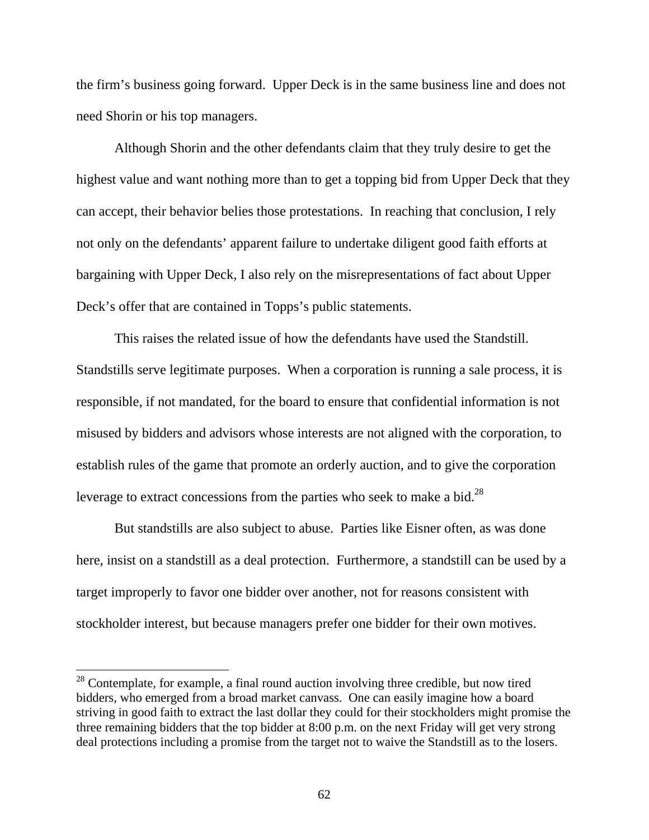the firm's business going forward. Upper Deck is in the same business line and does not need Shorin or his top managers.

Although Shorin and the other defendants claim that they truly desire to get the highest value and want nothing more than to get a topping bid from Upper Deck that they can accept, their behavior belies those protestations. In reaching that conclusion, I rely not only on the defendants' apparent failure to undertake diligent good faith efforts at bargaining with Upper Deck, I also rely on the misrepresentations of fact about Upper Deck's offer that are contained in Topps's public statements.

This raises the related issue of how the defendants have used the Standstill. Standstills serve legitimate purposes. When a corporation is running a sale process, it is responsible, if not mandated, for the board to ensure that confidential information is not misused by bidders and advisors whose interests are not aligned with the corporation, to establish rules of the game that promote an orderly auction, and to give the corporation leverage to extract concessions from the parties who seek to make a bid.<sup>28</sup>

But standstills are also subject to abuse. Parties like Eisner often, as was done here, insist on a standstill as a deal protection. Furthermore, a standstill can be used by a target improperly to favor one bidder over another, not for reasons consistent with stockholder interest, but because managers prefer one bidder for their own motives.

 $28$  Contemplate, for example, a final round auction involving three credible, but now tired bidders, who emerged from a broad market canvass. One can easily imagine how a board striving in good faith to extract the last dollar they could for their stockholders might promise the three remaining bidders that the top bidder at 8:00 p.m. on the next Friday will get very strong deal protections including a promise from the target not to waive the Standstill as to the losers.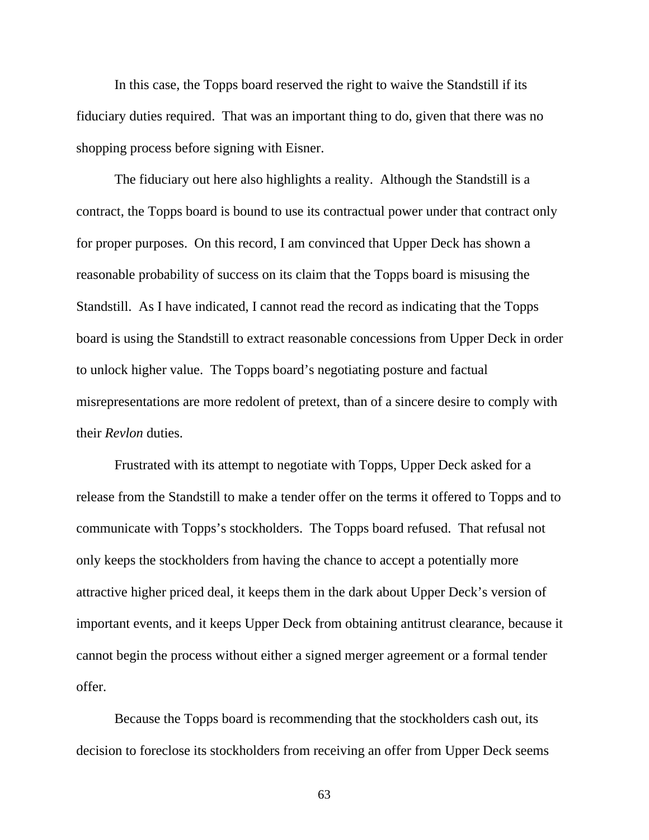In this case, the Topps board reserved the right to waive the Standstill if its fiduciary duties required. That was an important thing to do, given that there was no shopping process before signing with Eisner.

The fiduciary out here also highlights a reality. Although the Standstill is a contract, the Topps board is bound to use its contractual power under that contract only for proper purposes. On this record, I am convinced that Upper Deck has shown a reasonable probability of success on its claim that the Topps board is misusing the Standstill. As I have indicated, I cannot read the record as indicating that the Topps board is using the Standstill to extract reasonable concessions from Upper Deck in order to unlock higher value. The Topps board's negotiating posture and factual misrepresentations are more redolent of pretext, than of a sincere desire to comply with their *Revlon* duties.

Frustrated with its attempt to negotiate with Topps, Upper Deck asked for a release from the Standstill to make a tender offer on the terms it offered to Topps and to communicate with Topps's stockholders. The Topps board refused. That refusal not only keeps the stockholders from having the chance to accept a potentially more attractive higher priced deal, it keeps them in the dark about Upper Deck's version of important events, and it keeps Upper Deck from obtaining antitrust clearance, because it cannot begin the process without either a signed merger agreement or a formal tender offer.

Because the Topps board is recommending that the stockholders cash out, its decision to foreclose its stockholders from receiving an offer from Upper Deck seems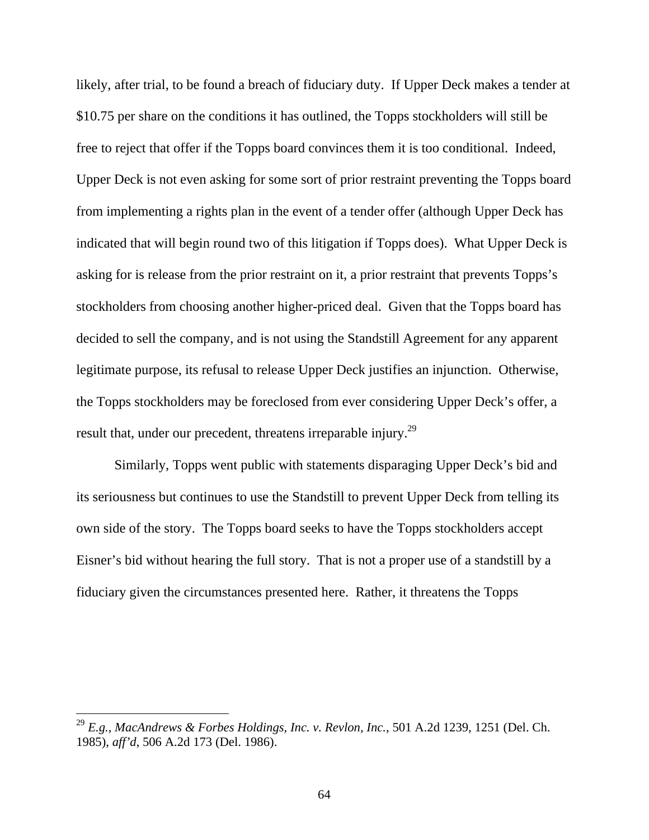likely, after trial, to be found a breach of fiduciary duty. If Upper Deck makes a tender at \$10.75 per share on the conditions it has outlined, the Topps stockholders will still be free to reject that offer if the Topps board convinces them it is too conditional. Indeed, Upper Deck is not even asking for some sort of prior restraint preventing the Topps board from implementing a rights plan in the event of a tender offer (although Upper Deck has indicated that will begin round two of this litigation if Topps does). What Upper Deck is asking for is release from the prior restraint on it, a prior restraint that prevents Topps's stockholders from choosing another higher-priced deal. Given that the Topps board has decided to sell the company, and is not using the Standstill Agreement for any apparent legitimate purpose, its refusal to release Upper Deck justifies an injunction. Otherwise, the Topps stockholders may be foreclosed from ever considering Upper Deck's offer, a result that, under our precedent, threatens irreparable injury.<sup>29</sup>

Similarly, Topps went public with statements disparaging Upper Deck's bid and its seriousness but continues to use the Standstill to prevent Upper Deck from telling its own side of the story. The Topps board seeks to have the Topps stockholders accept Eisner's bid without hearing the full story. That is not a proper use of a standstill by a fiduciary given the circumstances presented here. Rather, it threatens the Topps

<sup>29</sup> *E.g.*, *MacAndrews & Forbes Holdings, Inc. v. Revlon, Inc.*, 501 A.2d 1239, 1251 (Del. Ch. 1985), *aff'd*, 506 A.2d 173 (Del. 1986).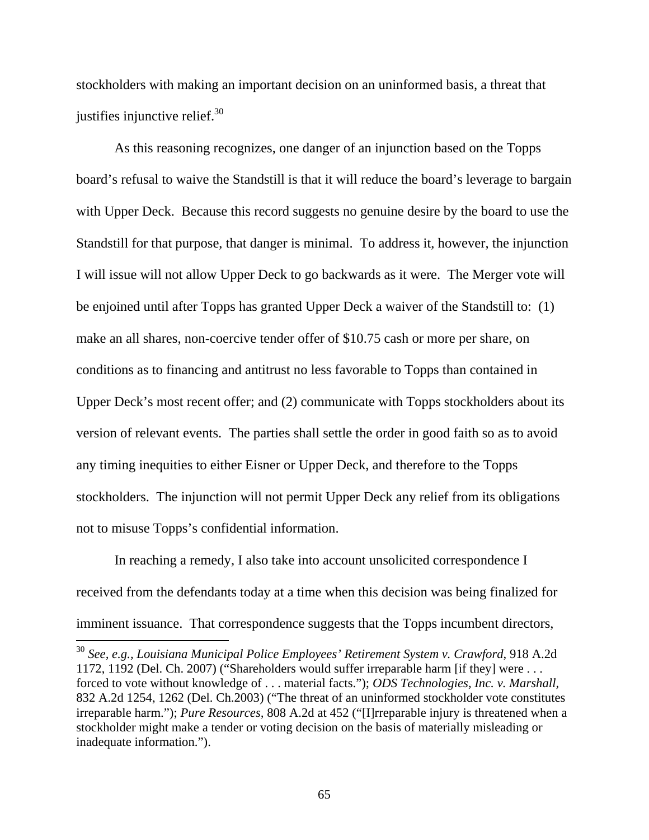stockholders with making an important decision on an uninformed basis, a threat that justifies injunctive relief. $30$ 

As this reasoning recognizes, one danger of an injunction based on the Topps board's refusal to waive the Standstill is that it will reduce the board's leverage to bargain with Upper Deck. Because this record suggests no genuine desire by the board to use the Standstill for that purpose, that danger is minimal. To address it, however, the injunction I will issue will not allow Upper Deck to go backwards as it were. The Merger vote will be enjoined until after Topps has granted Upper Deck a waiver of the Standstill to: (1) make an all shares, non-coercive tender offer of \$10.75 cash or more per share, on conditions as to financing and antitrust no less favorable to Topps than contained in Upper Deck's most recent offer; and (2) communicate with Topps stockholders about its version of relevant events. The parties shall settle the order in good faith so as to avoid any timing inequities to either Eisner or Upper Deck, and therefore to the Topps stockholders. The injunction will not permit Upper Deck any relief from its obligations not to misuse Topps's confidential information.

In reaching a remedy, I also take into account unsolicited correspondence I received from the defendants today at a time when this decision was being finalized for imminent issuance. That correspondence suggests that the Topps incumbent directors,

 $\overline{a}$ 

<sup>30</sup> *See, e.g., Louisiana Municipal Police Employees' Retirement System v. Crawford*, 918 A.2d 1172, 1192 (Del. Ch. 2007) ("Shareholders would suffer irreparable harm [if they] were . . . forced to vote without knowledge of . . . material facts."); *ODS Technologies, Inc. v. Marshall,* 832 A.2d 1254, 1262 (Del. Ch.2003) ("The threat of an uninformed stockholder vote constitutes irreparable harm."); *Pure Resources,* 808 A.2d at 452 ("[I]rreparable injury is threatened when a stockholder might make a tender or voting decision on the basis of materially misleading or inadequate information.").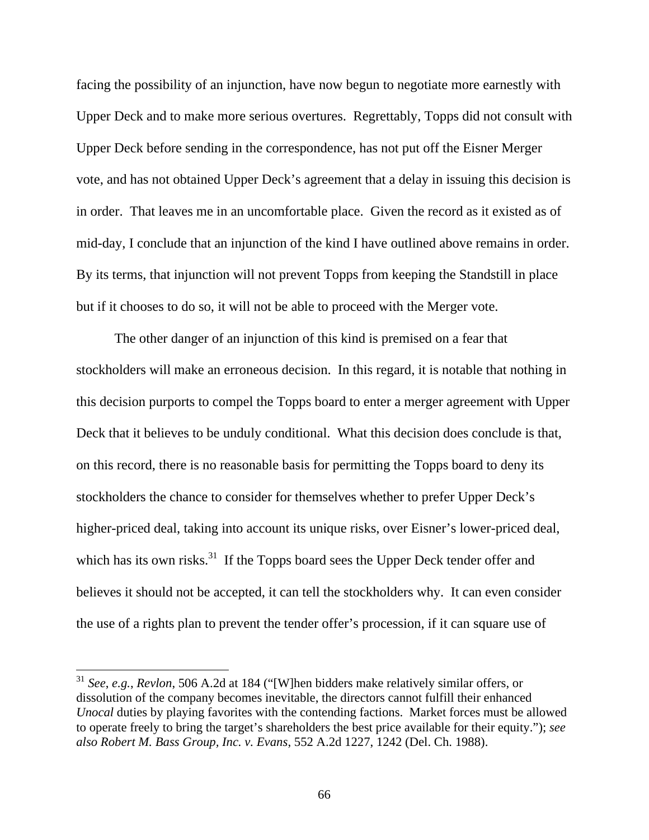facing the possibility of an injunction, have now begun to negotiate more earnestly with Upper Deck and to make more serious overtures. Regrettably, Topps did not consult with Upper Deck before sending in the correspondence, has not put off the Eisner Merger vote, and has not obtained Upper Deck's agreement that a delay in issuing this decision is in order. That leaves me in an uncomfortable place. Given the record as it existed as of mid-day, I conclude that an injunction of the kind I have outlined above remains in order. By its terms, that injunction will not prevent Topps from keeping the Standstill in place but if it chooses to do so, it will not be able to proceed with the Merger vote.

The other danger of an injunction of this kind is premised on a fear that stockholders will make an erroneous decision. In this regard, it is notable that nothing in this decision purports to compel the Topps board to enter a merger agreement with Upper Deck that it believes to be unduly conditional. What this decision does conclude is that, on this record, there is no reasonable basis for permitting the Topps board to deny its stockholders the chance to consider for themselves whether to prefer Upper Deck's higher-priced deal, taking into account its unique risks, over Eisner's lower-priced deal, which has its own risks. $31$  If the Topps board sees the Upper Deck tender offer and believes it should not be accepted, it can tell the stockholders why. It can even consider the use of a rights plan to prevent the tender offer's procession, if it can square use of

<sup>31</sup> *See*, *e.g.*, *Revlon*, 506 A.2d at 184 ("[W]hen bidders make relatively similar offers, or dissolution of the company becomes inevitable, the directors cannot fulfill their enhanced *Unocal* duties by playing favorites with the contending factions. Market forces must be allowed to operate freely to bring the target's shareholders the best price available for their equity."); *see also Robert M. Bass Group, Inc. v. Evans*, 552 A.2d 1227, 1242 (Del. Ch. 1988).